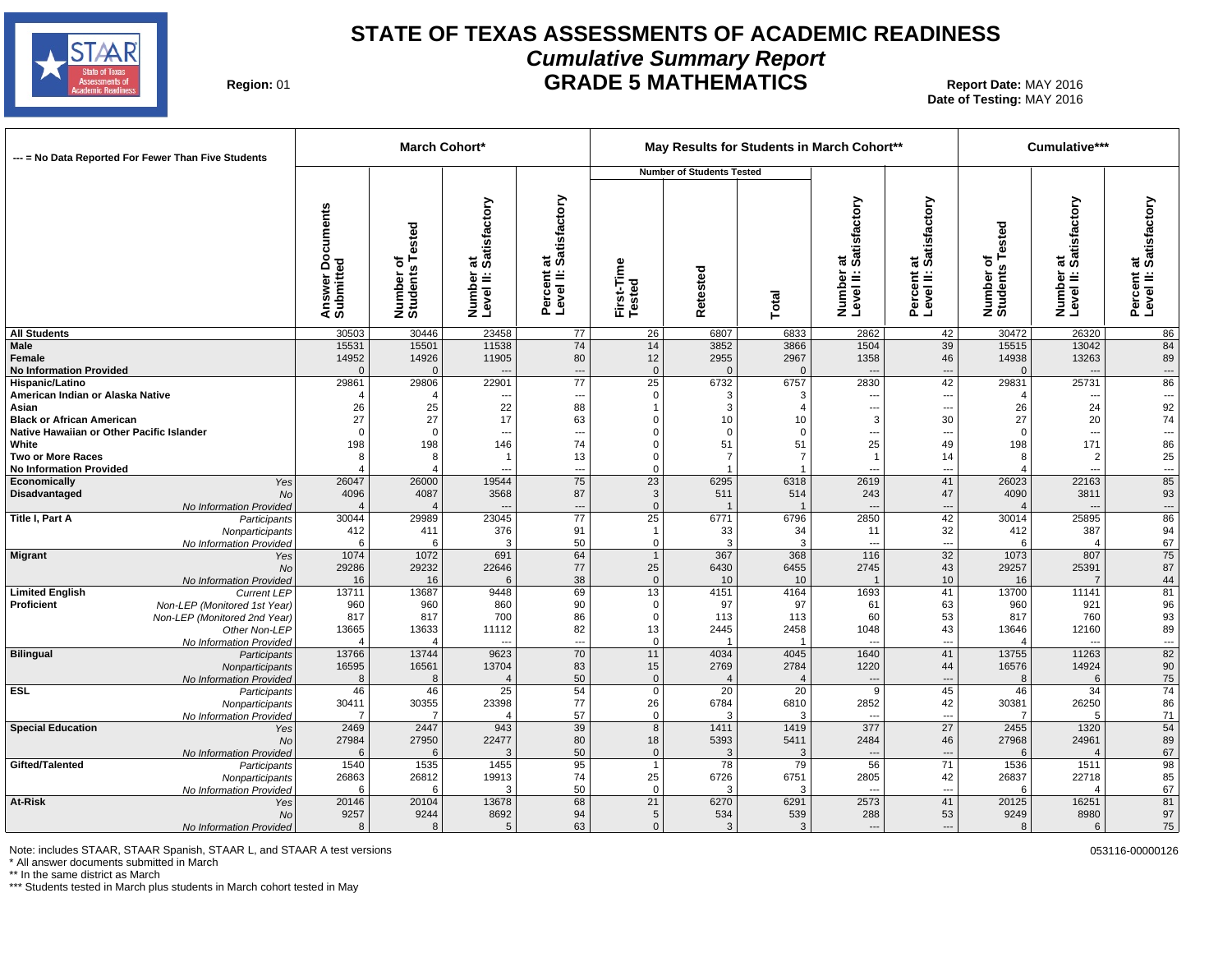

#### **STATE OF TEXAS ASSESSMENTS OF ACADEMIC READINESS Cumulative Summary Report GRADE 5 MATHEMATICS** 01 **Report Date:** MAY 2016

**Region: 01** 

**Date of Testing:**  MAY 2016

| --- = No Data Reported For Fewer Than Five Students                           |                                                | March Cohort*                |                                           |                                                |                         |                                  |                          | May Results for Students in March Cohort** |                                              |                              | Cumulative***                               |                                                |
|-------------------------------------------------------------------------------|------------------------------------------------|------------------------------|-------------------------------------------|------------------------------------------------|-------------------------|----------------------------------|--------------------------|--------------------------------------------|----------------------------------------------|------------------------------|---------------------------------------------|------------------------------------------------|
|                                                                               |                                                |                              |                                           |                                                |                         | <b>Number of Students Tested</b> |                          |                                            |                                              |                              |                                             |                                                |
|                                                                               | <b>Documents</b><br>ढ़<br>Answer I<br>Submitte | Number of<br>Students Tested | at<br>Satisfactory<br>Number<br>Level II: | t at<br>: Satisfactory<br>Percent<br>Level II: | First-Time<br>Tested    | Retested                         | Total                    | at<br>Satisfactory<br>Number<br>Level II:  | at<br>: Satisfactory<br>Percent<br>Level II: | Number of<br>Students Tested | at<br>Satisfactory<br>Number<br>Level II: 3 | at<br>Satisfactory<br>Percent a<br>Level II: 9 |
| <b>All Students</b>                                                           | 30503                                          | 30446                        | 23458                                     | 77                                             | 26                      | 6807                             | 6833                     | 2862                                       | 42                                           | 30472                        | 26320                                       | 86                                             |
| Male<br>Female<br><b>No Information Provided</b>                              | 15531<br>14952<br>$\Omega$                     | 15501<br>14926<br>$\Omega$   | 11538<br>11905                            | 74<br>80<br>---                                | 14<br>12<br>$\mathbf 0$ | 3852<br>2955<br>$\Omega$         | 3866<br>2967<br>$\Omega$ | 1504<br>1358                               | 39<br>46<br>---                              | 15515<br>14938<br>$\Omega$   | 13042<br>13263                              | 84<br>89<br>$\hspace{0.05cm} \ldots$           |
| <b>Hispanic/Latino</b>                                                        | 29861                                          | 29806                        | 22901                                     | $\overline{77}$                                | $\overline{25}$         | 6732                             | 6757                     | 2830                                       | 42                                           | 29831                        | 25731                                       | 86                                             |
| American Indian or Alaska Native                                              | $\overline{4}$                                 |                              | ---                                       | --                                             | $\mathbf 0$             | 3                                | 3                        | $\overline{\phantom{a}}$                   | ---                                          |                              | $\overline{\phantom{a}}$                    | $\overline{\phantom{a}}$                       |
| Asian                                                                         | 26<br>27                                       | 25<br>27                     | 22<br>17                                  | 88<br>63                                       | $\Omega$                | 3<br>10                          | 4<br>10                  | $\hspace{0.05cm} \ldots$<br>3              | ---<br>30                                    | 26<br>27                     | 24<br>20                                    | 92<br>74                                       |
| <b>Black or African American</b><br>Native Hawaiian or Other Pacific Islander | $\Omega$                                       | $\Omega$                     | ---                                       | $\overline{a}$                                 | $\Omega$                | $\mathbf 0$                      | $\Omega$                 | ---                                        | ---                                          | $\Omega$                     | ---                                         | $\overline{\phantom{a}}$                       |
| White                                                                         | 198                                            | 198                          | 146                                       | 74                                             | 0                       | 51                               | 51                       | 25                                         | 49                                           | 198                          | 171                                         | 86                                             |
| <b>Two or More Races</b>                                                      | 8                                              | 8                            | $\overline{\mathbf{1}}$                   | 13                                             | $\Omega$                | $\overline{7}$                   |                          | $\overline{1}$                             | 14                                           | 8                            | $\overline{2}$                              | 25                                             |
| <b>No Information Provided</b>                                                |                                                | $\overline{4}$               | ---                                       | ---                                            | $\Omega$                |                                  |                          | $\overline{a}$                             | ---                                          |                              | ---                                         | ---                                            |
| Economically<br>Yes                                                           | 26047                                          | 26000                        | 19544                                     | 75                                             | 23                      | 6295                             | 6318                     | 2619                                       | 41                                           | 26023                        | 22163                                       | 85                                             |
| Disadvantaged<br>No                                                           | 4096                                           | 4087                         | 3568                                      | 87                                             | 3                       | 511                              | 514                      | 243                                        | 47                                           | 4090                         | 3811                                        | 93                                             |
| No Information Provided                                                       | $\overline{4}$                                 |                              |                                           | $\overline{a}$                                 | $\mathbf 0$             |                                  |                          | $\overline{\phantom{a}}$                   | ---                                          |                              | $\overline{a}$                              | ---                                            |
| Title I, Part A<br>Participants                                               | 30044                                          | 29989                        | 23045                                     | 77                                             | 25                      | 6771                             | 6796                     | 2850                                       | 42                                           | 30014                        | 25895                                       | 86                                             |
| Nonparticipants<br>No Information Provided                                    | 412<br>6                                       | 411<br>6                     | 376<br>3                                  | 91<br>50                                       | $\mathbf 0$             | 33<br>3                          | 34<br>3                  | 11<br>---                                  | 32<br>---                                    | 412<br>6                     | 387<br>$\overline{4}$                       | 94<br>67                                       |
| <b>Migrant</b><br>Yes                                                         | 1074                                           | 1072                         | 691                                       | 64                                             | $\overline{1}$          | 367                              | 368                      | 116                                        | 32                                           | 1073                         | 807                                         | 75                                             |
| <b>No</b>                                                                     | 29286                                          | 29232                        | 22646                                     | 77                                             | 25                      | 6430                             | 6455                     | 2745                                       | 43                                           | 29257                        | 25391                                       | 87                                             |
| No Information Provided                                                       | 16                                             | 16                           | 6                                         | 38                                             | $\mathbf{0}$            | 10                               | 10                       | $\overline{1}$                             | 10                                           | 16                           | $\overline{7}$                              | 44                                             |
| <b>Limited English</b><br><b>Current LEP</b>                                  | 13711                                          | 13687                        | 9448                                      | 69                                             | 13                      | 4151                             | 4164                     | 1693                                       | 41                                           | 13700                        | 11141                                       | 81                                             |
| Proficient<br>Non-LEP (Monitored 1st Year)                                    | 960                                            | 960                          | 860                                       | 90                                             | $\Omega$                | 97                               | 97                       | 61                                         | 63                                           | 960                          | 921                                         | 96                                             |
| Non-LEP (Monitored 2nd Year)                                                  | 817                                            | 817                          | 700                                       | 86                                             | $\Omega$                | 113                              | 113                      | 60                                         | 53                                           | 817                          | 760                                         | 93                                             |
| Other Non-LEP                                                                 | 13665                                          | 13633<br>$\overline{4}$      | 11112<br>---                              | 82                                             | 13<br>$\mathbf 0$       | 2445                             | 2458                     | 1048<br>---                                | 43<br>---                                    | 13646<br>$\overline{4}$      | 12160<br>---                                | 89                                             |
| No Information Provided<br>Bilingual<br>Participants                          | 13766                                          | 13744                        | 9623                                      | ---<br>70                                      | 11                      | 4034                             | 4045                     | 1640                                       | 41                                           | 13755                        | 11263                                       | $\ldots$<br>$\overline{82}$                    |
| Nonparticipants                                                               | 16595                                          | 16561                        | 13704                                     | 83                                             | 15                      | 2769                             | 2784                     | 1220                                       | 44                                           | 16576                        | 14924                                       | 90                                             |
| No Information Provided                                                       | 8                                              | 8                            | $\overline{4}$                            | 50                                             | $\mathbf 0$             |                                  |                          | ---                                        | ---                                          | 8                            | 6                                           | 75                                             |
| <b>ESL</b><br>Participants                                                    | 46                                             | 46                           | $\overline{25}$                           | 54                                             | $\mathbf 0$             | $\overline{20}$                  | $\overline{20}$          | $\overline{9}$                             | 45                                           | 46                           | $\overline{34}$                             | 74                                             |
| Nonparticipants                                                               | 30411                                          | 30355                        | 23398                                     | 77                                             | 26                      | 6784                             | 6810                     | 2852                                       | 42                                           | 30381                        | 26250                                       | 86                                             |
| No Information Provided                                                       | $\overline{7}$                                 | $\overline{7}$               | $\overline{4}$                            | 57                                             | $\mathbf 0$             | 3                                | 3                        | ---                                        | $\overline{\phantom{a}}$                     | $\overline{7}$               | 5                                           | 71                                             |
| <b>Special Education</b><br>Yes                                               | 2469                                           | 2447                         | 943                                       | 39                                             | $\overline{8}$          | 1411                             | 1419                     | $\overline{377}$                           | $\overline{27}$                              | 2455                         | 1320                                        | 54                                             |
| <b>No</b><br>No Information Provided                                          | 27984<br>6                                     | 27950<br>6                   | 22477<br>3                                | 80<br>50                                       | 18<br>$\mathbf{0}$      | 5393<br>3                        | 5411<br>3                | 2484                                       | 46<br>---                                    | 27968<br>6                   | 24961<br>$\overline{4}$                     | 89<br>67                                       |
| Gifted/Talented<br>Participants                                               | 1540                                           | 1535                         | 1455                                      | 95                                             | $\mathbf{1}$            | 78                               | 79                       | 56                                         | 71                                           | 1536                         | 1511                                        | 98                                             |
| Nonparticipants                                                               | 26863                                          | 26812                        | 19913                                     | 74                                             | 25                      | 6726                             | 6751                     | 2805                                       | 42                                           | 26837                        | 22718                                       | 85                                             |
| No Information Provided                                                       | -6                                             | 6                            | 3                                         | 50                                             | $\mathbf 0$             | 3                                | 3                        | ---                                        | ---                                          | 6                            | $\Delta$                                    | 67                                             |
| At-Risk<br>Yes                                                                | 20146                                          | 20104                        | 13678                                     | 68                                             | $\overline{21}$         | 6270                             | 6291                     | 2573                                       | 41                                           | 20125                        | 16251                                       | 81                                             |
| No                                                                            | 9257                                           | 9244                         | 8692                                      | 94                                             | 5                       | 534                              | 539                      | 288                                        | 53                                           | 9249                         | 8980                                        | 97                                             |
| No Information Provided                                                       | 8                                              | 8                            | 5                                         | 63                                             | $\Omega$                | 3                                | 3                        | $\overline{\phantom{a}}$                   | ---                                          | 8                            | 6                                           | 75                                             |

Note: includes STAAR, STAAR Spanish, STAAR L, and STAAR A test versions 053116-00000126

\* All answer documents submitted in March

\*\* In the same district as March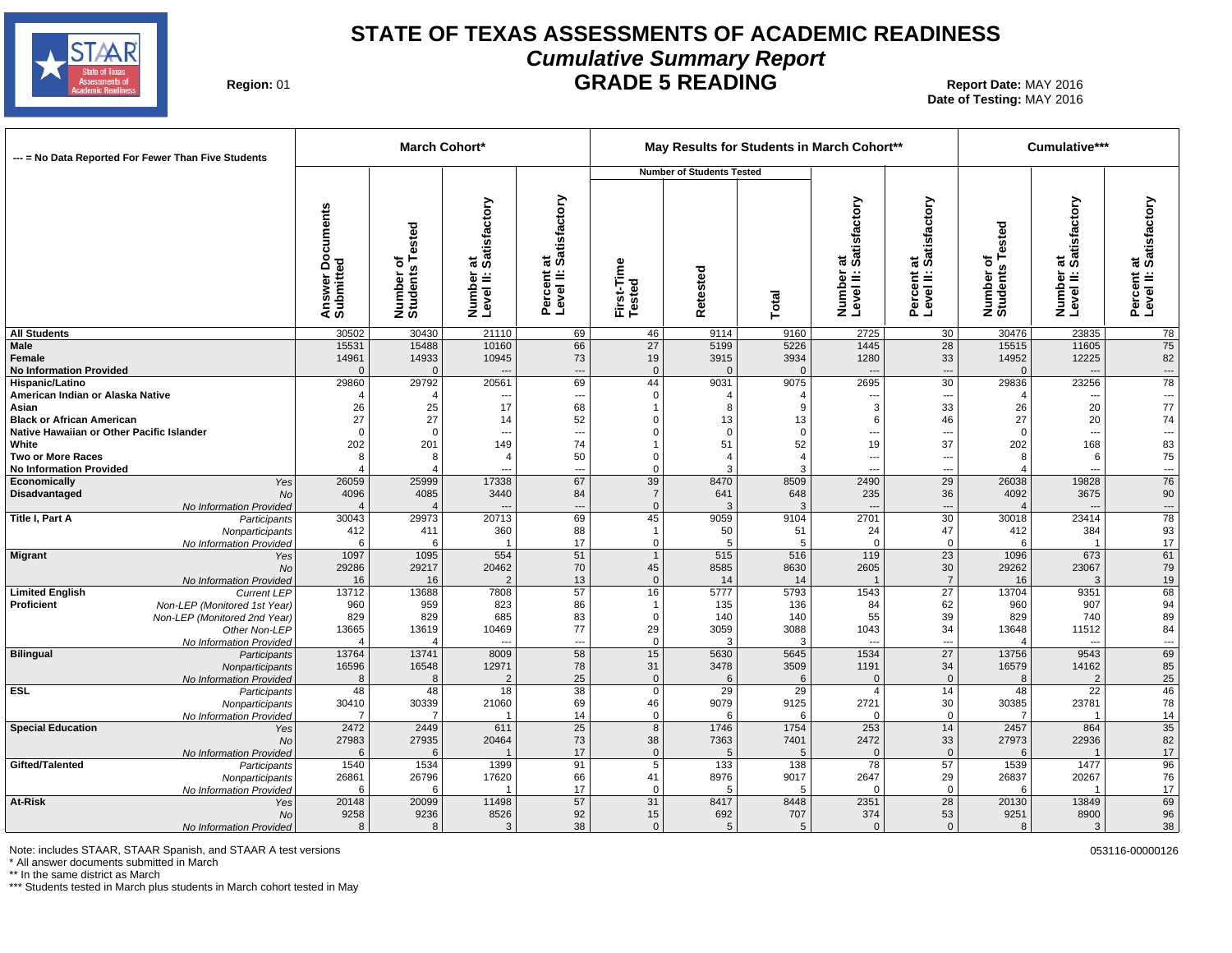

#### **STATE OF TEXAS ASSESSMENTS OF ACADEMIC READINESS Cumulative Summary Report GRADE 5 READING** Report Date: MAY 2016

**Region: 01** 

**Date of Testing:**  MAY 2016

| --- = No Data Reported For Fewer Than Five Students                          |                                     | <b>March Cohort*</b>            |                                           |                                                |                                     |                                  |                                | May Results for Students in March Cohort** |                                              |                              | Cumulative***                                |                                      |
|------------------------------------------------------------------------------|-------------------------------------|---------------------------------|-------------------------------------------|------------------------------------------------|-------------------------------------|----------------------------------|--------------------------------|--------------------------------------------|----------------------------------------------|------------------------------|----------------------------------------------|--------------------------------------|
|                                                                              |                                     |                                 |                                           |                                                |                                     | <b>Number of Students Tested</b> |                                |                                            |                                              |                              |                                              |                                      |
|                                                                              | Documents<br>Answer Do<br>Submitted | Number of<br>Students Tested    | at<br>Satisfactory<br>Number<br>Level II: | at<br>: Satisfactory<br>Percent a<br>Level II: | First-Time<br>Tested                | Retested                         | Total                          | at<br>Satisfactory<br>Number<br>Level II:  | at<br>: Satisfactory<br>Percent<br>Level II: | Number of<br>Students Tested | ∵at<br>Satisfactory<br>Number<br>Level II: 1 | Percent at<br>Level II: Satisfactory |
| <b>All Students</b>                                                          | 30502                               | 30430                           | 21110                                     | 69                                             | 46                                  | 9114                             | 9160                           | 2725                                       | 30                                           | 30476                        | 23835                                        | 78                                   |
| Male<br>Female<br><b>No Information Provided</b>                             | 15531<br>14961<br>$\Omega$          | 15488<br>14933<br>$\Omega$      | 10160<br>10945                            | 66<br>73<br>---                                | 27<br>19<br>$\mathbf 0$             | 5199<br>3915<br>$\Omega$         | 5226<br>3934<br>$\overline{0}$ | 1445<br>1280                               | 28<br>33<br>---                              | 15515<br>14952<br>$\Omega$   | 11605<br>12225                               | 75<br>82<br>$\hspace{0.05cm} \ldots$ |
| <b>Hispanic/Latino</b>                                                       | 29860                               | 29792                           | 20561                                     | 69                                             | 44                                  | 9031                             | 9075                           | 2695                                       | $\overline{30}$                              | 29836                        | 23256                                        | $\overline{78}$                      |
| American Indian or Alaska Native                                             |                                     | 4                               |                                           | $\overline{\phantom{a}}$                       | $\mathbf 0$                         | -4<br>8                          | 4<br>9                         |                                            | ---                                          |                              | $---$<br>20                                  | ---<br>$77\,$                        |
| Asian<br><b>Black or African American</b>                                    | 26<br>27                            | 25<br>27                        | 17<br>14                                  | 68<br>52                                       | $\Omega$                            | 13                               | 13                             | 3<br>6                                     | 33<br>46                                     | 26<br>27                     | 20                                           | 74                                   |
| Native Hawaiian or Other Pacific Islander                                    | $\Omega$                            | $\Omega$                        | ---                                       | ---                                            | $\Omega$                            | $\Omega$                         | $\Omega$                       |                                            | ---                                          | $\Omega$                     | $\overline{a}$                               |                                      |
| White                                                                        | 202                                 | 201                             | 149                                       | 74                                             |                                     | 51                               | 52                             | 19                                         | 37                                           | 202                          | 168                                          | 83                                   |
| Two or More Races                                                            | 8                                   |                                 | $\overline{4}$                            | 50                                             | $\Omega$                            | $\overline{4}$                   | $\Delta$                       | ---                                        | ---                                          |                              | 6                                            | ${\bf 75}$                           |
| <b>No Information Provided</b>                                               |                                     | $\Delta$                        |                                           | $\overline{\phantom{a}}$                       | $\mathbf 0$                         | 3                                | 3                              | ---                                        | ---                                          |                              | $\overline{a}$                               | $\frac{1}{76}$                       |
| Economically<br>Yes<br>Disadvantaged<br><b>No</b><br>No Information Provided | 26059<br>4096                       | 25999<br>4085<br>$\overline{4}$ | 17338<br>3440                             | 67<br>84<br>---                                | 39<br>$\overline{7}$<br>$\mathbf 0$ | 8470<br>641<br>3                 | 8509<br>648<br>3               | 2490<br>235<br>$\overline{a}$              | 29<br>36<br>---                              | 26038<br>4092                | 19828<br>3675<br>$\overline{a}$              | $90\,$                               |
| Title I, Part A<br>Participants                                              | 30043                               | 29973                           | 20713                                     | 69                                             | 45                                  | 9059                             | 9104                           | 2701                                       | 30                                           | 30018                        | 23414                                        | $\frac{1}{78}$                       |
| Nonparticipants                                                              | 412                                 | 411                             | 360                                       | 88                                             | $\mathbf 1$                         | 50                               | 51                             | 24                                         | 47                                           | 412                          | 384                                          | 93                                   |
| No Information Provided                                                      | 6                                   | 6                               | 1                                         | 17                                             | $\mathbf 0$                         | 5                                | 5                              | $\mathbf 0$                                | $\mathbf 0$                                  | 6                            | $\overline{1}$                               | 17                                   |
| <b>Migrant</b><br>Yes                                                        | 1097                                | 1095                            | 554<br>20462                              | 51                                             | $\overline{1}$                      | 515                              | 516                            | 119                                        | 23<br>30                                     | 1096                         | 673                                          | 61<br>79                             |
| No<br>No Information Provided                                                | 29286<br>16                         | 29217<br>16                     | $\overline{2}$                            | 70<br>13                                       | 45<br>$\mathbf 0$                   | 8585<br>14                       | 8630<br>14                     | 2605<br>$\overline{1}$                     | $\overline{7}$                               | 29262<br>16                  | 23067<br>3                                   | 19                                   |
| <b>Limited English</b><br><b>Current LEP</b>                                 | 13712                               | 13688                           | 7808                                      | 57                                             | 16                                  | 5777                             | 5793                           | 1543                                       | $\overline{27}$                              | 13704                        | 9351                                         | 68                                   |
| Proficient<br>Non-LEP (Monitored 1st Year)                                   | 960                                 | 959                             | 823                                       | 86                                             |                                     | 135                              | 136                            | 84                                         | 62                                           | 960                          | 907                                          | 94                                   |
| Non-LEP (Monitored 2nd Year)                                                 | 829                                 | 829                             | 685                                       | 83                                             | $\mathbf 0$                         | 140                              | 140                            | 55                                         | 39                                           | 829                          | 740                                          | 89                                   |
| Other Non-LEP                                                                | 13665                               | 13619                           | 10469                                     | 77                                             | 29                                  | 3059                             | 3088                           | 1043                                       | 34                                           | 13648                        | 11512                                        | 84                                   |
| No Information Provided<br>Bilingual                                         | 13764                               | $\overline{4}$<br>13741         | 8009                                      | $\overline{\phantom{a}}$<br>58                 | $\mathbf 0$<br>15                   | 3<br>5630                        | 3<br>5645                      | ---<br>1534                                | ---<br>$\overline{27}$                       | 13756                        | $\overline{\phantom{a}}$<br>9543             | $\sim$ $\sim$<br>69                  |
| Participants<br>Nonparticipants                                              | 16596                               | 16548                           | 12971                                     | 78                                             | 31                                  | 3478                             | 3509                           | 1191                                       | 34                                           | 16579                        | 14162                                        | 85                                   |
| No Information Provided                                                      | 8                                   | 8                               | $\overline{2}$                            | 25                                             | $\mathbf 0$                         | 6                                | 6                              | $\mathbf 0$                                | $\mathbf 0$                                  | 8                            | $\overline{2}$                               | 25                                   |
| <b>ESL</b><br>Participants                                                   | 48                                  | 48                              | 18                                        | 38                                             | $\overline{0}$                      | 29                               | $\overline{29}$                | $\overline{4}$                             | 14                                           | 48                           | $\overline{22}$                              | 46                                   |
| Nonparticipants                                                              | 30410                               | 30339                           | 21060                                     | 69                                             | 46                                  | 9079                             | 9125                           | 2721                                       | 30                                           | 30385                        | 23781                                        | 78                                   |
| No Information Provided                                                      |                                     | $\overline{7}$                  | $\overline{1}$                            | 14                                             | $\mathbf 0$                         | 6                                | 6                              | $\Omega$                                   | $\mathbf 0$                                  |                              | $\overline{1}$                               | 14                                   |
| <b>Special Education</b><br>Yes                                              | 2472                                | 2449                            | 611                                       | 25                                             | $\overline{8}$<br>38                | 1746                             | 1754                           | 253<br>2472                                | 14                                           | 2457                         | 864<br>22936                                 | $\overline{35}$                      |
| <b>No</b><br>No Information Provided                                         | 27983<br>6                          | 27935<br>6                      | 20464                                     | 73<br>17                                       | $\mathbf{0}$                        | 7363<br>5                        | 7401<br>5                      | $\Omega$                                   | 33<br>$\overline{0}$                         | 27973<br>6                   |                                              | 82<br>17                             |
| Gifted/Talented<br>Participants                                              | 1540                                | 1534                            | 1399                                      | 91                                             | 5                                   | 133                              | 138                            | 78                                         | 57                                           | 1539                         | 1477                                         | 96                                   |
| Nonparticipants                                                              | 26861                               | 26796                           | 17620                                     | 66                                             | 41                                  | 8976                             | 9017                           | 2647                                       | 29                                           | 26837                        | 20267                                        | 76                                   |
| No Information Provided                                                      | 6                                   | 6                               |                                           | 17                                             | $\mathbf 0$                         | 5                                | 5                              | $\Omega$                                   | $\mathbf 0$                                  | -6                           |                                              | 17                                   |
| At-Risk<br>Yes                                                               | 20148                               | 20099                           | 11498                                     | 57                                             | 31                                  | 8417                             | 8448                           | 2351                                       | $\overline{28}$                              | 20130                        | 13849                                        | 69                                   |
| No                                                                           | 9258                                | 9236                            | 8526                                      | 92                                             | 15                                  | 692                              | 707                            | 374                                        | 53                                           | 9251                         | 8900                                         | 96                                   |
| No Information Provided                                                      | 8                                   | 8                               | 3                                         | 38                                             | $\mathbf{0}$                        | .5                               | 5                              | $\Omega$                                   | $\mathbf{0}$                                 | 8                            | 3                                            | 38                                   |

Note: includes STAAR, STAAR Spanish, and STAAR A test versions (2000) the state versions of the state versions of the state versions of the state of the state of the state of the state of the state of the state of the stat

\* All answer documents submitted in March

\*\* In the same district as March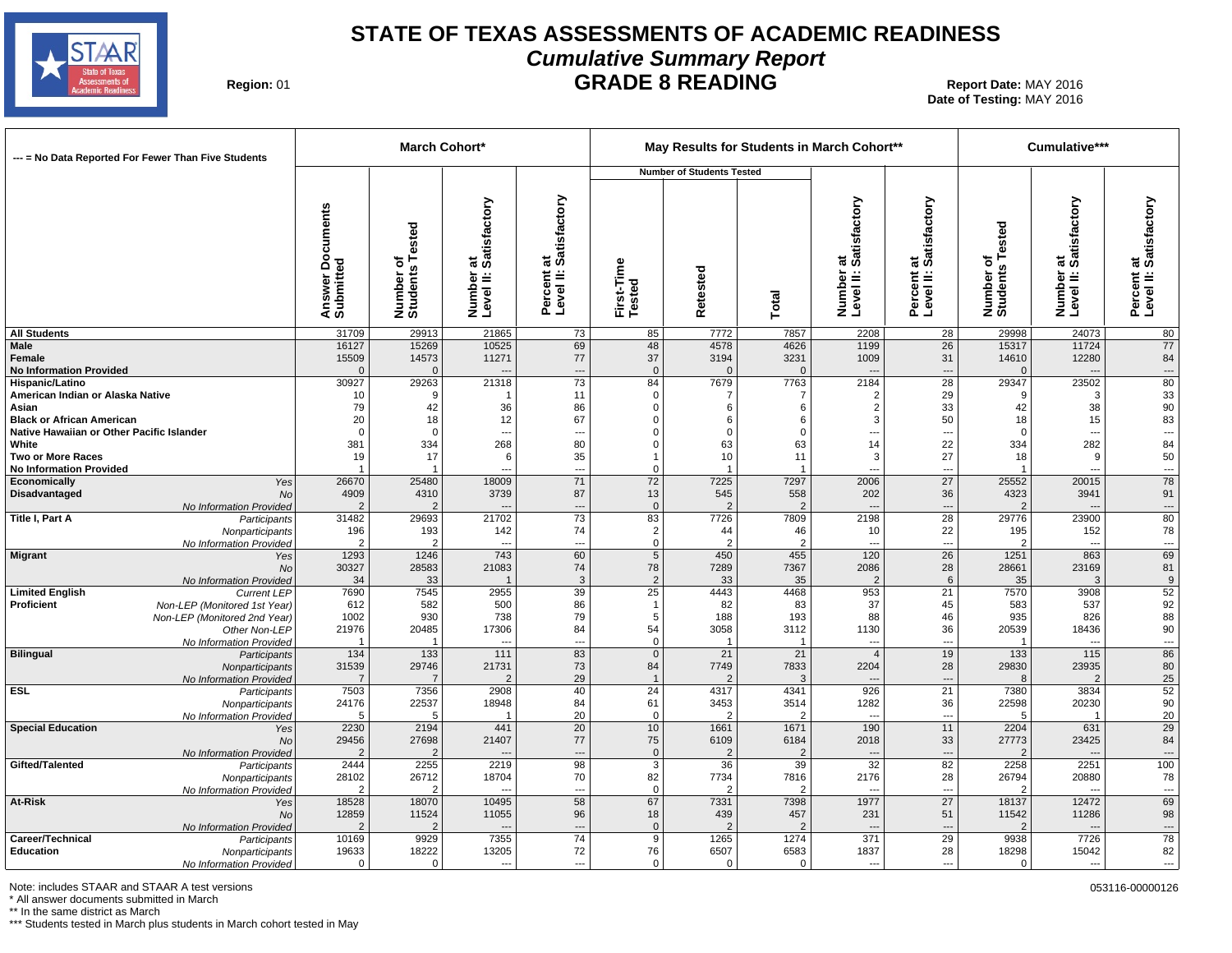

#### **STATE OF TEXAS ASSESSMENTS OF ACADEMIC READINESS Cumulative Summary Report GRADE 8 READING** Report Date: MAY 2016

**Region: 01** 

**Date of Testing:**  MAY 2016

| --- = No Data Reported For Fewer Than Five Students        |                                        |                              | <b>March Cohort*</b>                      |                                              |                               |                                  |                        | May Results for Students in March Cohort** |                                              |                              | Cumulative***                             |                                      |
|------------------------------------------------------------|----------------------------------------|------------------------------|-------------------------------------------|----------------------------------------------|-------------------------------|----------------------------------|------------------------|--------------------------------------------|----------------------------------------------|------------------------------|-------------------------------------------|--------------------------------------|
|                                                            |                                        |                              |                                           |                                              |                               | <b>Number of Students Tested</b> |                        |                                            |                                              |                              |                                           |                                      |
|                                                            | <b>Documents</b><br>Answer<br>Submitte | Number of<br>Students Tested | at<br>Satisfactory<br>Number<br>Level II: | at<br>Satisfactory<br>Percent a<br>Level II: | First-Time<br>Tested          | Retested                         | Total                  | at<br>Satisfactory<br>Number<br>Level II:  | at<br>: Satisfactory<br>Percent<br>Level II: | Number of<br>Students Tested | at<br>Satisfactory<br>Number<br>Level II: | Percent at<br>Level II: Satisfactory |
| <b>All Students</b>                                        | 31709                                  | 29913                        | 21865                                     | 73                                           | 85                            | 7772                             | 7857                   | 2208                                       | 28                                           | 29998                        | 24073                                     | 80                                   |
| <b>Male</b>                                                | 16127                                  | 15269                        | 10525                                     | 69                                           | 48                            | 4578                             | 4626                   | 1199                                       | 26                                           | 15317                        | 11724                                     | 77                                   |
| Female<br><b>No Information Provided</b>                   | 15509<br>$\Omega$                      | 14573<br>$\Omega$            | 11271                                     | 77<br>---                                    | 37<br>$\overline{0}$          | 3194<br>$\Omega$                 | 3231<br>$\Omega$       | 1009                                       | 31<br>---                                    | 14610                        | 12280                                     | 84<br>---                            |
| <b>Hispanic/Latino</b>                                     | 30927                                  | 29263                        | 21318                                     | 73                                           | 84                            | 7679                             | 7763                   | 2184                                       | $\overline{28}$                              | 29347                        | 23502                                     | 80                                   |
| American Indian or Alaska Native                           | 10                                     | ୍ର                           |                                           | 11                                           | $\mathbf 0$                   |                                  |                        | $\overline{2}$                             | 29                                           |                              | 3                                         | 33                                   |
| Asian                                                      | 79                                     | 42                           | 36                                        | 86                                           | 0                             | 6                                | 6                      | 2                                          | 33                                           | 42                           | 38                                        | 90                                   |
| <b>Black or African American</b>                           | 20                                     | 18                           | 12                                        | 67                                           | $\Omega$                      | 6                                | 6                      | 3                                          | 50                                           | 18                           | 15                                        | 83                                   |
| Native Hawaiian or Other Pacific Islander                  | $\overline{0}$                         | $\Omega$                     | ---                                       | ---                                          | $\Omega$                      | $\Omega$                         | $\Omega$               | ---                                        | ---                                          | $\Omega$                     | ---                                       | $\rightarrow$ ,                      |
| White                                                      | 381                                    | 334<br>17                    | 268<br>6                                  | 80<br>35                                     | $\Omega$                      | 63<br>10                         | 63                     | 14<br>3                                    | 22<br>27                                     | 334                          | 282                                       | 84<br>50                             |
| <b>Two or More Races</b><br><b>No Information Provided</b> | 19                                     |                              |                                           | $\overline{a}$                               | $\Omega$                      |                                  | 11                     | ---                                        | ---                                          | 18                           | 9<br>$\qquad \qquad \cdots$               | $\ldots$                             |
| Economically<br>Yes                                        | 26670                                  | 25480                        | 18009                                     | 71                                           | 72                            | 7225                             | 7297                   | 2006                                       | 27                                           | 25552                        | 20015                                     | 78                                   |
| Disadvantaged<br>No                                        | 4909                                   | 4310                         | 3739                                      | 87                                           | 13                            | 545                              | 558                    | 202                                        | 36                                           | 4323                         | 3941                                      | 91                                   |
| No Information Provided                                    | $\overline{2}$                         | $\overline{2}$               |                                           | $\overline{a}$                               | $\mathbf 0$                   | $\overline{2}$                   | 2                      | $\overline{\phantom{a}}$                   | ---                                          | $\overline{2}$               |                                           | $\cdots$                             |
| Title I, Part A<br>Participants                            | 31482                                  | 29693                        | 21702                                     | $\overline{73}$                              | 83                            | 7726                             | 7809                   | 2198                                       | $\overline{28}$                              | 29776                        | 23900                                     | $\overline{80}$                      |
| Nonparticipants                                            | 196<br>$\overline{2}$                  | 193<br>$\overline{2}$        | 142<br>---                                | 74                                           | $\overline{2}$<br>$\mathsf 0$ | 44                               | 46<br>$\overline{2}$   | 10<br>$\overline{\phantom{a}}$             | 22<br>---                                    | 195                          | 152<br>---                                | 78                                   |
| No Information Provided<br>Migrant<br>Yes                  | 1293                                   | 1246                         | 743                                       | ---<br>60                                    | $5\overline{)}$               | 450                              | 455                    | 120                                        | 26                                           | 1251                         | 863                                       | $\ldots$<br>69                       |
| <b>No</b>                                                  | 30327                                  | 28583                        | 21083                                     | 74                                           | 78                            | 7289                             | 7367                   | 2086                                       | 28                                           | 28661                        | 23169                                     | 81                                   |
| No Information Provided                                    | 34                                     | 33                           |                                           | -3                                           | $\overline{2}$                | 33                               | 35                     | $\overline{2}$                             | 6                                            | 35                           | 3                                         | 9                                    |
| <b>Limited English</b><br><b>Current LEP</b>               | 7690                                   | 7545                         | 2955                                      | 39                                           | $\overline{25}$               | 4443                             | 4468                   | 953                                        | 21                                           | 7570                         | 3908                                      | 52                                   |
| Proficient<br>Non-LEP (Monitored 1st Year)                 | 612                                    | 582                          | 500                                       | 86                                           | $\overline{1}$                | 82                               | 83                     | 37                                         | 45                                           | 583                          | 537                                       | 92                                   |
| Non-LEP (Monitored 2nd Year)                               | 1002                                   | 930                          | 738                                       | 79                                           | 5                             | 188                              | 193                    | 88                                         | 46                                           | 935                          | 826                                       | 88                                   |
| Other Non-LEP<br>No Information Provided                   | 21976<br>$\overline{\mathbf{1}}$       | 20485<br>$\overline{1}$      | 17306<br>---                              | 84<br>---                                    | 54<br>$\mathbf 0$             | 3058                             | 3112<br>-1             | 1130<br>$\overline{\phantom{a}}$           | 36<br>---                                    | 20539<br>-1                  | 18436<br>---                              | 90<br>$\ldots$                       |
| <b>Bilingual</b><br>Participants                           | 134                                    | 133                          | 111                                       | 83                                           | $\mathbf 0$                   | 21                               | 21                     | $\overline{4}$                             | 19                                           | 133                          | 115                                       | 86                                   |
| Nonparticipants                                            | 31539                                  | 29746                        | 21731                                     | 73                                           | 84                            | 7749                             | 7833                   | 2204                                       | 28                                           | 29830                        | 23935                                     | 80                                   |
| No Information Provided                                    |                                        | $\overline{7}$               | $\overline{2}$                            | 29                                           | $\overline{1}$                |                                  | 3                      |                                            | ---                                          | 8                            | $\overline{2}$                            | 25                                   |
| <b>ESL</b><br>Participants                                 | 7503                                   | 7356                         | 2908                                      | 40                                           | $\overline{24}$               | 4317                             | 4341                   | 926                                        | 21                                           | 7380                         | 3834                                      | 52                                   |
| Nonparticipants                                            | 24176                                  | 22537                        | 18948                                     | 84                                           | 61                            | 3453<br>$\mathcal{D}$            | 3514                   | 1282                                       | 36<br>$\overline{a}$                         | 22598                        | 20230                                     | $90\,$                               |
| No Information Provided<br><b>Special Education</b><br>Yes | -5<br>2230                             | 5<br>2194                    | -1<br>441                                 | 20<br>20                                     | $\overline{0}$<br>10          | 1661                             | $\overline{2}$<br>1671 | $\overline{\phantom{a}}$<br>190            | 11                                           | -5<br>2204                   | -1<br>631                                 | 20<br>29                             |
| No                                                         | 29456                                  | 27698                        | 21407                                     | 77                                           | 75                            | 6109                             | 6184                   | 2018                                       | 33                                           | 27773                        | 23425                                     | 84                                   |
| No Information Provided                                    | $\overline{2}$                         | $\overline{2}$               |                                           | $\overline{a}$                               | $\overline{0}$                | $\mathcal{P}$                    | $\overline{2}$         |                                            | $\overline{\phantom{a}}$                     |                              |                                           | ---                                  |
| Gifted/Talented<br>Participants                            | 2444                                   | 2255                         | 2219                                      | 98                                           | $\mathbf{3}$                  | 36                               | 39                     | 32                                         | 82                                           | 2258                         | 2251                                      | 100                                  |
| Nonparticipants                                            | 28102                                  | 26712                        | 18704                                     | 70                                           | 82                            | 7734                             | 7816                   | 2176                                       | 28                                           | 26794                        | 20880                                     | 78                                   |
| No Information Provided                                    | $\mathcal{P}$                          | $\overline{2}$               |                                           | ---                                          | $\mathbf{0}$                  | $\mathcal{P}$                    | $\overline{2}$         |                                            | ---                                          | $\overline{2}$               |                                           | $\overline{\phantom{a}}$             |
| At-Risk<br>Yes                                             | 18528<br>12859                         | 18070<br>11524               | 10495<br>11055                            | 58<br>96                                     | 67<br>18                      | 7331<br>439                      | 7398<br>457            | 1977                                       | 27<br>51                                     | 18137<br>11542               | 12472<br>11286                            | 69<br>98                             |
| <b>No</b><br>No Information Provided                       |                                        | $\overline{2}$               |                                           | ---                                          | $\mathbf 0$                   |                                  |                        | 231<br>$\overline{\phantom{a}}$            | ---                                          | $\overline{2}$               | $\overline{a}$                            | $\hspace{0.05cm} \ldots$             |
| Career/Technical<br>Participants                           | 10169                                  | 9929                         | 7355                                      | 74                                           | 9                             | 1265                             | 1274                   | 371                                        | 29                                           | 9938                         | 7726                                      | 78                                   |
| Education<br>Nonparticipants                               | 19633                                  | 18222                        | 13205                                     | 72                                           | 76                            | 6507                             | 6583                   | 1837                                       | 28                                           | 18298                        | 15042                                     | 82                                   |
| No Information Provided                                    | $\Omega$                               | $\Omega$                     | $\overline{a}$                            | $\overline{a}$                               | $\Omega$                      | $\Omega$                         | $\Omega$               | ---                                        | $\overline{a}$                               | $\Omega$                     | $---$                                     | $---$                                |

Note: includes STAAR and STAAR A test versions 053116-00000126

\* All answer documents submitted in March

\*\* In the same district as March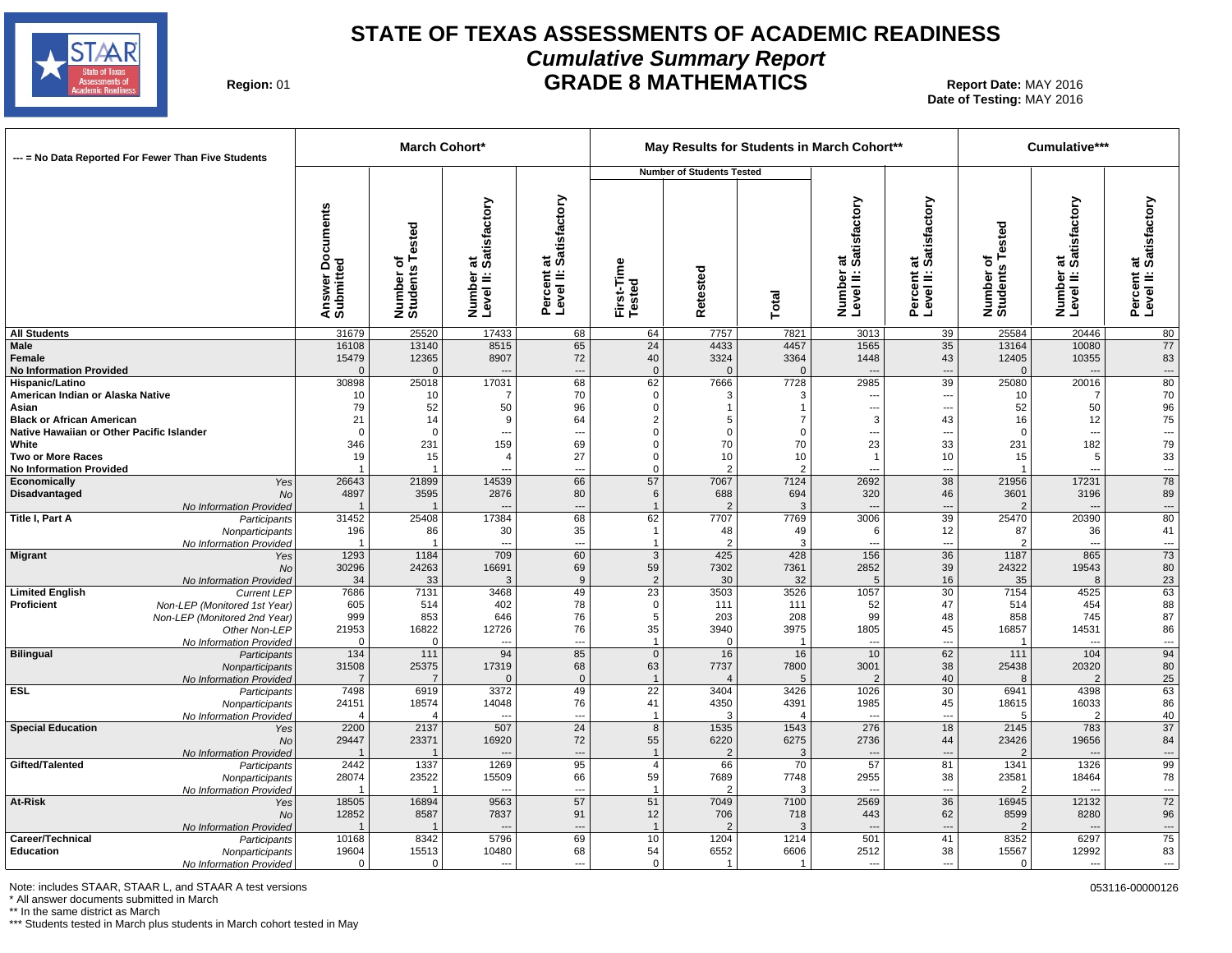

#### **STATE OF TEXAS ASSESSMENTS OF ACADEMIC READINESS Cumulative Summary Report GRADE 8 MATHEMATICS** Report Date: MAY 2016

**Region: 01** 

**Date of Testing:**  MAY 2016

| --- = No Data Reported For Fewer Than Five Students         |                                       |                              | March Cohort*                             |                                                  |                                | May Results for Students in March Cohort** |                     |                                           |                                                |                              | Cumulative***                             |                                      |
|-------------------------------------------------------------|---------------------------------------|------------------------------|-------------------------------------------|--------------------------------------------------|--------------------------------|--------------------------------------------|---------------------|-------------------------------------------|------------------------------------------------|------------------------------|-------------------------------------------|--------------------------------------|
|                                                             |                                       |                              |                                           |                                                  |                                | <b>Number of Students Tested</b>           |                     |                                           |                                                |                              |                                           |                                      |
|                                                             | <b>Documents</b><br>Answer<br>Submitt | Number of<br>Students Tested | at<br>Satisfactory<br>Number<br>Level II: | at<br>: Satisfactory<br>Percent a<br>Level II: 3 | First-Time<br>Tested           | Retested                                   | Total               | at<br>Satisfactory<br>Number<br>Level II: | at<br>: Satisfactory<br>Percent a<br>Level II: | Number of<br>Students Tested | at<br>Satisfactory<br>Number<br>Level II: | Percent at<br>Level II: Satisfactory |
| <b>All Students</b>                                         | 31679                                 | 25520                        | 17433                                     | 68                                               | 64                             | 7757                                       | 7821                | 3013                                      | 39                                             | 25584                        | 20446                                     | 80                                   |
| Male                                                        | 16108                                 | 13140                        | 8515                                      | 65                                               | 24                             | 4433                                       | 4457                | 1565                                      | 35                                             | 13164                        | 10080                                     | 77                                   |
| Female<br><b>No Information Provided</b>                    | 15479<br>$\Omega$                     | 12365<br>$\Omega$            | 8907                                      | 72                                               | 40<br>$\mathbf 0$              | 3324                                       | 3364<br>$\Omega$    | 1448                                      | 43<br>---                                      | 12405<br>$\Omega$            | 10355<br>$\overline{\phantom{a}}$         | 83<br>$\hspace{0.05cm} \cdots$       |
| <b>Hispanic/Latino</b>                                      | 30898                                 | 25018                        | 17031                                     | ---<br>68                                        | 62                             | 7666                                       | 7728                | 2985                                      | 39                                             | 25080                        | 20016                                     | 80                                   |
| American Indian or Alaska Native                            | 10                                    | 10                           | 7                                         | 70                                               | $\mathbf 0$                    | 3                                          |                     | ---                                       | ---                                            | 10                           | 7                                         | 70                                   |
| Asian                                                       | 79                                    | 52                           | 50                                        | 96                                               | 0                              | $\mathbf{1}$                               | -1                  | ---                                       | ---                                            | 52                           | 50                                        | $96\,$                               |
| <b>Black or African American</b>                            | 21                                    | 14                           | 9                                         | 64                                               | $\overline{2}$                 | 5                                          | 7                   | 3                                         | 43                                             | 16                           | 12                                        | ${\bf 75}$                           |
| Native Hawaiian or Other Pacific Islander                   | $\Omega$                              | $\Omega$                     | ---                                       | $\overline{\phantom{a}}$                         | $\Omega$                       | $\mathbf 0$                                | $\Omega$            | ---                                       | $\overline{\phantom{a}}$                       | $\Omega$                     | ---                                       | ---                                  |
| White                                                       | 346                                   | 231                          | 159                                       | 69                                               | $\Omega$                       | 70                                         | 70                  | 23                                        | 33                                             | 231                          | 182                                       | 79                                   |
| <b>Two or More Races</b><br><b>No Information Provided</b>  | 19                                    | 15                           | $\overline{4}$                            | 27<br>$\overline{a}$                             | 0<br>$\mathbf 0$               | 10<br>$\mathcal{P}$                        | 10<br>$\mathcal{P}$ | -1                                        | 10<br>---                                      | 15                           | 5<br>$\overline{a}$                       | $33\,$<br>$\overline{\phantom{a}}$   |
| Economically<br>Yes                                         | 26643                                 | 21899                        | 14539                                     | 66                                               | 57                             | 7067                                       | 7124                | 2692                                      | 38                                             | 21956                        | 17231                                     | 78                                   |
| Disadvantaged<br>No                                         | 4897                                  | 3595                         | 2876                                      | 80                                               | 6                              | 688                                        | 694                 | 320                                       | 46                                             | 3601                         | 3196                                      | 89                                   |
| No Information Provided                                     |                                       | $\mathbf{1}$                 |                                           | ---                                              | $\overline{1}$                 | $\mathcal{P}$                              | 3                   | $\overline{\phantom{a}}$                  | ---                                            | $\overline{2}$               |                                           | $\hspace{0.05cm} \cdots$             |
| Title I, Part A<br>Participants                             | 31452                                 | 25408                        | 17384                                     | 68                                               | 62                             | 7707                                       | 7769                | 3006                                      | 39                                             | 25470                        | 20390                                     | $\overline{80}$                      |
| Nonparticipants                                             | 196                                   | 86                           | 30                                        | 35                                               | $\overline{1}$                 | 48                                         | 49                  | 6                                         | 12                                             | 87                           | 36                                        | 41                                   |
| No Information Provided<br><b>Migrant</b><br>Yes            | 1293                                  | $\mathbf{1}$<br>1184         | $\overline{a}$<br>709                     | $\overline{a}$<br>60                             | $\overline{1}$<br>$\mathbf{3}$ | $\mathcal{P}$<br>425                       | 3<br>428            | $\overline{a}$<br>156                     | $\overline{\phantom{a}}$<br>36                 | 1187                         | $\overline{a}$<br>865                     | ---<br>73                            |
| No                                                          | 30296                                 | 24263                        | 16691                                     | 69                                               | 59                             | 7302                                       | 7361                | 2852                                      | 39                                             | 24322                        | 19543                                     | 80                                   |
| No Information Provided                                     | 34                                    | 33                           | 3                                         | 9                                                | $\overline{2}$                 | 30                                         | 32                  | 5                                         | 16                                             | 35                           | 8                                         | 23                                   |
| <b>Limited English</b><br><b>Current LEP</b>                | 7686                                  | 7131                         | 3468                                      | 49                                               | $\overline{23}$                | 3503                                       | 3526                | 1057                                      | 30                                             | 7154                         | 4525                                      | 63                                   |
| Proficient<br>Non-LEP (Monitored 1st Year)                  | 605                                   | 514                          | 402                                       | 78                                               | $\mathbf 0$                    | 111                                        | 111                 | 52                                        | 47                                             | 514                          | 454                                       | 88                                   |
| Non-LEP (Monitored 2nd Year)                                | 999                                   | 853                          | 646                                       | 76                                               | 5                              | 203                                        | 208                 | 99                                        | 48                                             | 858                          | 745                                       | 87                                   |
| Other Non-LEP                                               | 21953<br>$\cap$                       | 16822<br>$\Omega$            | 12726                                     | 76<br>---                                        | 35<br>$\overline{1}$           | 3940<br>$\Omega$                           | 3975<br>-1          | 1805<br>---                               | 45<br>---                                      | 16857                        | 14531<br>$\sim$                           | 86                                   |
| No Information Provided<br><b>Bilingual</b><br>Participants | 134                                   | 111                          | 94                                        | 85                                               | $\mathbf{0}$                   | 16                                         | 16                  | 10                                        | 62                                             | 111                          | 104                                       | $\overline{\phantom{a}}$<br>94       |
| Nonparticipants                                             | 31508                                 | 25375                        | 17319                                     | 68                                               | 63                             | 7737                                       | 7800                | 3001                                      | 38                                             | 25438                        | 20320                                     | 80                                   |
| No Information Provided                                     |                                       | $\overline{7}$               | $\Omega$                                  | $\overline{0}$                                   | $\overline{1}$                 |                                            | 5                   | $\overline{2}$                            | 40                                             | 8                            | $\overline{2}$                            | 25                                   |
| ESL<br>Participants                                         | 7498                                  | 6919                         | 3372                                      | 49                                               | $\overline{22}$                | 3404                                       | 3426                | 1026                                      | 30                                             | 6941                         | 4398                                      | 63                                   |
| Nonparticipants                                             | 24151                                 | 18574                        | 14048                                     | 76                                               | 41                             | 4350                                       | 4391                | 1985                                      | 45                                             | 18615                        | 16033                                     | 86                                   |
| No Information Provided                                     |                                       | $\Delta$                     |                                           | $\overline{\phantom{a}}$                         | $\overline{\mathbf{1}}$        | 3                                          |                     | 276                                       | $\overline{a}$                                 | 5                            | $\overline{2}$                            | 40<br>$\overline{37}$                |
| <b>Special Education</b><br>Yes<br><b>No</b>                | 2200<br>29447                         | 2137<br>23371                | 507<br>16920                              | 24<br>72                                         | 8<br>55                        | 1535<br>6220                               | 1543<br>6275        | 2736                                      | 18<br>44                                       | 2145<br>23426                | 783<br>19656                              | 84                                   |
| No Information Provided                                     |                                       |                              |                                           | $\overline{\phantom{a}}$                         | $\overline{1}$                 | $\mathcal{P}$                              | 3                   |                                           |                                                |                              |                                           | $\overline{\phantom{a}}$             |
| Gifted/Talented<br>Participants                             | 2442                                  | 1337                         | 1269                                      | 95                                               | $\overline{4}$                 | 66                                         | 70                  | 57                                        | 81                                             | 1341                         | 1326                                      | 99                                   |
| Nonparticipants                                             | 28074                                 | 23522                        | 15509                                     | 66                                               | 59                             | 7689                                       | 7748                | 2955                                      | 38                                             | 23581                        | 18464                                     | 78                                   |
| No Information Provided                                     |                                       | $\mathbf{1}$                 | $\overline{\phantom{a}}$                  | $\overline{a}$                                   | $\mathbf{1}$                   | $\mathcal{P}$                              | 3                   | $\overline{\phantom{a}}$                  | ---                                            | 2                            | ---                                       | $\sim$ $\sim$                        |
| At-Risk<br>Yes                                              | 18505                                 | 16894                        | 9563                                      | 57                                               | 51                             | 7049                                       | 7100                | 2569                                      | 36                                             | 16945                        | 12132                                     | 72                                   |
| <b>No</b>                                                   | 12852                                 | 8587                         | 7837                                      | 91                                               | 12                             | 706                                        | 718                 | 443                                       | 62                                             | 8599                         | 8280                                      | 96                                   |
| No Information Provided<br>Career/Technical                 | 10168                                 | 8342                         | 5796                                      | $\overline{\phantom{a}}$<br>69                   | $\overline{1}$<br>10           | $\overline{2}$<br>1204                     | 3<br>1214           | $\overline{\phantom{a}}$<br>501           | ---<br>41                                      | 8352                         | $\overline{a}$<br>6297                    | $\ldots$<br>75                       |
| Participants<br>Education<br>Nonparticipants                | 19604                                 | 15513                        | 10480                                     | 68                                               | 54                             | 6552                                       | 6606                | 2512                                      | 38                                             | 15567                        | 12992                                     | 83                                   |
| No Information Provided                                     | $\Omega$                              | $\Omega$                     |                                           | ---                                              | $\Omega$                       | $\mathbf{1}$                               | -1                  |                                           | ---                                            | $\Omega$                     |                                           | $\overline{\phantom{a}}$             |

Note: includes STAAR, STAAR L, and STAAR A test versions 60000126 control and the state versions of the state versions of the state of the state of the state of the state of the state of the state of the state of the state

\* All answer documents submitted in March

\*\* In the same district as March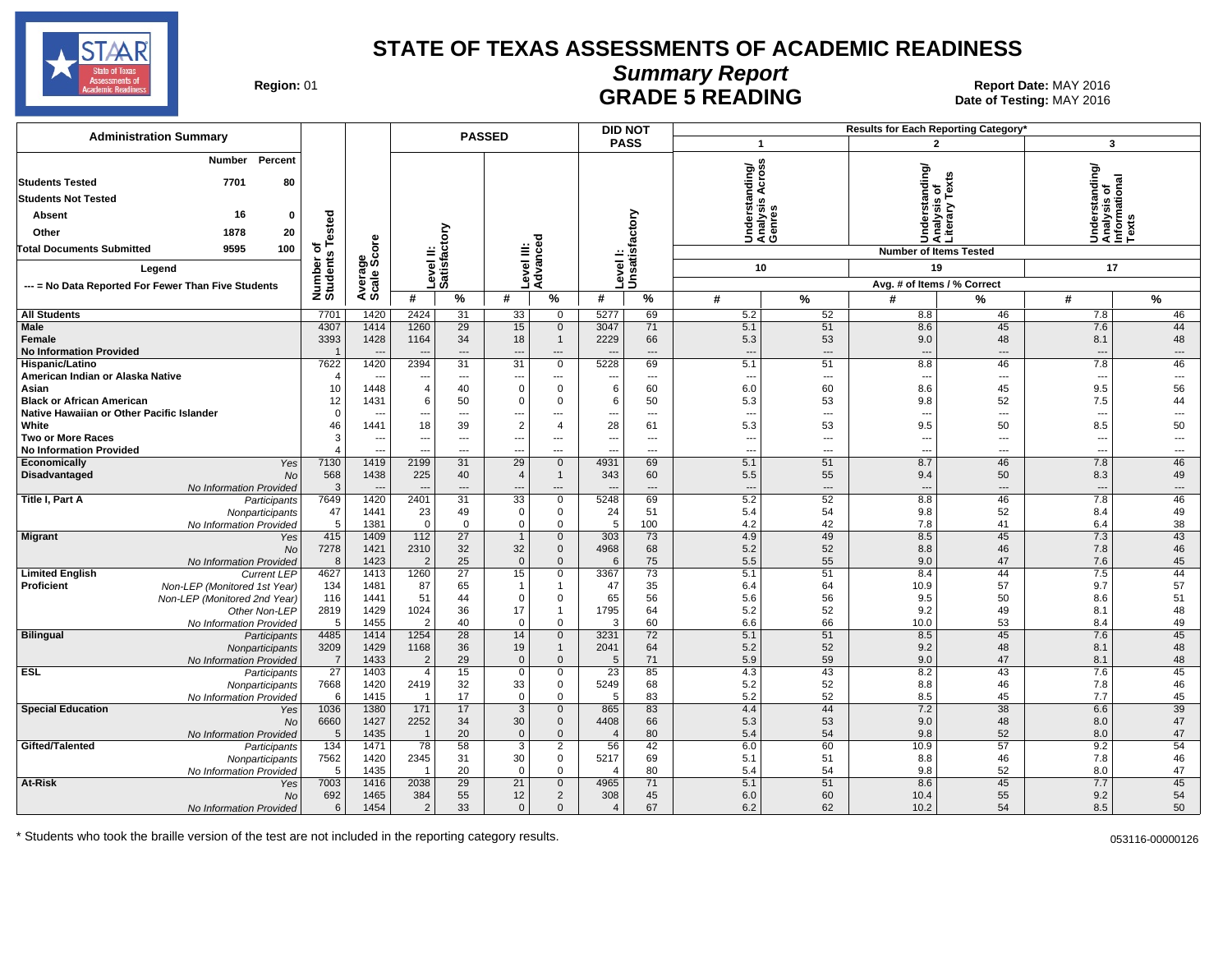

# **Summary Report**

Region: 01 **Region: 01 Report Date: MAY 2016**<br>**GRADE 5 READING** Date of Testing: MAY 2016 Date of Testing: MAY 2016

| <b>Administration Summary</b>                                    |                       |                                  |                          |                                | <b>PASSED</b>                 |                                          | <b>DID NOT</b>                 |                             |                                 |                                |                                 | Results for Each Reporting Category'            |                                                         |                          |
|------------------------------------------------------------------|-----------------------|----------------------------------|--------------------------|--------------------------------|-------------------------------|------------------------------------------|--------------------------------|-----------------------------|---------------------------------|--------------------------------|---------------------------------|-------------------------------------------------|---------------------------------------------------------|--------------------------|
|                                                                  |                       |                                  |                          |                                |                               |                                          | <b>PASS</b>                    |                             | $\overline{\mathbf{1}}$         |                                |                                 | $\overline{2}$                                  | 3                                                       |                          |
| Percent<br><b>Number</b><br><b>Students Tested</b><br>7701<br>80 |                       |                                  |                          |                                |                               |                                          |                                |                             | ding/                           | S<br>۰<br>ত<br>⋖               |                                 | Understanding/<br>Analysis of<br>Literary Texts | Understanding/<br>Analysis of<br>Informational<br>Texts |                          |
| <b>Students Not Tested</b>                                       |                       |                                  |                          |                                |                               |                                          |                                |                             |                                 | <b>SC</b>                      |                                 |                                                 |                                                         |                          |
| 16<br><b>Absent</b><br>$\mathbf{0}$                              | Tested                |                                  |                          |                                |                               |                                          |                                |                             |                                 | Underst:<br>Analysis<br>Genres |                                 |                                                 |                                                         |                          |
| 20<br>Other<br>1878                                              |                       |                                  |                          | ξ                              |                               |                                          |                                |                             |                                 |                                |                                 |                                                 |                                                         |                          |
| <b>Total Documents Submitted</b><br>9595<br>100                  | ৳                     |                                  | ≐                        |                                | $\equiv \frac{5}{6}$          |                                          |                                |                             |                                 |                                |                                 | <b>Number of Items Tested</b>                   |                                                         |                          |
|                                                                  | Number of<br>Students | ge<br>Score                      |                          | Level II:<br>Satisfac          | Level III:<br>Advance         |                                          |                                | Level I:<br> Unsatisfactory |                                 | 10                             |                                 | 19                                              | 17                                                      |                          |
| Legend                                                           |                       |                                  |                          |                                |                               |                                          |                                |                             |                                 |                                |                                 |                                                 |                                                         |                          |
| --- = No Data Reported For Fewer Than Five Students              |                       | Avera<br>Scale                   | #                        | $\frac{9}{6}$                  | #                             |                                          | #                              |                             |                                 |                                |                                 | Avg. # of Items / % Correct                     |                                                         |                          |
|                                                                  |                       |                                  |                          |                                |                               | %                                        |                                | %                           | #                               | %                              | #                               | %                                               | #                                                       | $\%$                     |
| <b>All Students</b><br>Male                                      | 7701<br>4307          | 1420<br>1414                     | 2424<br>1260             | 31<br>29                       | 33<br>15                      | $\mathbf 0$<br>$\mathbf 0$               | 5277<br>3047                   | 69<br>71                    | 5.2<br>5.1                      | 52<br>51                       | 8.8<br>8.6                      | 46<br>45                                        | 7.8<br>7.6                                              | 46<br>44                 |
| <b>Female</b>                                                    | 3393                  | 1428                             | 1164                     | 34                             | 18                            | $\mathbf{1}$                             | 2229                           | 66                          | 5.3                             | 53                             | 9.0                             | 48                                              | 8.1                                                     | 48                       |
| <b>No Information Provided</b>                                   | $\overline{1}$        |                                  |                          | $\overline{\phantom{a}}$       | $\overline{a}$                | $\qquad \qquad \cdots$                   |                                | $\overline{a}$              | $\overline{\phantom{a}}$        | $---$                          |                                 | ---                                             |                                                         | $\hspace{0.05cm} \ldots$ |
| Hispanic/Latino                                                  | 7622                  | 1420                             | 2394                     | 31                             | 31                            | $\mathbf 0$                              | 5228                           | 69                          | 5.1                             | 51                             | 8.8                             | 46                                              | 7.8                                                     | 46                       |
| American Indian or Alaska Native                                 | $\overline{4}$        | $\overline{\phantom{a}}$         | ---                      | $\hspace{0.05cm} \ldots$       | $\hspace{0.05cm} \ldots$      | $\qquad \qquad \cdots$                   | $\overline{\phantom{a}}$       | $\qquad \qquad \cdots$      | $\overline{\phantom{a}}$        | $\hspace{0.05cm} \ldots$       | $\overline{\phantom{a}}$        | $\qquad \qquad \cdots$                          | $\overline{\phantom{a}}$                                | $\hspace{0.05cm} \ldots$ |
| Asian                                                            | 10                    | 1448                             | $\overline{4}$           | 40                             | $\mathbf 0$                   | $\mathbf 0$                              | 6                              | 60                          | 6.0                             | 60                             | 8.6                             | 45                                              | 9.5                                                     | 56                       |
| <b>Black or African American</b>                                 | 12                    | 1431                             | 6                        | 50                             | $\mathbf 0$                   | $\mathbf 0$                              | 6                              | 50                          | 5.3                             | 53                             | 9.8                             | 52                                              | 7.5                                                     | 44                       |
| Native Hawaiian or Other Pacific Islander                        | $\Omega$              | $\overline{\phantom{a}}$         | ---                      | $\overline{\phantom{a}}$       | $\hspace{0.05cm} \ldots$      | $\qquad \qquad \cdots$<br>$\overline{4}$ | ---                            | $\overline{a}$              | $\overline{\phantom{a}}$        | $\overline{\phantom{a}}$       | $\overline{\phantom{a}}$        | ---                                             | $\overline{\phantom{a}}$                                | $\hspace{0.05cm} \ldots$ |
| White<br><b>Two or More Races</b>                                | 46<br>3               | 1441<br>$\overline{\phantom{a}}$ | 18<br>---                | 39<br>---                      | $\overline{2}$<br>---         | $\overline{\phantom{a}}$                 | 28<br>$\hspace{0.05cm} \ldots$ | 61<br>$\overline{a}$        | 5.3<br>$\overline{\phantom{a}}$ | 53<br>---                      | 9.5<br>$\overline{\phantom{a}}$ | 50<br>---                                       | 8.5<br>---                                              | 50<br>$\overline{a}$     |
| <b>No Information Provided</b>                                   | $\overline{4}$        |                                  |                          | ---                            | ---                           | $\overline{a}$                           |                                | $---$                       | $\overline{a}$                  | ---                            | $\overline{\phantom{a}}$        | ---                                             | ---                                                     | ---                      |
| <b>Economically</b><br>Yes                                       | 7130                  | 1419                             | 2199                     | 31                             | 29                            | $\mathbf 0$                              | 4931                           | 69                          | 5.1                             | 51                             | 8.7                             | 46                                              | 7.8                                                     | 46                       |
| <b>Disadvantaged</b><br><b>No</b>                                | 568                   | 1438                             | 225                      | 40                             | $\overline{4}$                | $\overline{1}$                           | 343                            | 60                          | 5.5                             | 55                             | 9.4                             | 50                                              | 8.3                                                     | 49                       |
| No Information Provided                                          | 3                     |                                  | $\overline{\phantom{a}}$ | $\overline{\phantom{a}}$       | ---                           | $\cdots$                                 | $---$                          | $\overline{\phantom{a}}$    | $\overline{\phantom{a}}$        | $\overline{\phantom{a}}$       | $\overline{\phantom{a}}$        | ---                                             | $\overline{\phantom{a}}$                                | $\cdots$                 |
| Title I, Part A<br>Participants                                  | 7649                  | 1420                             | 2401                     | 31                             | 33                            | 0                                        | 5248                           | 69                          | 5.2                             | 52                             | 8.8                             | 46                                              | 7.8                                                     | 46                       |
| Nonparticipants                                                  | 47                    | 1441                             | 23<br>$\Omega$           | 49                             | $\mathbf 0$                   | $\mathbf 0$                              | 24<br>5                        | 51                          | 5.4                             | 54                             | 9.8                             | 52                                              | 8.4                                                     | 49                       |
| No Information Provided<br><b>Migrant</b><br>Yes                 | 5<br>415              | 1381<br>1409                     | 112                      | $\mathbf 0$<br>$\overline{27}$ | $\mathbf 0$<br>$\overline{1}$ | $\mathbf 0$<br>$\mathbf 0$               | 303                            | 100<br>73                   | 4.2<br>4.9                      | 42<br>49                       | 7.8<br>8.5                      | 41<br>45                                        | 6.4<br>7.3                                              | 38<br>43                 |
| No                                                               | 7278                  | 1421                             | 2310                     | 32                             | 32                            | $\mathsf{O}\xspace$                      | 4968                           | 68                          | 5.2                             | 52                             | 8.8                             | 46                                              | 7.8                                                     | 46                       |
| No Information Provided                                          | 8                     | 1423                             | $\overline{2}$           | 25                             | $\mathbf{0}$                  | $\mathbf{0}$                             | 6                              | 75                          | 5.5                             | 55                             | 9.0                             | 47                                              | 7.6                                                     | 45                       |
| <b>Limited English</b><br><b>Current LEP</b>                     | 4627                  | 1413                             | 1260                     | 27                             | 15                            | $\Omega$                                 | 3367                           | 73                          | 5.1                             | 51                             | 8.4                             | 44                                              | 7.5                                                     | 44                       |
| <b>Proficient</b><br>Non-LEP (Monitored 1st Year)                | 134                   | 1481                             | 87                       | 65                             | $\overline{1}$                | $\mathbf{1}$                             | 47                             | 35                          | 6.4                             | 64                             | 10.9                            | 57                                              | 9.7                                                     | 57                       |
| Non-LEP (Monitored 2nd Year)                                     | 116                   | 1441                             | 51                       | 44                             | $\Omega$                      | $\mathbf 0$                              | 65                             | 56                          | 5.6                             | 56                             | 9.5                             | 50                                              | 8.6                                                     | 51                       |
| Other Non-LEP                                                    | 2819                  | 1429                             | 1024                     | 36                             | 17                            | $\blacktriangleleft$                     | 1795                           | 64                          | 5.2                             | 52                             | 9.2                             | 49                                              | 8.1                                                     | 48                       |
| No Information Provided<br><b>Bilingual</b><br>Participants      | 5<br>4485             | 1455<br>1414                     | $\overline{2}$<br>1254   | 40<br>28                       | $\mathbf 0$<br>14             | $\Omega$<br>$\mathbf 0$                  | 3<br>3231                      | 60<br>72                    | 6.6<br>5.1                      | 66<br>51                       | 10.0<br>8.5                     | 53<br>45                                        | 8.4<br>7.6                                              | 49<br>45                 |
| Nonparticipants                                                  | 3209                  | 1429                             | 1168                     | 36                             | 19                            | $\overline{1}$                           | 2041                           | 64                          | 5.2                             | 52                             | 9.2                             | 48                                              | 8.1                                                     | 48                       |
| No Information Provided                                          | $\overline{7}$        | 1433                             | $\overline{2}$           | 29                             | $\mathbf{0}$                  | $\Omega$                                 | .5                             | 71                          | 5.9                             | 59                             | 9.0                             | 47                                              | 8.1                                                     | 48                       |
| <b>ESL</b><br>Participants                                       | $\overline{27}$       | 1403                             | $\overline{4}$           | 15                             | $\mathbf 0$                   | 0                                        | 23                             | 85                          | 4.3                             | 43                             | 8.2                             | 43                                              | 7.6                                                     | 45                       |
| Nonparticipants                                                  | 7668                  | 1420                             | 2419                     | 32                             | 33                            | $\mathbf 0$                              | 5249                           | 68                          | 5.2                             | 52                             | 8.8                             | 46                                              | 7.8                                                     | 46                       |
| No Information Provided                                          | 6                     | 1415                             | $\overline{\mathbf{1}}$  | 17                             | $\mathbf 0$                   | $\mathbf 0$                              | 5                              | 83                          | 5.2                             | 52                             | 8.5                             | 45                                              | 7.7                                                     | 45                       |
| <b>Special Education</b><br>Yes                                  | 1036                  | 1380                             | 171                      | 17                             | 3                             | $\mathbf 0$                              | 865                            | 83                          | 4.4                             | 44                             | 7.2                             | 38                                              | 6.6                                                     | 39                       |
| No                                                               | 6660                  | 1427                             | 2252<br>$\overline{1}$   | 34<br>20                       | 30                            | $\mathbf 0$<br>$\Omega$                  | 4408<br>$\overline{4}$         | 66<br>80                    | 5.3                             | 53<br>54                       | 9.0                             | 48                                              | 8.0                                                     | 47                       |
| No Information Provided<br>Gifted/Talented<br>Participants       | 5<br>134              | 1435<br>1471                     | 78                       | 58                             | $\mathbf 0$<br>$\overline{3}$ | 2                                        | 56                             | 42                          | 5.4<br>6.0                      | 60                             | 9.8<br>10.9                     | 52<br>57                                        | 8.0<br>9.2                                              | 47<br>54                 |
| Nonparticipants                                                  | 7562                  | 1420                             | 2345                     | 31                             | 30                            | $\mathbf 0$                              | 5217                           | 69                          | 5.1                             | 51                             | 8.8                             | 46                                              | 7.8                                                     | 46                       |
| No Information Provided                                          | -5                    | 1435                             | -1                       | 20                             | $\mathbf 0$                   | $\mathbf 0$                              | 4                              | 80                          | 5.4                             | 54                             | 9.8                             | 52                                              | 8.0                                                     | 47                       |
| At-Risk<br>Yes                                                   | 7003                  | 1416                             | 2038                     | 29                             | 21                            | $\mathbf{0}$                             | 4965                           | 71                          | 5.1                             | 51                             | 8.6                             | 45                                              | 7.7                                                     | 45                       |
| No                                                               | 692                   | 1465                             | 384                      | 55                             | 12                            | 2                                        | 308                            | 45                          | 6.0                             | 60                             | 10.4                            | 55                                              | 9.2                                                     | 54                       |
| No Information Provided                                          | 6                     | 1454                             | $\overline{2}$           | 33                             | $\mathbf{0}$                  | $\Omega$                                 | $\overline{4}$                 | 67                          | 6.2                             | 62                             | 10.2                            | 54                                              | 8.5                                                     | 50                       |

\* Students who took the braille version of the test are not included in the reporting category results. 053116-0000126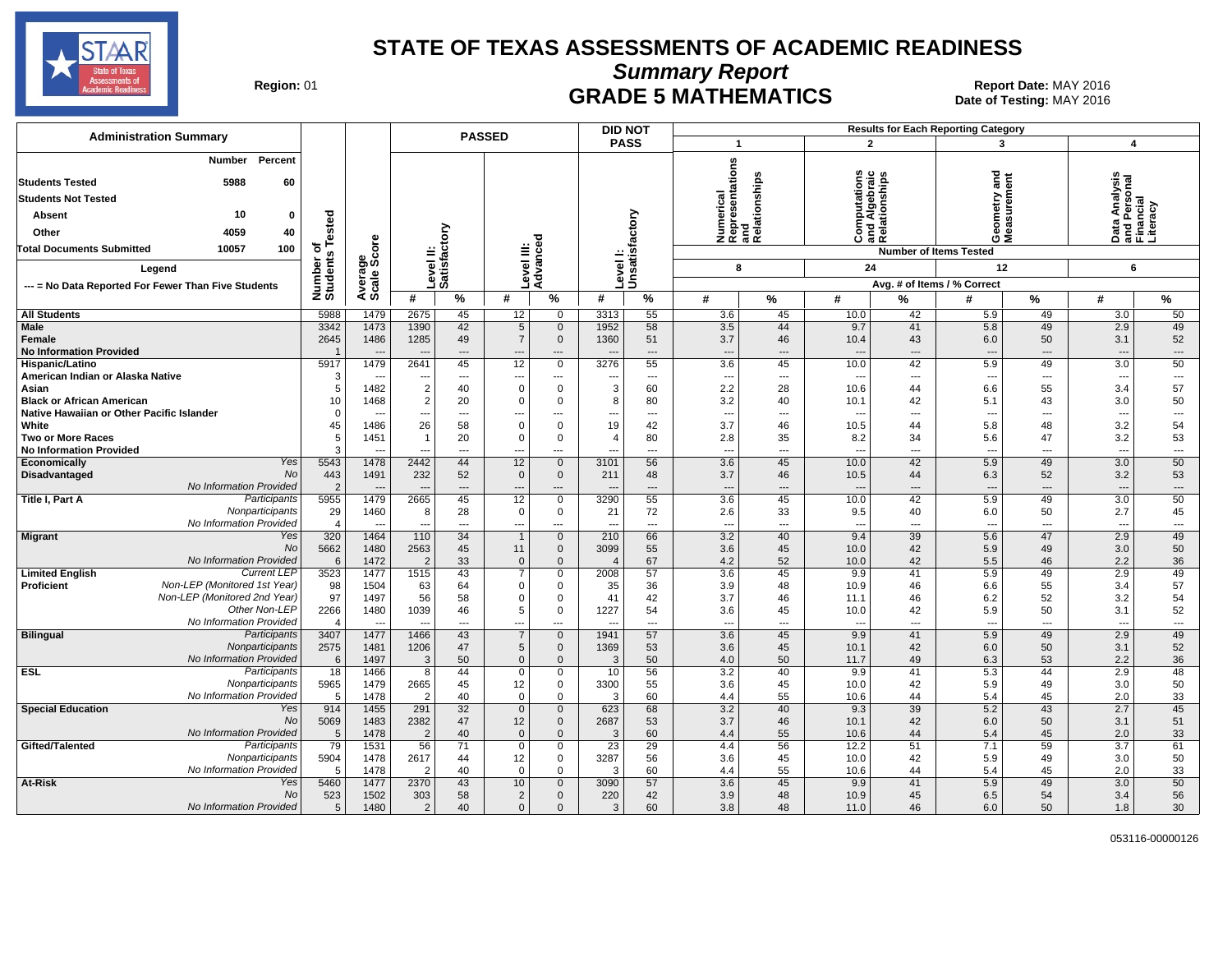

**Summary Report**

Region: 01 **Region: 01 Report Date: MAY 2016**<br>Bate of Testing: MAY 2016 Date of Testing: MAY 2016

| <b>Administration Summary</b>                                                                                                                                                                     |                                                               |                                          |                                         |                                               | <b>PASSED</b>                           |                                                                | <b>DID NOT</b>       |                                                              |                                                           |                            |                                                                      |                            | <b>Results for Each Reporting Category</b>                             |                                                                  |                                                                    |                                      |
|---------------------------------------------------------------------------------------------------------------------------------------------------------------------------------------------------|---------------------------------------------------------------|------------------------------------------|-----------------------------------------|-----------------------------------------------|-----------------------------------------|----------------------------------------------------------------|----------------------|--------------------------------------------------------------|-----------------------------------------------------------|----------------------------|----------------------------------------------------------------------|----------------------------|------------------------------------------------------------------------|------------------------------------------------------------------|--------------------------------------------------------------------|--------------------------------------|
|                                                                                                                                                                                                   |                                                               |                                          |                                         |                                               |                                         |                                                                | <b>PASS</b>          |                                                              | $\overline{1}$                                            |                            | $\mathbf{2}$                                                         |                            | 3                                                                      |                                                                  | $\boldsymbol{4}$                                                   |                                      |
| Percent<br>Number<br><b>Students Tested</b><br>5988<br>60<br><b>Students Not Tested</b><br>10<br>0<br>Absent<br>4059<br>Other<br>40<br>100<br><b>Total Documents Submitted</b><br>10057<br>Legend | sted<br>ة<br>৳<br>$\boldsymbol{\omega}$<br>Number<br>Students | ge<br>Score                              |                                         | Level II:<br>Satisfactory                     | Level III:<br>Advanced                  |                                                                | Level I:             | Unsatisfactory                                               | Numerical<br>Representations<br>and<br>Relationships<br>8 | elationships               | ٤<br>Computations<br>Ind Algebraic<br>Relationships<br>ت<br>24       | 高立                         | and<br>etry<br>eas<br>eas<br>ŏέ<br><b>Number of Items Tested</b><br>12 |                                                                  | Data Analysis<br>and Personal<br>Financial<br>Literacy<br>6        |                                      |
| --- = No Data Reported For Fewer Than Five Students                                                                                                                                               |                                                               | Avera<br>Scale                           |                                         |                                               |                                         |                                                                |                      |                                                              |                                                           |                            |                                                                      |                            | Avg. # of Items / % Correct                                            |                                                                  |                                                                    |                                      |
|                                                                                                                                                                                                   |                                                               |                                          | #                                       | $\frac{9}{6}$                                 | #                                       | $\%$                                                           | #                    | %                                                            | #                                                         | %                          | #                                                                    | %                          | #                                                                      | %                                                                | #                                                                  | %                                    |
| <b>All Students</b>                                                                                                                                                                               | 5988                                                          | 1479                                     | 2675                                    | 45                                            | 12                                      | 0                                                              | 3313                 | 55                                                           | 3.6                                                       | 45                         | 10.0                                                                 | 42                         | 5.9                                                                    | 49                                                               | 3.0                                                                | 50                                   |
| <b>Male</b><br>Female<br><b>No Information Provided</b>                                                                                                                                           | 3342<br>2645<br>-1                                            | 1473<br>1486<br>$\sim$                   | 1390<br>1285<br>$\sim$                  | 42<br>49<br>$\overline{\phantom{a}}$          | $\overline{5}$<br>$\overline{7}$<br>--- | $\mathbf{0}$<br>$\overline{0}$<br>$\overline{\phantom{a}}$     | 1952<br>1360         | 58<br>51<br>$\overline{\phantom{a}}$                         | 3.5<br>3.7<br>---                                         | 44<br>46<br>$\overline{a}$ | 9.7<br>10.4<br>$\overline{\phantom{a}}$                              | 41<br>43<br>---            | 5.8<br>6.0<br>--                                                       | 49<br>50<br>$\overline{\phantom{a}}$                             | 2.9<br>3.1<br>$\overline{a}$                                       | 49<br>52<br>---                      |
| Hispanic/Latino                                                                                                                                                                                   | 5917                                                          | 1479                                     | 2641                                    | 45                                            | 12                                      | $\mathbf 0$                                                    | 3276                 | 55                                                           | 3.6                                                       | 45                         | 10.0                                                                 | 42                         | 5.9                                                                    | 49                                                               | 3.0                                                                | 50                                   |
| American Indian or Alaska Native<br>Asian<br><b>Black or African American</b><br>Native Hawaiian or Other Pacific Islander                                                                        | 3<br>5<br>10<br>$\Omega$                                      | 1482<br>1468<br>$\overline{\phantom{a}}$ | $\overline{2}$<br>$\overline{2}$<br>--- | $---$<br>40<br>20<br>$\hspace{0.05cm} \ldots$ | ---<br>$\Omega$<br>$\Omega$             | $\overline{a}$<br>$\mathbf 0$<br>0<br>$\overline{\phantom{a}}$ | 3<br>8               | $\overline{\phantom{a}}$<br>60<br>80<br>$\scriptstyle\cdots$ | $\overline{\phantom{a}}$<br>2.2<br>3.2<br>---             | ---<br>28<br>40<br>---     | $\overline{\phantom{a}}$<br>10.6<br>10.1<br>$\overline{\phantom{a}}$ | $---$<br>44<br>42<br>---   | $\overline{\phantom{a}}$<br>6.6<br>5.1<br>$\overline{\phantom{a}}$     | $\overline{\phantom{a}}$<br>55<br>43<br>$\overline{\phantom{a}}$ | $\overline{\phantom{a}}$<br>3.4<br>3.0<br>$\overline{\phantom{a}}$ | ---<br>57<br>50<br>---               |
| White                                                                                                                                                                                             | 45                                                            | 1486                                     | 26                                      | 58                                            | $\Omega$                                | $\mathbf 0$                                                    | 19                   | 42                                                           | 3.7                                                       | 46                         | 10.5                                                                 | 44                         | 5.8                                                                    | 48                                                               | 3.2                                                                | 54                                   |
| <b>Two or More Races</b>                                                                                                                                                                          | 5                                                             | 1451                                     | $\mathbf{1}$                            | 20                                            | $\Omega$                                | $\mathbf 0$                                                    | $\overline{4}$       | 80                                                           | 2.8                                                       | 35                         | 8.2                                                                  | 34                         | 5.6                                                                    | 47                                                               | 3.2                                                                | 53                                   |
| <b>No Information Provided</b>                                                                                                                                                                    | 3                                                             |                                          | $\overline{a}$                          | $\overline{\phantom{a}}$                      | ---                                     | $---$                                                          | ---                  | $---$                                                        | ---                                                       | ---                        | $\overline{a}$                                                       | $---$                      | $\sim$                                                                 | $\sim$                                                           | $\overline{a}$                                                     | ---                                  |
| Yes<br>Economically<br><b>No</b><br>Disadvantaged<br>No Information Provided                                                                                                                      | 5543<br>443<br>$\overline{2}$                                 | 1478<br>1491                             | 2442<br>232                             | 44<br>52<br>$---$                             | 12<br>$\mathbf 0$                       | $\mathbf 0$<br>$\mathbf 0$                                     | 3101<br>211          | 56<br>48<br>$---$                                            | 3.6<br>3.7<br>---                                         | 45<br>46<br>---            | 10.0<br>10.5<br>$\overline{a}$                                       | 42<br>44<br>$---$          | 5.9<br>6.3                                                             | 49<br>52<br>$\overline{a}$                                       | 3.0<br>3.2<br>---                                                  | 50<br>53<br>---                      |
| Participants<br>Title I, Part A<br>Nonparticipants<br>No Information Provided                                                                                                                     | 5955<br>29<br>$\overline{4}$                                  | 1479<br>1460                             | 2665<br>8<br>$\sim$                     | 45<br>28<br>$-$                               | 12<br>0<br>---                          | $\mathbf 0$<br>0<br>$\sim$                                     | 3290<br>21           | 55<br>72<br>$\overline{a}$                                   | 3.6<br>2.6<br>$\overline{a}$                              | 45<br>33<br>$\sim$         | 10.0<br>9.5<br>$\overline{a}$                                        | 42<br>40<br>$- - -$        | 5.9<br>6.0<br>$\sim$                                                   | 49<br>50<br>$\overline{a}$                                       | 3.0<br>2.7<br>$\sim$                                               | 50<br>45<br>$\overline{a}$           |
| <b>Migrant</b><br>Yes<br>No<br>No Information Provided                                                                                                                                            | 320<br>5662<br>6                                              | 1464<br>1480<br>1472                     | 110<br>2563<br>$\overline{2}$           | $\overline{34}$<br>45<br>33                   | $\mathbf{1}$<br>11<br>$\mathbf 0$       | $\overline{0}$<br>$\mathbf{0}$<br>$\mathbf 0$                  | 210<br>3099          | 66<br>55<br>67                                               | 3.2<br>3.6<br>4.2                                         | 40<br>45<br>52             | 9.4<br>10.0<br>10.0                                                  | 39<br>42<br>42             | 5.6<br>5.9<br>5.5                                                      | 47<br>49<br>46                                                   | 2.9<br>3.0<br>2.2                                                  | 49<br>50<br>36                       |
| <b>Current LEP</b><br><b>Limited English</b><br>Non-LEP (Monitored 1st Year)<br><b>Proficient</b>                                                                                                 | 3523<br>98                                                    | 1477<br>1504                             | 1515<br>63                              | 43<br>64                                      | $\overline{7}$<br>$\mathbf 0$           | $\mathsf 0$<br>$\mathbf 0$                                     | 2008<br>35           | 57<br>36                                                     | 3.6<br>3.9                                                | 45<br>48                   | 9.9<br>10.9                                                          | 41<br>46                   | 5.9<br>6.6                                                             | 49<br>55                                                         | 2.9<br>3.4                                                         | 49<br>57                             |
| Non-LEP (Monitored 2nd Year)<br>Other Non-LEP<br>No Information Provided                                                                                                                          | 97<br>2266<br>$\Delta$                                        | 1497<br>1480<br>$\overline{\phantom{a}}$ | 56<br>1039<br>$\overline{\phantom{a}}$  | 58<br>46<br>$\overline{\phantom{a}}$          | $\Omega$<br>5<br>$---$                  | $\mathbf 0$<br>$\mathbf 0$<br>$\sim$                           | 41<br>1227<br>$\sim$ | 42<br>54<br>$\sim$                                           | 3.7<br>3.6<br>$\overline{a}$                              | 46<br>45<br>$\overline{a}$ | 11.1<br>10.0<br>$\overline{a}$                                       | 46<br>42<br>$\overline{a}$ | 6.2<br>5.9<br>$\sim$                                                   | 52<br>50<br>$\overline{\phantom{a}}$                             | 3.2<br>3.1<br>$\overline{a}$                                       | 54<br>52<br>$\overline{\phantom{a}}$ |
| <b>Bilingual</b><br>Participants<br>Nonparticipants<br>No Information Provided                                                                                                                    | 3407<br>2575<br>6                                             | 1477<br>1481<br>1497                     | 1466<br>1206<br>3                       | 43<br>47<br>50                                | $\overline{7}$<br>5<br>$\mathbf{0}$     | $\mathbf 0$<br>$\mathbf 0$<br>$\mathbf{0}$                     | 1941<br>1369<br>3    | 57<br>53<br>50                                               | 3.6<br>3.6<br>4.0                                         | 45<br>45<br>50             | 9.9<br>10.1<br>11.7                                                  | 41<br>42<br>49             | 5.9<br>6.0<br>6.3                                                      | 49<br>50<br>53                                                   | 2.9<br>3.1<br>2.2                                                  | 49<br>52<br>36                       |
| <b>ESL</b><br>Participants<br>Nonparticipants<br>No Information Provided                                                                                                                          | 18<br>5965<br>5                                               | 1466<br>1479<br>1478                     | 8<br>2665<br>$\overline{2}$             | 44<br>45<br>40                                | $\Omega$<br>12<br>$\Omega$              | $\mathbf 0$<br>$\mathbf 0$<br>$\mathbf 0$                      | 10<br>3300<br>3      | 56<br>55<br>60                                               | 3.2<br>3.6<br>4.4                                         | 40<br>45<br>55             | 9.9<br>10.0<br>10.6                                                  | 41<br>42<br>44             | 5.3<br>5.9<br>5.4                                                      | 44<br>49<br>45                                                   | 2.9<br>3.0<br>2.0                                                  | 48<br>50<br>33                       |
| <b>Special Education</b><br>Yes<br>No<br>No Information Provided                                                                                                                                  | 914<br>5069<br>5                                              | 1455<br>1483<br>1478                     | 291<br>2382<br>$\overline{2}$           | 32<br>47<br>40                                | $\overline{0}$<br>12<br>$\Omega$        | $\mathbf 0$<br>$\mathbf 0$<br>$\mathbf{0}$                     | 623<br>2687<br>3     | 68<br>53<br>60                                               | 3.2<br>3.7<br>4.4                                         | 40<br>46<br>55             | 9.3<br>10.1<br>10.6                                                  | 39<br>42<br>44             | 5.2<br>6.0<br>5.4                                                      | 43<br>50<br>45                                                   | 2.7<br>3.1<br>2.0                                                  | 45<br>51<br>33                       |
| Gifted/Talented<br>Participants<br>Nonparticipants<br>No Information Provided                                                                                                                     | 79<br>5904<br>5                                               | 1531<br>1478<br>1478                     | 56<br>2617<br>$\overline{2}$            | 71<br>44<br>40                                | $\mathbf 0$<br>12<br>$\Omega$           | $\mathbf 0$<br>0<br>$\mathbf 0$                                | 23<br>3287<br>3      | $\overline{29}$<br>56<br>60                                  | 4.4<br>3.6<br>4.4                                         | 56<br>45<br>55             | 12.2<br>10.0<br>10.6                                                 | 51<br>42<br>44             | 7.1<br>5.9<br>5.4                                                      | 59<br>49<br>45                                                   | 3.7<br>3.0<br>2.0                                                  | 61<br>50<br>33                       |
| At-Risk<br>Yes<br>No<br>No Information Provided                                                                                                                                                   | 5460<br>523<br>5                                              | 1477<br>1502<br>1480                     | 2370<br>303<br>$\overline{2}$           | 43<br>58<br>40                                | 10<br>$\overline{2}$<br>$\mathbf{0}$    | $\overline{0}$<br>$\mathbf{0}$<br>0                            | 3090<br>220<br>3     | 57<br>42<br>60                                               | 3.6<br>3.9<br>3.8                                         | 45<br>48<br>48             | 9.9<br>10.9<br>11.0                                                  | 41<br>45<br>46             | 5.9<br>6.5<br>6.0                                                      | 49<br>54<br>50                                                   | 3.0<br>3.4<br>1.8                                                  | 50<br>56<br>30                       |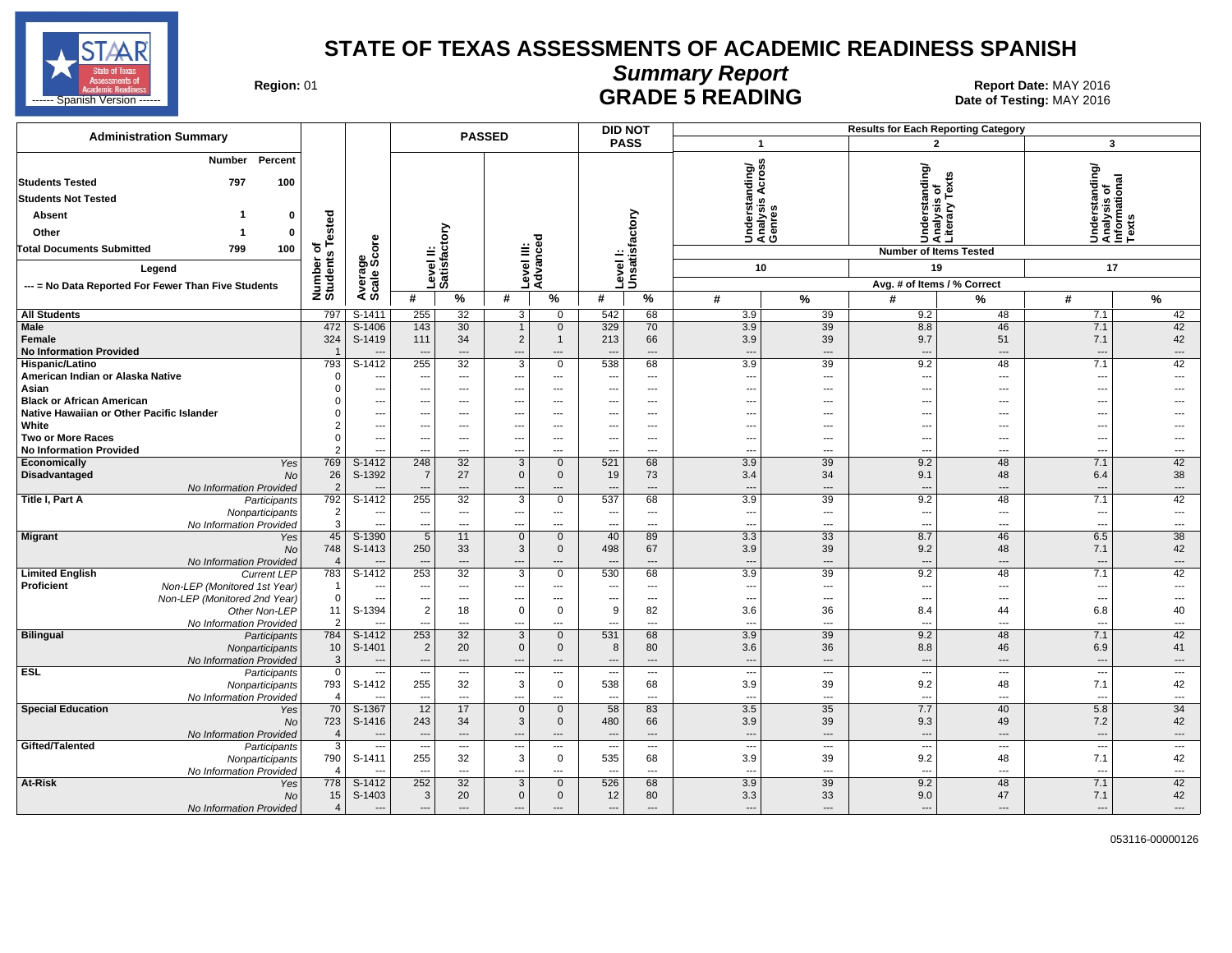

# **Summary Report**

Region: 01 **Region: 01 Report Date: MAY 2016**<br>**GRADE 5 READING** Date of Testing: MAY 2016

| <b>Administration Summary</b>                                                                                                                                                                  |                                         |                               |                                            |                            | <b>PASSED</b>                           |                            |                          | <b>DID NOT</b>             |                          |                                                          |                          | <b>Results for Each Reporting Category</b>                                               |                                                                         |                          |
|------------------------------------------------------------------------------------------------------------------------------------------------------------------------------------------------|-----------------------------------------|-------------------------------|--------------------------------------------|----------------------------|-----------------------------------------|----------------------------|--------------------------|----------------------------|--------------------------|----------------------------------------------------------|--------------------------|------------------------------------------------------------------------------------------|-------------------------------------------------------------------------|--------------------------|
|                                                                                                                                                                                                |                                         |                               |                                            |                            |                                         |                            |                          | <b>PASS</b>                |                          | $\mathbf{1}$                                             |                          | $\overline{2}$                                                                           | $\mathbf{3}$                                                            |                          |
| Percent<br>Number<br><b>Students Tested</b><br>797<br>100<br><b>Students Not Tested</b><br>Absent<br>1<br>0<br>Other<br>$\mathbf 0$<br>-1<br>Total Documents Submitted<br>799<br>100<br>Legend | of<br>s Tested<br>Number of<br>Students | ge<br>Score<br>Avera<br>Scale | ≝                                          | ξ<br>ā<br>Level<br>Satisfa | $\equiv \frac{5}{6}$<br>evel            | Advance                    |                          | Level I:<br>Unsatisfactory | nding/                   | S<br>ō<br>⋖<br>s<br>Understa<br>Analysis<br>Genres<br>10 |                          | Understanding/<br> Analysis of<br> Literary Texts<br><b>Number of Items Tested</b><br>19 | rstanding/<br>Understandi<br>Analysis of<br>Informationa<br>Texts<br>17 | ᢛ                        |
| --- = No Data Reported For Fewer Than Five Students                                                                                                                                            |                                         |                               | #                                          | $\frac{9}{6}$              | #                                       | $\%$                       | #                        | %                          | #                        | $\frac{9}{6}$                                            | #                        | Avg. # of Items / % Correct<br>℅                                                         | #                                                                       | $\frac{9}{6}$            |
| <b>All Students</b>                                                                                                                                                                            | 797                                     | $S-1411$                      |                                            |                            |                                         |                            | 542                      | 68                         |                          |                                                          |                          |                                                                                          |                                                                         |                          |
| Male                                                                                                                                                                                           | 472                                     | $S-1406$                      | 255<br>143                                 | 32<br>30                   | 3<br>$\overline{1}$                     | $\mathbf 0$<br>$\mathbf 0$ | 329                      | 70                         | 3.9<br>3.9               | 39<br>39                                                 | 9.2<br>8.8               | 48<br>46                                                                                 | 7.1<br>7.1                                                              | 42<br>42                 |
| Female                                                                                                                                                                                         | 324                                     | S-1419                        | 111                                        | 34                         | $\overline{2}$                          | $\mathbf{1}$               | 213                      | 66                         | 3.9                      | 39                                                       | 9.7                      | 51                                                                                       | 7.1                                                                     | 42                       |
| <b>No Information Provided</b>                                                                                                                                                                 | $\overline{\mathbf{1}}$                 |                               |                                            | $\overline{\phantom{a}}$   | ---                                     | $\cdots$                   |                          | ---                        | $\overline{\phantom{a}}$ | $\overline{\phantom{a}}$                                 | $\overline{\phantom{a}}$ | ---                                                                                      | $\sim$                                                                  | $\overline{\phantom{a}}$ |
| Hispanic/Latino                                                                                                                                                                                | 793                                     | S-1412                        | 255                                        | 32                         | 3                                       | $\mathbf 0$                | 538                      | 68                         | 3.9                      | 39                                                       | 9.2                      | 48                                                                                       | 7.1                                                                     | 42                       |
| American Indian or Alaska Native                                                                                                                                                               | $\Omega$                                | $\overline{\phantom{a}}$      | $\overline{\phantom{a}}$                   | $\hspace{0.05cm} \ldots$   | $\hspace{0.05cm} \ldots$                | $\cdots$                   | $\overline{\phantom{a}}$ | $\cdots$                   | $\overline{\phantom{a}}$ | $\overline{\phantom{a}}$                                 | $\sim$                   | ---                                                                                      | $\overline{\phantom{a}}$                                                | ---                      |
| Asian                                                                                                                                                                                          | $\Omega$                                | $\sim$                        | ---                                        | $\overline{\phantom{a}}$   | ---                                     | $\cdots$                   | ---                      | ---                        | ---                      | $---$                                                    | $\sim$                   | ---                                                                                      |                                                                         |                          |
| <b>Black or African American</b>                                                                                                                                                               | $\Omega$                                | $\overline{\phantom{a}}$      | ---                                        | ---                        | ---                                     | $\cdots$                   | ---                      | $---$                      | ---                      | $---$                                                    | $\overline{a}$           | ---                                                                                      | $- - -$                                                                 |                          |
| Native Hawaiian or Other Pacific Islander                                                                                                                                                      | $\Omega$                                | $\overline{\phantom{a}}$      | ---                                        | ---                        | ---                                     | ---                        | ---                      | ---                        | ---                      | ---                                                      | ---                      | ---                                                                                      |                                                                         |                          |
| White                                                                                                                                                                                          | $\overline{2}$                          | $\sim$                        | ---                                        | ---                        | ---                                     | $\overline{\phantom{a}}$   | ---                      | ---                        | ---                      | $---$                                                    | --                       | ---                                                                                      |                                                                         |                          |
| <b>Two or More Races</b>                                                                                                                                                                       | 0                                       | $\overline{\phantom{a}}$      | $\overline{\phantom{a}}$                   | $\sim$                     | ---                                     | $\cdots$                   | $\overline{\phantom{a}}$ | $---$                      | $\overline{\phantom{a}}$ | $---$                                                    | ---                      | ---                                                                                      | $\sim$                                                                  | $---$                    |
| <b>No Information Provided</b>                                                                                                                                                                 | $\overline{2}$                          | --                            | ---                                        | $\overline{a}$             | ---                                     | $---$                      |                          | $---$                      | ---                      | $\overline{\phantom{a}}$                                 | $\sim$                   | ---                                                                                      | $\overline{\phantom{a}}$                                                | ---                      |
| Economically<br>Yes<br><b>Disadvantaged</b><br><b>No</b>                                                                                                                                       | 769<br>26                               | $S-1412$<br>S-1392            | 248<br>$\overline{7}$                      | 32<br>27                   | 3<br>$\mathsf 0$                        | $\mathbf 0$<br>$\mathbf 0$ | 521<br>19                | 68<br>73                   | 3.9<br>3.4               | 39<br>34                                                 | 9.2<br>9.1               | 48<br>48                                                                                 | 7.1<br>6.4                                                              | 42<br>38                 |
| No Information Provided                                                                                                                                                                        | 2                                       |                               | $\overline{a}$                             | $\overline{\phantom{a}}$   | ---                                     | ---                        |                          | ---                        | $\overline{\phantom{a}}$ | $\overline{a}$                                           | $\overline{\phantom{a}}$ | ---                                                                                      | $\sim$                                                                  | ---                      |
| <b>Title I, Part A</b><br>Participants                                                                                                                                                         | 792                                     | $S-1412$                      | 255                                        | 32                         | 3                                       | $\mathbf 0$                | 537                      | 68                         | 3.9                      | 39                                                       | 9.2                      | 48                                                                                       | 7.1                                                                     | 42                       |
| Nonparticipants                                                                                                                                                                                | $\overline{\mathbf{c}}$                 | $\overline{\phantom{a}}$      | $\overline{\phantom{a}}$                   | ---                        | ---                                     | $\cdots$                   | $\overline{\phantom{a}}$ | $---$                      | $\overline{\phantom{a}}$ | $---$                                                    | $\overline{\phantom{a}}$ | ---                                                                                      | $\sim$                                                                  | $---$                    |
| No Information Provided                                                                                                                                                                        | 3                                       | $\overline{\phantom{a}}$      | ---                                        | ---                        | ---                                     | $\overline{\phantom{a}}$   | ---                      | ---                        | ---                      | $\cdots$                                                 | ---                      | ---                                                                                      | $\overline{\phantom{a}}$                                                | ---                      |
| <b>Migrant</b><br>Yes                                                                                                                                                                          | 45                                      | S-1390                        | $\overline{5}$                             | 11                         | $\overline{0}$                          | $\mathbf{0}$               | 40                       | 89                         | 3.3                      | $\overline{33}$                                          | 8.7                      | 46                                                                                       | 6.5                                                                     | $\overline{38}$          |
| No                                                                                                                                                                                             | 748                                     | S-1413                        | 250                                        | 33                         | 3                                       | $\mathbf 0$                | 498                      | 67                         | 3.9                      | 39                                                       | 9.2                      | 48                                                                                       | 7.1                                                                     | 42                       |
| No Information Provided                                                                                                                                                                        |                                         |                               |                                            | $\overline{\phantom{a}}$   | ---                                     | $---$                      |                          | $\overline{a}$             | $\overline{\phantom{a}}$ | $\overline{\phantom{a}}$                                 | $\overline{\phantom{a}}$ | ---                                                                                      |                                                                         | $\overline{\phantom{a}}$ |
| <b>Limited English</b><br><b>Current LEP</b>                                                                                                                                                   | 783                                     | S-1412                        | 253                                        | 32                         | 3                                       | $\mathbf 0$                | 530                      | 68                         | 3.9                      | 39                                                       | 9.2                      | 48                                                                                       | 7.1                                                                     | 42                       |
| Proficient<br>Non-LEP (Monitored 1st Year)                                                                                                                                                     | -1                                      | $\sim$                        | $\overline{a}$                             | $---$                      | ---                                     | $---$                      | $\sim$                   | $---$                      | ---                      | $\sim$                                                   | $\overline{a}$           | $\overline{a}$                                                                           | --                                                                      | $\overline{a}$           |
| Non-LEP (Monitored 2nd Year)                                                                                                                                                                   | $\mathbf 0$                             | $\overline{\phantom{a}}$      | $\overline{\phantom{a}}$                   | $\overline{\phantom{a}}$   | ---                                     | ---                        | $\overline{\phantom{a}}$ | $\overline{\phantom{a}}$   | $\overline{\phantom{a}}$ | $\overline{\phantom{a}}$                                 | $\sim$                   | ---                                                                                      | ---                                                                     | ---                      |
| Other Non-LEP                                                                                                                                                                                  | 11<br>$\overline{2}$                    | S-1394                        | $\overline{2}$<br>$\overline{\phantom{a}}$ | 18<br>$\sim$               | $\mathbf 0$<br>$\overline{a}$           | $\mathbf 0$<br>$---$       | 9<br>$\sim$              | 82<br>$---$                | 3.6<br>---               | 36<br>$---$                                              | 8.4<br>$\overline{a}$    | 44<br>$\overline{a}$                                                                     | 6.8<br>---                                                              | 40<br>$---$              |
| No Information Provided<br><b>Bilingual</b><br>Participants                                                                                                                                    | 784                                     | S-1412                        | 253                                        | 32                         | 3                                       | $\mathbf 0$                | 531                      | 68                         | 3.9                      | 39                                                       | 9.2                      | 48                                                                                       | 7.1                                                                     | 42                       |
| Nonparticipants                                                                                                                                                                                | 10                                      | S-1401                        | $\overline{2}$                             | 20                         | $\mathbf{0}$                            | $\mathbf{0}$               | 8                        | 80                         | 3.6                      | 36                                                       | 8.8                      | 46                                                                                       | 6.9                                                                     | 41                       |
| No Information Provided                                                                                                                                                                        | 3                                       | $\overline{\phantom{a}}$      | $\overline{\phantom{a}}$                   | $---$                      | $\overline{\phantom{a}}$                | $---$                      | $---$                    | $---$                      | $\overline{\phantom{a}}$ | $---$                                                    | $\overline{\phantom{a}}$ | $---$                                                                                    | $\overline{\phantom{a}}$                                                | $---$                    |
| <b>ESL</b><br>Participants                                                                                                                                                                     | $\mathbf 0$                             | $\overline{\phantom{a}}$      | $\overline{\phantom{a}}$                   | $\overline{\phantom{a}}$   | $\hspace{0.05cm} \ldots$                | $\overline{\phantom{a}}$   | $\overline{\phantom{a}}$ | $\cdots$                   | $\overline{\phantom{a}}$ | $\overline{\phantom{a}}$                                 | $\overline{\phantom{a}}$ | ---                                                                                      | $\overline{\phantom{a}}$                                                | $\hspace{0.05cm} \ldots$ |
| Nonparticipants                                                                                                                                                                                | 793                                     | S-1412                        | 255                                        | 32                         | $\mathsf 3$                             | $\mathbf 0$                | 538                      | 68                         | 3.9                      | 39                                                       | 9.2                      | 48                                                                                       | 7.1                                                                     | 42                       |
| No Information Provided                                                                                                                                                                        | $\boldsymbol{\Delta}$                   |                               | $\sim$                                     | $\sim$                     | $\overline{a}$                          | $---$                      | $\overline{\phantom{a}}$ | $---$                      | $\sim$                   | $---$                                                    | $\overline{a}$           | $\sim$                                                                                   | ---                                                                     | $\sim$                   |
| <b>Special Education</b><br>Yes                                                                                                                                                                | 70                                      | $S-1367$                      | 12                                         | 17                         | $\Omega$                                | $\mathbf{0}$               | 58                       | 83                         | 3.5                      | 35                                                       | 7.7                      | 40                                                                                       | 5.8                                                                     | 34                       |
| No                                                                                                                                                                                             | 723                                     | S-1416                        | 243                                        | 34                         | $\mathbf{3}$                            | $\mathbf{0}$               | 480                      | 66                         | 3.9                      | 39                                                       | 9.3                      | 49                                                                                       | 7.2                                                                     | 42                       |
| No Information Provided                                                                                                                                                                        | $\overline{4}$                          | $\sim$                        | $\overline{\phantom{a}}$                   | $---$                      | $---$                                   | $---$                      | $\overline{\phantom{a}}$ | $---$                      | $\overline{\phantom{a}}$ | $---$                                                    | $\sim$                   | $\overline{\phantom{a}}$                                                                 | $\overline{\phantom{a}}$                                                | $---$                    |
| Gifted/Talented<br>Participants                                                                                                                                                                | 3                                       | $\cdots$                      | $\overline{\phantom{a}}$                   | $\hspace{0.05cm} \ldots$   | ---                                     | $\cdots$                   | $\overline{\phantom{a}}$ | $\cdots$                   | $\overline{\phantom{a}}$ | $\hspace{0.05cm} \ldots$                                 | $\overline{\phantom{a}}$ | ---                                                                                      | $\sim$                                                                  | $\hspace{0.05cm} \ldots$ |
| Nonparticipants                                                                                                                                                                                | 790                                     | S-1411                        | 255                                        | 32                         | 3                                       | $\mathbf 0$                | 535                      | 68                         | 3.9                      | 39                                                       | 9.2                      | 48                                                                                       | 7.1                                                                     | 42                       |
| No Information Provided                                                                                                                                                                        | 4                                       |                               | $\overline{\phantom{a}}$                   | $\sim$                     | ---                                     | $---$                      | $\sim$                   | $---$                      | $\overline{\phantom{a}}$ | $---$                                                    | $\overline{a}$           | $\overline{\phantom{a}}$                                                                 | ---                                                                     | $\sim$                   |
| At-Risk<br>Yes                                                                                                                                                                                 | 778                                     | S-1412                        | 252                                        | 32                         | 3                                       | $\Omega$                   | 526                      | 68                         | 3.9                      | 39                                                       | 9.2                      | 48                                                                                       | 7.1                                                                     | 42                       |
| No                                                                                                                                                                                             | 15<br>$\overline{4}$                    | S-1403<br>$\sim$              | $\mathbf{3}$<br>$\hspace{1.5cm} \cdots$    | 20<br>$---$                | $\mathbf 0$<br>$\overline{\phantom{a}}$ | $\mathbf 0$<br>$---$       | 12<br>$---$              | 80<br>$---$                | 3.3<br>---               | 33<br>$---$                                              | 9.0<br>$\sim$            | 47<br>$---$                                                                              | 7.1<br>$\overline{\phantom{a}}$                                         | 42<br>$---$              |
| No Information Provided                                                                                                                                                                        |                                         |                               |                                            |                            |                                         |                            |                          |                            |                          |                                                          |                          |                                                                                          |                                                                         |                          |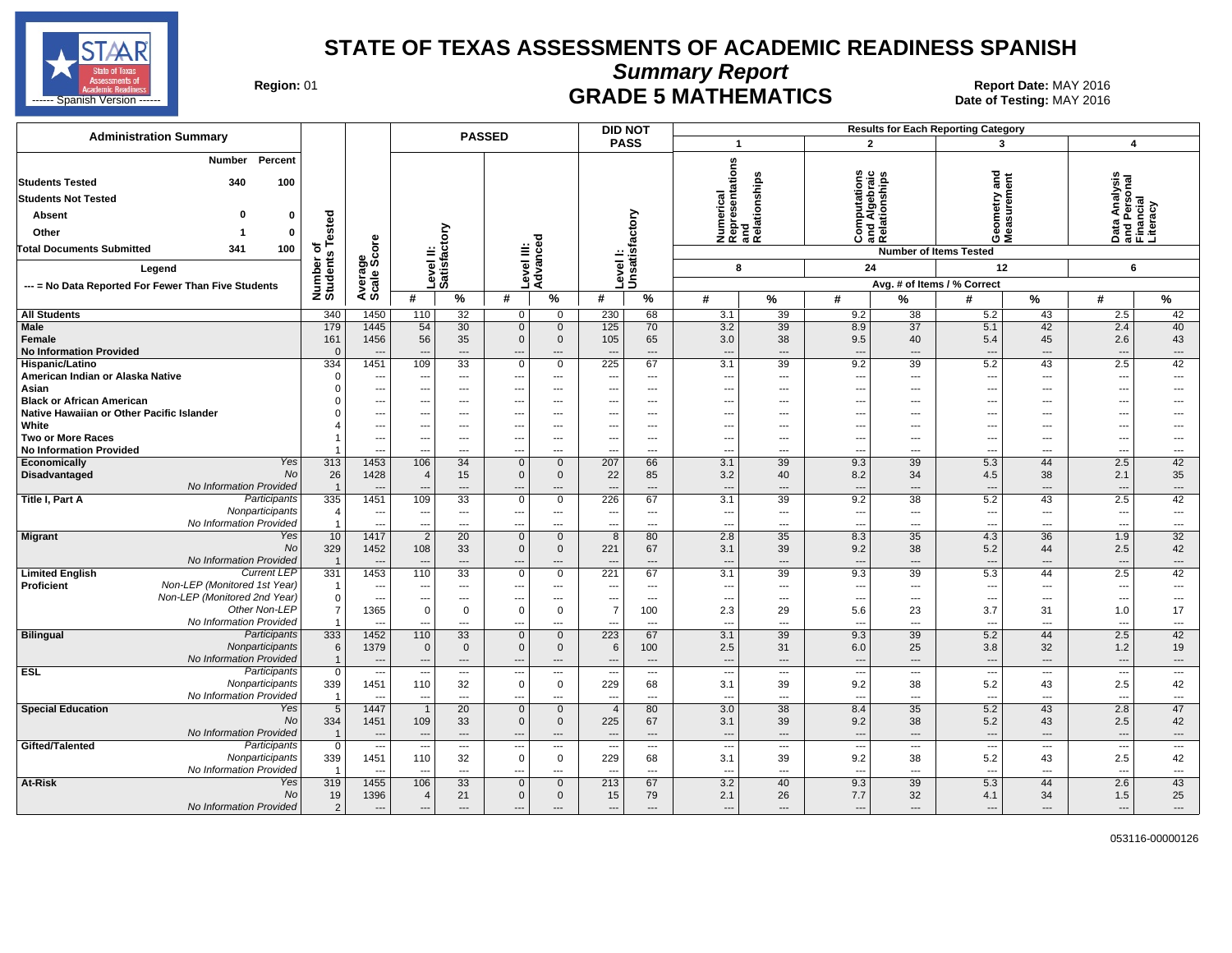

**Summary Report**

Region: 01 **Region: 01 Report Date: MAY 2016**<br>Bate of Testing: MAY 2016

| <b>Administration Summary</b>                                                                                                                                                        |                                                 |                                         |                                                               |                                                      | <b>PASSED</b>                                  |                                              |                                 | <b>DID NOT</b>                            |                                       |                                                           |                                                      |                                                      | <b>Results for Each Reporting Category</b>                        |                                       |                                                             |                                            |
|--------------------------------------------------------------------------------------------------------------------------------------------------------------------------------------|-------------------------------------------------|-----------------------------------------|---------------------------------------------------------------|------------------------------------------------------|------------------------------------------------|----------------------------------------------|---------------------------------|-------------------------------------------|---------------------------------------|-----------------------------------------------------------|------------------------------------------------------|------------------------------------------------------|-------------------------------------------------------------------|---------------------------------------|-------------------------------------------------------------|--------------------------------------------|
|                                                                                                                                                                                      |                                                 |                                         |                                                               |                                                      |                                                |                                              |                                 | <b>PASS</b>                               | -1                                    |                                                           |                                                      | $\overline{2}$                                       | 3                                                                 |                                       | 4                                                           |                                            |
| Percent<br>Number<br><b>Students Tested</b><br>340<br>100<br><b>Students Not Tested</b><br>ŋ<br>Absent<br>0<br>Other<br>0<br>-1<br>Total Documents Submitted<br>341<br>100<br>Legend | ested<br>৳<br>Number of<br>Students             | ge<br>Score                             |                                                               | ξ<br>evel II:<br>atisfacto                           | Ξ<br>evel                                      | ठ<br>Ō<br>Advanc                             | Level                           | Unsatisfactory                            |                                       | Numerical<br>Representations<br>and<br>Relationships<br>8 | utations<br>Igebraic<br>⊙≅∝                          | Computations<br>and Algebraic<br>Relationships<br>24 | gue<br>etry<br>ទី នី<br>ŏέ<br><b>Number of Items Tested</b><br>12 | ement<br>ă                            | Data Analysis<br>and Personal<br>Financial<br>Literacy<br>6 |                                            |
| --- = No Data Reported For Fewer Than Five Students                                                                                                                                  |                                                 | Average                                 |                                                               | ە ت                                                  |                                                |                                              |                                 |                                           |                                       |                                                           |                                                      |                                                      | Avg. # of Items / % Correct                                       |                                       |                                                             |                                            |
|                                                                                                                                                                                      |                                                 |                                         | #                                                             | $\%$                                                 | #                                              | %                                            | #                               | %                                         | #                                     | %                                                         | #                                                    | %                                                    | #                                                                 | $\%$                                  | #                                                           | %                                          |
| <b>All Students</b>                                                                                                                                                                  | 340                                             | 1450                                    | 110                                                           | 32                                                   | 0                                              | $\overline{0}$                               | 230                             | 68                                        | 3.1                                   | 39                                                        | 9.2                                                  | 38                                                   | 5.2                                                               | 43                                    | 2.5                                                         | 42                                         |
| Male<br>Female<br><b>No Information Provided</b>                                                                                                                                     | 179<br>161<br>$\overline{0}$                    | 1445<br>1456<br>---                     | 54<br>56<br>$\overline{\phantom{a}}$                          | 30<br>35<br>---                                      | $\mathbf 0$<br>$\mathbf 0$<br>---              | $\mathbf{0}$<br>$\mathbf 0$<br>---           | 125<br>105                      | 70<br>65<br>$---$                         | 3.2<br>3.0<br>---                     | 39<br>38<br>---                                           | 8.9<br>9.5<br>$\overline{\phantom{a}}$               | $\overline{37}$<br>40<br>$\overline{\phantom{a}}$    | 5.1<br>5.4                                                        | 42<br>45<br>$\overline{\phantom{a}}$  | 2.4<br>2.6<br>---                                           | 40<br>43<br>---                            |
| Hispanic/Latino                                                                                                                                                                      | 334                                             | 1451                                    | 109                                                           | 33                                                   | $\mathbf 0$                                    | $\overline{0}$                               | 225                             | 67                                        | 3.1                                   | 39                                                        | 9.2                                                  | 39                                                   | 5.2                                                               | 43                                    | 2.5                                                         | 42                                         |
| American Indian or Alaska Native<br>Asian<br><b>Black or African American</b>                                                                                                        | $\Omega$<br>$\Omega$                            | ---<br>---<br>---                       | $\overline{\phantom{a}}$<br>$---$<br>$\overline{\phantom{a}}$ | ---<br>$---$<br>$\overline{\phantom{a}}$             | $---$<br>$---$                                 | ---<br>---<br>$---$                          | ---<br>---                      | $\overline{\phantom{a}}$<br>---<br>$---$  | --<br>---<br>---                      | ---<br>---<br>---                                         | $\overline{a}$<br>$---$<br>---                       | $\overline{\phantom{a}}$<br>$---$<br>$---$           | ---<br>---<br>---                                                 | ---<br>---<br>$- - -$                 | ---<br>$\overline{a}$<br>---                                | ---<br>---<br>---                          |
| Native Hawaiian or Other Pacific Islander<br>White                                                                                                                                   |                                                 | -−<br>---                               | $\overline{\phantom{a}}$<br>$---$                             | ---<br>---                                           | $---$                                          | ---<br>---                                   | ---                             | $\overline{a}$<br>---                     | --<br>---                             | ---<br>---                                                | ---<br>$---$                                         | ---<br>$---$                                         | ---                                                               | $---$                                 | ---<br>---                                                  | ---<br>---                                 |
| Two or More Races                                                                                                                                                                    |                                                 | ---                                     | $---$                                                         | $---$                                                | $---$                                          | $---$                                        | ---                             | $---$                                     | ---                                   | ---                                                       | $---$                                                | $---$                                                | ---                                                               | $-$                                   | $\overline{\phantom{a}}$                                    | ---                                        |
| <b>No Information Provided</b>                                                                                                                                                       |                                                 | ---                                     |                                                               | ---                                                  | ---                                            | ---                                          |                                 | $---$                                     | ---                                   | ---                                                       | $\overline{\phantom{a}}$                             | $\overline{a}$                                       | ---                                                               | $-$                                   | ---                                                         | ---                                        |
| Yes<br>Economically                                                                                                                                                                  | 313                                             | 1453                                    | 106                                                           | 34                                                   | $\mathbf 0$                                    | $\mathbf 0$                                  | 207                             | 66                                        | 3.1                                   | 39                                                        | 9.3                                                  | 39                                                   | 5.3                                                               | 44                                    | 2.5                                                         | 42                                         |
| No<br>Disadvantaged                                                                                                                                                                  | 26                                              | 1428                                    | $\overline{4}$                                                | 15                                                   | $\mathbf 0$                                    | 0                                            | 22                              | 85                                        | 3.2                                   | 40                                                        | 8.2                                                  | 34                                                   | 4.5                                                               | 38                                    | 2.1                                                         | 35                                         |
| No Information Provided                                                                                                                                                              | $\overline{1}$                                  | ---                                     |                                                               | $---$                                                | $---$                                          | ---                                          |                                 | $\overline{a}$                            | $\overline{\phantom{a}}$              | ---                                                       | $---$                                                | $\overline{a}$                                       | $\sim$                                                            | $---$                                 | $\overline{\phantom{a}}$                                    | $\qquad \qquad \cdots$                     |
| Participants<br>Title I, Part A<br>Nonparticipants                                                                                                                                   | 335<br>$\overline{4}$                           | 1451                                    | 109                                                           | 33                                                   | $\mathbf 0$                                    | $\mathbf 0$<br>---                           | 226<br>---                      | 67<br>$\overline{\phantom{a}}$            | 3.1                                   | 39<br>---                                                 | 9.2                                                  | 38<br>$---$                                          | 5.2<br>$\overline{\phantom{a}}$                                   | 43<br>---                             | 2.5                                                         | 42<br>$\overline{\phantom{a}}$             |
| No Information Provided                                                                                                                                                              | $\overline{1}$                                  | $\overline{\phantom{a}}$<br>---         | $\overline{\phantom{a}}$<br>---                               | $---$<br>---                                         | ---<br>---                                     | ---                                          | ---                             | ---                                       | $\overline{\phantom{a}}$<br>$\cdots$  | ---                                                       | $\hspace{0.05cm} \ldots$<br>$\overline{\phantom{a}}$ | $\overline{\phantom{a}}$                             | $\overline{\phantom{a}}$                                          | ---                                   | $\overline{\phantom{a}}$<br>$\overline{\phantom{a}}$        | ---                                        |
| <b>Migrant</b><br>Yes<br>No<br>No Information Provided                                                                                                                               | 10<br>329                                       | 1417<br>1452                            | $\overline{2}$<br>108                                         | 20<br>33<br>---                                      | $\mathbf 0$<br>$\mathbf 0$<br>---              | $\mathbf 0$<br>$\mathbf 0$<br>---            | 8<br>221                        | 80<br>67<br>---                           | 2.8<br>3.1<br>---                     | 35<br>39<br>---                                           | 8.3<br>9.2<br>$\overline{\phantom{a}}$               | $\overline{35}$<br>38<br>$\overline{a}$              | 4.3<br>5.2<br>$\overline{\phantom{a}}$                            | 36<br>44<br>---                       | 1.9<br>2.5<br>---                                           | 32<br>42<br>---                            |
| <b>Current LEP</b><br><b>Limited English</b>                                                                                                                                         | 331                                             | 1453                                    | 110                                                           | 33                                                   | $\mathbf 0$                                    | $\overline{0}$                               | 221                             | 67                                        | 3.1                                   | 39                                                        | 9.3                                                  | 39                                                   | 5.3                                                               | 44                                    | 2.5                                                         | 42                                         |
| Non-LEP (Monitored 1st Year)<br>Proficient<br>Non-LEP (Monitored 2nd Year)<br>Other Non-LEP                                                                                          | $\overline{1}$<br>$\mathbf 0$<br>$\overline{7}$ | ---<br>$\overline{\phantom{a}}$<br>1365 | ---<br>$\overline{\phantom{a}}$<br>$\mathbf 0$                | ---<br>$---$<br>$\mathbf 0$                          | ---<br>---<br>$\mathbf 0$                      | ---<br>---<br>$\mathbf 0$                    | ---<br>7                        | $\overline{a}$<br>$---$<br>100            | --<br>$\overline{\phantom{a}}$<br>2.3 | ---<br>---                                                | $\overline{a}$<br>$\overline{\phantom{a}}$<br>5.6    | ---<br>$\overline{\phantom{a}}$<br>23                | $\overline{\phantom{a}}$<br>3.7                                   | ---<br>$\overline{\phantom{a}}$<br>31 | $\overline{\phantom{a}}$<br>---<br>1.0                      | ---<br>---<br>17                           |
| No Information Provided                                                                                                                                                              | $\overline{1}$                                  | ---                                     | $\overline{\phantom{a}}$                                      | ---                                                  | ---                                            | ---                                          |                                 | $\overline{\phantom{a}}$                  | ---                                   | 29<br>---                                                 | $\overline{\phantom{a}}$                             | $\overline{\phantom{a}}$                             | $\overline{\phantom{a}}$                                          | ---                                   | ---                                                         | ---                                        |
| <b>Bilingual</b><br>Participants<br>Nonparticipants<br>No Information Provided                                                                                                       | 333<br>6<br>$\overline{1}$                      | 1452<br>1379                            | 110<br>$\mathbf 0$                                            | 33<br>$\mathbf 0$                                    | $\mathbf 0$<br>$\mathbf 0$                     | $\mathbf 0$<br>0                             | 223<br>6                        | 67<br>100                                 | 3.1<br>2.5                            | 39<br>31                                                  | 9.3<br>6.0                                           | 39<br>25<br>$\sim$                                   | 5.2<br>3.8<br>$\sim$                                              | 44<br>32                              | 2.5<br>1.2                                                  | 42<br>19                                   |
| <b>ESL</b><br>Participants                                                                                                                                                           | $\mathbf 0$                                     | ---<br>$\overline{\phantom{a}}$         | ---<br>$---$                                                  | $\overline{\phantom{a}}$<br>$\overline{\phantom{a}}$ | ---<br>---                                     | ---<br>$\cdots$                              | $\overline{\phantom{a}}$        | $\overline{\phantom{a}}$<br>$\sim$ $\sim$ | ---<br>$\overline{\phantom{a}}$       | ---<br>---                                                | $\overline{\phantom{a}}$<br>$\overline{\phantom{a}}$ | $---$                                                | $\sim$                                                            | $\hspace{0.05cm} \ldots$<br>$\sim$    | ---<br>$\cdots$                                             | $\qquad \qquad \cdots$<br>---              |
| Nonparticipants                                                                                                                                                                      | 339                                             | 1451                                    | 110                                                           | 32                                                   | 0                                              | $\mathbf 0$                                  | 229                             | 68                                        | 3.1                                   | 39                                                        | 9.2                                                  | 38                                                   | 5.2                                                               | 43                                    | 2.5                                                         | 42                                         |
| No Information Provided                                                                                                                                                              | $\overline{1}$                                  | ---                                     | $\overline{a}$                                                | $\overline{\phantom{a}}$                             | $\overline{a}$                                 | ---                                          | $\overline{a}$                  | $\overline{a}$                            | ---                                   | ---                                                       | $\overline{a}$                                       | $\overline{a}$                                       | $\overline{\phantom{a}}$                                          | $\overline{\phantom{a}}$              | ---                                                         | $---$                                      |
| <b>Special Education</b><br>Yes<br>No<br>No Information Provided                                                                                                                     | 5<br>334<br>$\overline{1}$                      | 1447<br>1451<br>---                     | $\overline{1}$<br>109<br>$\overline{a}$                       | 20<br>33<br>$---$                                    | $\mathbf 0$<br>$\mathbf 0$<br>$\overline{a}$   | $\mathbf 0$<br>$\mathbf 0$<br>$\overline{a}$ | $\overline{4}$<br>225           | 80<br>67<br>$\overline{a}$                | 3.0<br>3.1<br>$\overline{a}$          | 38<br>39<br>---                                           | 8.4<br>9.2<br>$\overline{a}$                         | 35<br>38<br>$---$                                    | 5.2<br>5.2                                                        | 43<br>43<br>$\overline{\phantom{a}}$  | 2.8<br>2.5<br>$\overline{a}$                                | 47<br>42<br>---                            |
| Participants<br>Gifted/Talented<br>Nonparticipants<br>No Information Provided                                                                                                        | $\overline{0}$<br>339<br>-1                     | Ξ.<br>1451                              | $\overline{\phantom{a}}$<br>110                               | $---$<br>32<br>$\overline{\phantom{a}}$              | ---<br>0<br>---                                | $\overline{a}$<br>$\mathbf 0$<br>---         | $\overline{\phantom{a}}$<br>229 | $\sim$<br>68<br>$\overline{\phantom{a}}$  | $\overline{\phantom{a}}$<br>3.1<br>-- | ---<br>39<br>---                                          | ---<br>9.2<br>$\overline{\phantom{a}}$               | $\sim$<br>38<br>$\overline{\phantom{a}}$             | $\sim$<br>5.2                                                     | $\sim$<br>43<br>---                   | ---<br>2.5<br>---                                           | $\overline{\phantom{a}}$<br>42<br>$\cdots$ |
| At-Risk<br>Yes<br>No<br>No Information Provided                                                                                                                                      | 319<br>19<br>$\overline{2}$                     | 1455<br>1396<br>$\overline{a}$          | 106<br>4<br>$---$                                             | 33<br>21<br>$---$                                    | $\mathbf{0}$<br>$\mathbf{0}$<br>$\overline{a}$ | $\Omega$<br>$\mathbf{0}$<br>---              | 213<br>15<br>---                | 67<br>79<br>---                           | 3.2<br>2.1<br>$\overline{a}$          | 40<br>26<br>---                                           | 9.3<br>7.7<br>$---$                                  | 39<br>32<br>$\overline{a}$                           | 5.3<br>4.1<br>---                                                 | 44<br>34<br>$\overline{\phantom{a}}$  | 2.6<br>1.5<br>$\overline{a}$                                | 43<br>25<br>---                            |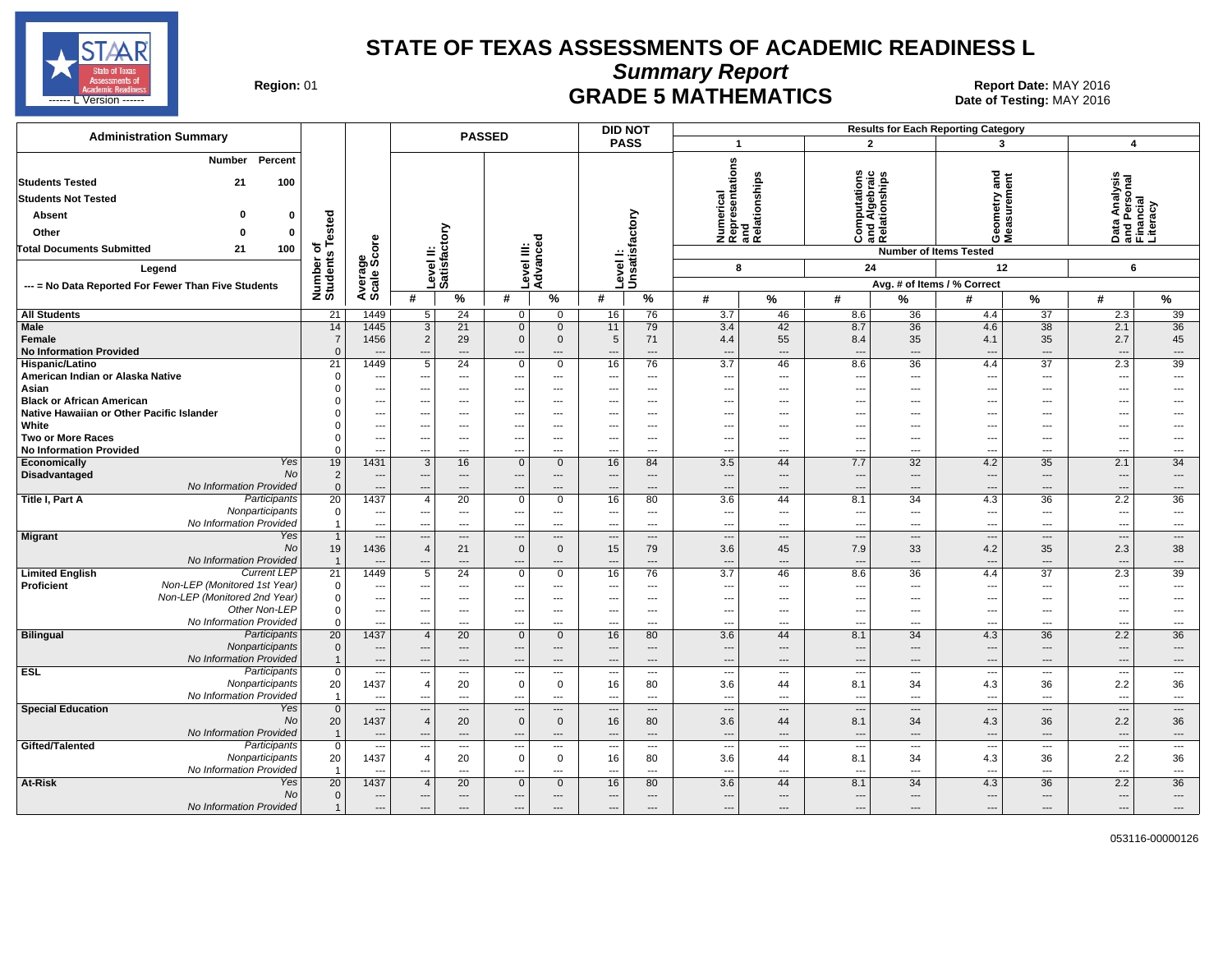

**Summary Report**

Region: 01 **Region: 01 Report Date: MAY 2016**<br>Bate of Testing: MAY 2016 ------ L Version ------ MAY 2016

| <b>Administration Summary</b>                                                                                                                                                                                           |                                                |                                                             |                                      |                                          | <b>PASSED</b>                  |                                                               | <b>DID NOT</b>           |                                                           |                                                           |                       |                                                                                  |                                                   | <b>Results for Each Reporting Category</b>                                  |                                                                |                                                             |                          |
|-------------------------------------------------------------------------------------------------------------------------------------------------------------------------------------------------------------------------|------------------------------------------------|-------------------------------------------------------------|--------------------------------------|------------------------------------------|--------------------------------|---------------------------------------------------------------|--------------------------|-----------------------------------------------------------|-----------------------------------------------------------|-----------------------|----------------------------------------------------------------------------------|---------------------------------------------------|-----------------------------------------------------------------------------|----------------------------------------------------------------|-------------------------------------------------------------|--------------------------|
|                                                                                                                                                                                                                         |                                                |                                                             |                                      |                                          |                                |                                                               | <b>PASS</b>              |                                                           | $\overline{1}$                                            |                       | $\overline{2}$                                                                   |                                                   | 3                                                                           |                                                                | $\overline{\mathbf{4}}$                                     |                          |
| Percent<br>Number<br><b>Students Tested</b><br>21<br>100<br><b>Students Not Tested</b><br>ŋ<br><b>Absent</b><br>$\bf{0}$<br>Other<br>$\mathbf 0$<br>$\Omega$<br><b>Total Documents Submitted</b><br>21<br>100<br>Legend | sted<br>ة<br>⊢<br>৳<br>S<br>Number<br>Students | ge<br>Score<br>Average<br>Scale                             | Level II:<br>Satisfactory            |                                          | Level III:<br>Advanced         |                                                               | Level I:                 | Unsatisfactory                                            | Numerical<br>Representations<br>and<br>Relationships<br>8 |                       | ٤<br>$\mathbf{c}$<br><b>Computations</b><br>and Algebraic<br>Relationships<br>24 |                                                   | e<br>ang<br>etry<br>eas<br>eas<br>ŏέ<br><b>Number of Items Tested</b><br>12 |                                                                | Data Analysis<br>and Personal<br>Financial<br>Literacy<br>6 |                          |
| --- = No Data Reported For Fewer Than Five Students                                                                                                                                                                     |                                                |                                                             | #                                    | %                                        | #                              | $\%$                                                          | #                        | %                                                         | #                                                         | $\%$                  | #                                                                                | %                                                 | Avg. # of Items / % Correct<br>#                                            | %                                                              | #                                                           |                          |
|                                                                                                                                                                                                                         |                                                | 1449                                                        |                                      |                                          |                                |                                                               |                          |                                                           |                                                           | 46                    |                                                                                  | 36                                                |                                                                             |                                                                |                                                             | %                        |
| <b>All Students</b><br><b>Male</b>                                                                                                                                                                                      | 21<br>14                                       | 1445                                                        | 5<br>3                               | 24<br>21                                 | $\overline{0}$<br>$\mathbf{0}$ | $\mathbf{0}$<br>$\mathbf 0$                                   | 16<br>11                 | 76<br>79                                                  | 3.7<br>3.4                                                | 42                    | 8.6<br>8.7                                                                       | 36                                                | 4.4<br>4.6                                                                  | 37<br>$\overline{38}$                                          | 2.3<br>2.1                                                  | 39<br>36                 |
| Female<br><b>No Information Provided</b>                                                                                                                                                                                | $\overline{7}$<br>$\Omega$                     | 1456                                                        | $\overline{2}$<br>---                | 29<br>$\cdots$                           | $\Omega$<br>---                | $\mathbf{0}$<br>---                                           | 5                        | 71<br>$\cdots$                                            | 4.4<br>---                                                | 55<br>---             | 8.4<br>---                                                                       | 35<br>$\overline{a}$                              | 4.1<br>--                                                                   | 35<br>$\hspace{0.05cm} \ldots$                                 | 2.7<br>---                                                  | 45<br>---                |
| Hispanic/Latino                                                                                                                                                                                                         | 21                                             | 1449                                                        | 5                                    | 24                                       | 0                              | $\mathbf 0$                                                   | 16                       | 76                                                        | $\overline{3.7}$                                          | 46                    | 8.6                                                                              | 36                                                | 4.4                                                                         | 37                                                             | 2.3                                                         | 39                       |
| American Indian or Alaska Native<br>Asian<br><b>Black or African American</b>                                                                                                                                           | $\mathbf 0$<br>$\Omega$                        | ---<br>$\overline{\phantom{a}}$<br>$\overline{\phantom{a}}$ | ---<br>---                           | $\hspace{0.05cm} \ldots$<br>---<br>$---$ | ---<br>---                     | $\overline{\phantom{a}}$<br>$\overline{\phantom{a}}$<br>$---$ |                          | $\scriptstyle\cdots$<br>$\overline{\phantom{a}}$<br>$---$ | $\overline{\phantom{a}}$<br>---<br>---                    | ---<br>---<br>$---$   | ---<br>---<br>---                                                                | $\qquad \qquad \cdots$<br>$\overline{a}$<br>$---$ | $\overline{\phantom{a}}$<br>$\overline{\phantom{a}}$<br>---                 | $\hspace{0.05cm} \ldots$<br>$\overline{\phantom{a}}$<br>$\sim$ | ---<br>---<br>$\overline{a}$                                | ---<br>---<br>---        |
| Native Hawaiian or Other Pacific Islander                                                                                                                                                                               | $\Omega$                                       | ---                                                         | ---                                  | ---                                      |                                | $\overline{\phantom{a}}$                                      |                          | $\overline{\phantom{a}}$                                  | ---                                                       | ⊷                     | ---                                                                              | ---                                               | $\overline{\phantom{a}}$                                                    | ---                                                            | ---                                                         | ---                      |
| White                                                                                                                                                                                                                   |                                                | ---                                                         |                                      | ---                                      |                                | $---$                                                         |                          | $---$                                                     | ---                                                       | ---                   | ---                                                                              | $---$                                             | $\overline{\phantom{a}}$                                                    | $---$                                                          | ---                                                         |                          |
| <b>Two or More Races</b>                                                                                                                                                                                                | $\Omega$                                       | $\overline{\phantom{a}}$                                    | ---                                  | $---$                                    | $---$                          | $---$                                                         | $- - -$                  | $---$                                                     | ---                                                       | $---$                 | ---                                                                              | $---$                                             | $\sim$                                                                      | $\sim$                                                         | ---                                                         | ---                      |
| <b>No Information Provided</b>                                                                                                                                                                                          | $\Omega$                                       | ---                                                         | ---                                  | $\overline{a}$                           |                                | $\overline{a}$                                                |                          | $\overline{a}$                                            | ---                                                       | ---                   | $\overline{a}$                                                                   | $---$                                             | $\overline{\phantom{a}}$                                                    | $\overline{a}$                                                 | ---                                                         | ---                      |
| Yes<br>Economically                                                                                                                                                                                                     | 19                                             | 1431                                                        | 3                                    | 16                                       | $\Omega$                       | $\mathbf 0$                                                   | 16                       | 84                                                        | 3.5                                                       | 44                    | 7.7                                                                              | 32                                                | 4.2                                                                         | 35                                                             | 2.1                                                         | 34                       |
| <b>No</b><br><b>Disadvantaged</b>                                                                                                                                                                                       | 2                                              | $\overline{\phantom{a}}$                                    | ---                                  | ---                                      |                                | $\overline{\phantom{a}}$                                      |                          | $\cdots$                                                  | ---                                                       | $\overline{a}$        | $\overline{a}$                                                                   | $---$                                             | --                                                                          | $\overline{\phantom{a}}$                                       | ---                                                         | $\overline{a}$           |
| No Information Provided                                                                                                                                                                                                 | $\mathbf{0}$                                   | $\cdots$                                                    | ---                                  | ---                                      |                                | $\overline{a}$                                                |                          | $\overline{a}$                                            | ---                                                       | ---                   | $\overline{a}$                                                                   | $\overline{a}$                                    | $\overline{\phantom{a}}$                                                    | $\overline{\phantom{a}}$                                       | ---                                                         | ---                      |
| Participants<br>Title I, Part A                                                                                                                                                                                         | $\overline{20}$                                | 1437                                                        | $\overline{4}$                       | 20                                       | 0                              | 0                                                             | 16                       | 80                                                        | 3.6                                                       | 44                    | 8.1                                                                              | 34                                                | 4.3                                                                         | 36                                                             | 2.2                                                         | 36                       |
| Nonparticipants<br>No Information Provided                                                                                                                                                                              | $\mathbf 0$<br>$\overline{1}$                  | $\hspace{0.05cm} \cdots$<br>$\overline{\phantom{a}}$        | ---<br>---                           | $\overline{\phantom{a}}$<br>$\sim$       | $---$<br>$\overline{a}$        | $---$<br>$\overline{a}$                                       | $- - -$<br>--            | $\hspace{0.05cm} \ldots$<br>$\overline{a}$                | ---<br>---                                                | $---$<br>---          | ---<br>---                                                                       | $---$<br>$\overline{a}$                           | $\sim$<br>$\overline{\phantom{a}}$                                          | $\sim$<br>$\overline{\phantom{a}}$                             | ---<br>---                                                  | $\cdots$<br>---          |
| Migrant<br>Yes                                                                                                                                                                                                          | $\overline{1}$                                 | ---                                                         | $-$                                  | $\overline{\phantom{a}}$                 | ---                            | $\overline{\phantom{a}}$                                      |                          | $---$                                                     | ---                                                       | $\overline{a}$        | $\overline{a}$                                                                   | ---                                               | $\overline{\phantom{a}}$                                                    | $\cdots$                                                       | ---                                                         | $\overline{\phantom{a}}$ |
| No<br>No Information Provided                                                                                                                                                                                           | 19<br>$\overline{1}$                           | 1436                                                        | $\overline{4}$                       | 21<br>$\overline{a}$                     | $\mathbf{0}$                   | $\mathbf 0$<br>$\overline{a}$                                 | 15                       | 79<br>$\overline{a}$                                      | 3.6<br>---                                                | 45<br>…               | 7.9<br>$\overline{a}$                                                            | 33<br>$\overline{a}$                              | 4.2                                                                         | 35<br>$\cdots$                                                 | 2.3<br>---                                                  | 38<br>---                |
| <b>Current LEP</b><br><b>Limited English</b>                                                                                                                                                                            | 21                                             | 1449                                                        | 5                                    | 24                                       | $\Omega$                       | $\mathbf 0$                                                   | 16                       | 76                                                        | $\overline{3.7}$                                          | 46                    | 8.6                                                                              | 36                                                | 4.4                                                                         | 37                                                             | 2.3                                                         | 39                       |
| Non-LEP (Monitored 1st Year)<br><b>Proficient</b>                                                                                                                                                                       | $\mathbf 0$                                    | ---                                                         | ---                                  | ---                                      |                                | ---                                                           |                          | $\scriptstyle\cdots$                                      | ---                                                       | ---                   | ---                                                                              | ---                                               | $\overline{\phantom{a}}$                                                    | ---                                                            | ---                                                         | ---                      |
| Non-LEP (Monitored 2nd Year)                                                                                                                                                                                            | $\Omega$                                       | $\overline{\phantom{a}}$                                    | $\overline{\phantom{a}}$             | $\hspace{0.05cm} \ldots$                 | $---$                          | $\cdots$                                                      | $\overline{\phantom{a}}$ | $\hspace{0.05cm} \ldots$                                  | ---                                                       | ---                   | ---                                                                              | $---$                                             | $\sim$                                                                      | $\hspace{0.05cm} \cdots$                                       | ---                                                         | ---                      |
| Other Non-LEP<br>No Information Provided                                                                                                                                                                                | $\mathbf 0$<br>$\Omega$                        | $\overline{\phantom{a}}$                                    | ---                                  | $---$                                    | ---                            | $---$                                                         |                          | $---$                                                     | ---                                                       | $\overline{a}$        | $\overline{a}$                                                                   | $---$                                             | $\sim$                                                                      | $\sim$                                                         | ---                                                         | ---                      |
| Bilingual<br>Participants                                                                                                                                                                                               | 20                                             | ---<br>1437                                                 | ---<br>$\overline{4}$                | $\overline{\phantom{a}}$<br>20           | ---<br>$\Omega$                | $---$<br>$\mathbf 0$                                          | --<br>16                 | $\overline{\phantom{a}}$<br>80                            | ---<br>3.6                                                | ---<br>44             | $\overline{a}$<br>8.1                                                            | $---$<br>34                                       | $\overline{\phantom{a}}$<br>4.3                                             | $\sim$<br>36                                                   | ---<br>2.2                                                  | ---<br>36                |
| Nonparticipants                                                                                                                                                                                                         | $\mathbf{0}$                                   | $---$                                                       | ---                                  | $---$                                    | $\overline{a}$                 | $---$                                                         | ---                      | $---$                                                     | $\overline{\phantom{a}}$                                  | $\overline{a}$        | $---$                                                                            | $---$                                             | $\overline{\phantom{a}}$                                                    | $---$                                                          | $\overline{\phantom{a}}$                                    | $\overline{a}$           |
| No Information Provided                                                                                                                                                                                                 | $\overline{1}$                                 | $\overline{\phantom{a}}$                                    | $\overline{a}$                       | $---$                                    | $\sim$                         | $---$                                                         |                          | $---$                                                     | $\overline{\phantom{a}}$                                  | $\overline{a}$        | $\overline{a}$                                                                   | $---$                                             | --                                                                          | $---$                                                          | $\overline{a}$                                              | $\overline{a}$           |
| <b>ESL</b><br>Participants                                                                                                                                                                                              | $\mathbf 0$                                    | $\overline{\phantom{a}}$                                    | ---                                  | $\overline{\phantom{a}}$                 | ---                            | $\overline{\phantom{a}}$                                      | $\overline{\phantom{a}}$ | $\overline{\phantom{a}}$                                  | ---                                                       | ---                   | $\overline{\phantom{a}}$                                                         | $\hspace{0.05cm} \ldots$                          | $\overline{\phantom{a}}$                                                    | $\overline{\phantom{a}}$                                       | $\overline{\phantom{a}}$                                    | $\overline{\phantom{a}}$ |
| Nonparticipants                                                                                                                                                                                                         | 20                                             | 1437                                                        | 4                                    | 20                                       | $\Omega$                       | $\mathbf 0$                                                   | 16                       | 80                                                        | 3.6                                                       | 44                    | 8.1                                                                              | 34                                                | 4.3                                                                         | 36                                                             | 2.2                                                         | 36                       |
| No Information Provided                                                                                                                                                                                                 | $\overline{1}$                                 | $\overline{\phantom{a}}$                                    | ---                                  | $-$                                      | $\sim$                         | $\sim$                                                        | $\sim$                   | $\overline{\phantom{a}}$                                  | ---                                                       | $\overline{a}$        | $\overline{\phantom{a}}$                                                         | $\overline{a}$                                    | $\overline{\phantom{a}}$                                                    | $\overline{\phantom{a}}$                                       | $\overline{\phantom{a}}$                                    | ---                      |
| <b>Special Education</b><br>Yes                                                                                                                                                                                         | $\overline{0}$                                 | $\overline{\phantom{a}}$                                    | ---                                  | $---$                                    | ---                            | $---$                                                         | $\overline{\phantom{a}}$ | $\cdots$                                                  |                                                           | ---                   | $\overline{\phantom{a}}$                                                         | ---                                               | $\overline{\phantom{a}}$                                                    | $\cdots$                                                       | $\overline{\phantom{a}}$                                    | $\overline{\phantom{a}}$ |
| No                                                                                                                                                                                                                      | 20                                             | 1437                                                        | $\overline{4}$                       | 20                                       | $\mathbf{0}$                   | $\mathbf 0$                                                   | 16                       | 80                                                        | 3.6                                                       | 44                    | 8.1                                                                              | 34                                                | 4.3                                                                         | 36                                                             | 2.2                                                         | 36                       |
| No Information Provided<br>Gifted/Talented<br>Participants                                                                                                                                                              | $\overline{1}$<br>$\overline{0}$               | $\overline{\phantom{a}}$<br>$\overline{\phantom{a}}$        | $\overline{a}$                       | $---$<br>$\sim$ $\sim$                   | ---                            | $\overline{\phantom{a}}$<br>$\overline{\phantom{a}}$          | $\overline{\phantom{a}}$ | $\cdots$<br>$---$                                         | ---<br>$\overline{\phantom{a}}$                           | $\overline{a}$<br>--- | $\overline{a}$<br>$\overline{\phantom{a}}$                                       | $\overline{a}$<br>$\hspace{0.05cm} \ldots$        | --<br>$\overline{\phantom{a}}$                                              | $\cdots$<br>$\hspace{0.05cm} \cdots$                           | ---<br>$\sim$                                               | ---<br>$\sim$            |
| Nonparticipants<br>No Information Provided                                                                                                                                                                              | 20<br>$\overline{1}$                           | 1437<br>$\overline{\phantom{a}}$                            | $\overline{\phantom{a}}$<br>4<br>--- | 20<br>$-$                                | 0<br>---                       | $\mathbf 0$<br>$\cdots$                                       | 16                       | 80<br>$\hspace{0.05cm} \ldots$                            | 3.6<br>---                                                | 44<br>---             | 8.1<br>$\overline{\phantom{a}}$                                                  | 34<br>$---$                                       | 4.3<br>$\sim$                                                               | 36<br>$\hspace{0.05cm} \cdots$                                 | 2.2<br>---                                                  | 36<br>---                |
| At-Risk<br>Yes                                                                                                                                                                                                          | 20                                             | 1437                                                        | $\overline{4}$                       | 20                                       | $\Omega$                       | $\mathbf{0}$                                                  | 16                       | 80                                                        | 3.6                                                       | 44                    | 8.1                                                                              | 34                                                | 4.3                                                                         | 36                                                             | 2.2                                                         | 36                       |
| No                                                                                                                                                                                                                      | $\mathbf{0}$                                   | ---                                                         | ---                                  | $\overline{\phantom{a}}$                 | ---                            | $\overline{\phantom{a}}$                                      |                          | $\overline{\phantom{a}}$                                  | ---                                                       | $\overline{a}$        | $\overline{a}$                                                                   | ---                                               | $\overline{\phantom{a}}$                                                    | $\overline{\phantom{a}}$                                       | ---                                                         | ---                      |
| No Information Provided                                                                                                                                                                                                 | $\mathbf{1}$                                   | ---                                                         |                                      |                                          |                                |                                                               |                          |                                                           | ---                                                       | ---                   | $\overline{\phantom{a}}$                                                         |                                                   | $\overline{\phantom{a}}$                                                    |                                                                | ---                                                         |                          |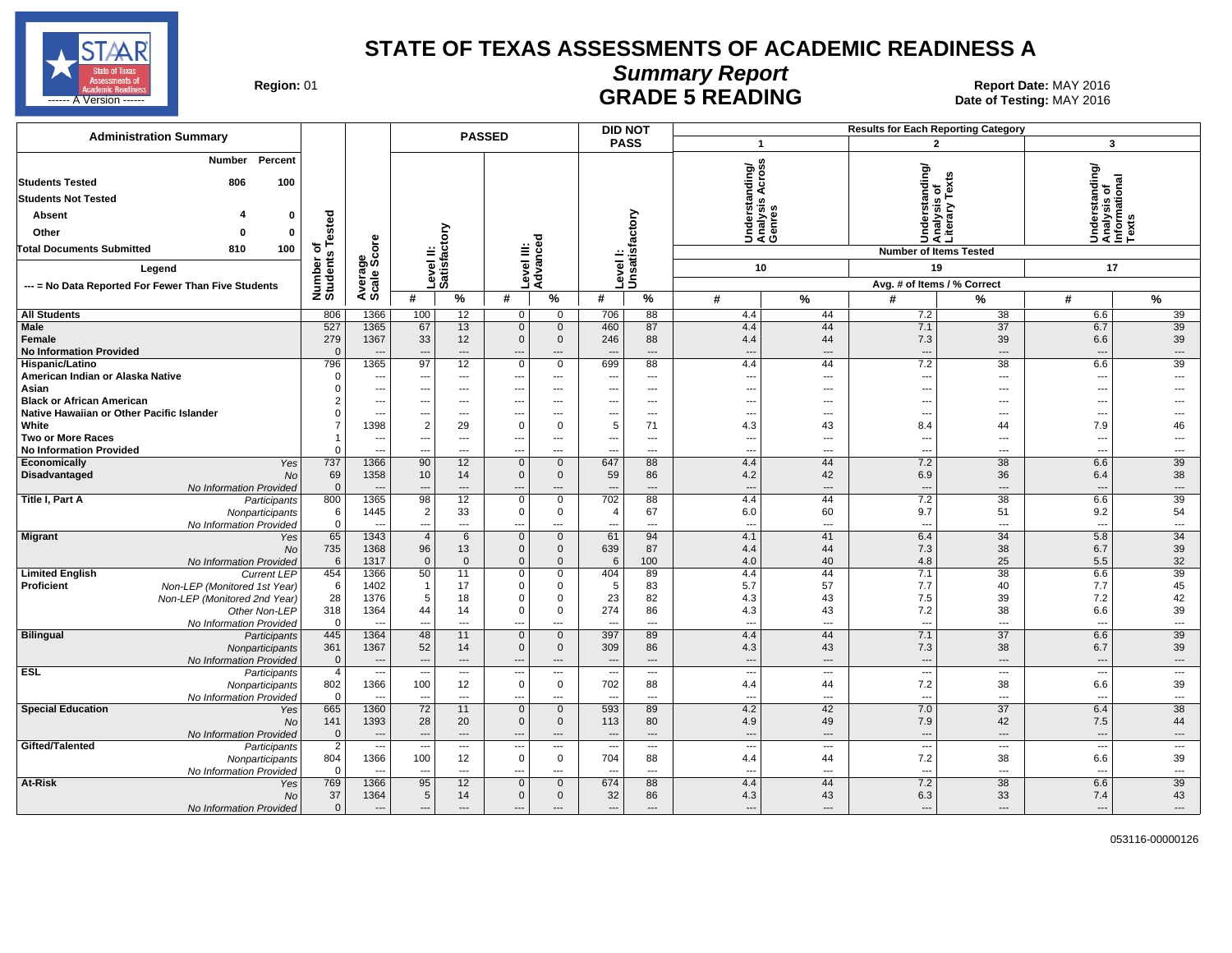

# **Summary Report**

Region: 01 **Region: 01 Report Date: MAY 2016**<br>**GRADE 5 READING** Date of Testing: MAY 2016 ------ A Version ------ MAY 2016

| <b>Administration Summary</b>                             |                            |                                  |                                                      |                                | <b>PASSED</b>                           |                                          |                                 | <b>DID NOT</b>             |                                 |                                |                                 | <b>Results for Each Reporting Category</b>      |                                                                      |                                |
|-----------------------------------------------------------|----------------------------|----------------------------------|------------------------------------------------------|--------------------------------|-----------------------------------------|------------------------------------------|---------------------------------|----------------------------|---------------------------------|--------------------------------|---------------------------------|-------------------------------------------------|----------------------------------------------------------------------|--------------------------------|
|                                                           |                            |                                  |                                                      |                                |                                         |                                          |                                 | <b>PASS</b>                |                                 | $\mathbf{1}$                   |                                 | $\overline{2}$                                  | $\mathbf{3}$                                                         |                                |
| Number<br>Percent<br><b>Students Tested</b><br>100<br>806 |                            |                                  |                                                      |                                |                                         |                                          |                                 |                            | anding/                         | S<br>ë                         |                                 | Understanding/<br>Analysis of<br>Literary Texts | rstanding/<br>Understanding<br>Analysis of<br>Informational<br>Texts |                                |
| <b>Students Not Tested</b>                                |                            |                                  |                                                      |                                |                                         |                                          |                                 |                            |                                 | ∢<br>s                         |                                 |                                                 |                                                                      |                                |
| <b>Absent</b><br>0                                        |                            |                                  |                                                      |                                |                                         |                                          |                                 |                            |                                 | Understa<br>Analysis<br>Genres |                                 |                                                 |                                                                      |                                |
| Other<br>$\mathbf 0$<br>O                                 | sted                       |                                  |                                                      | ξ                              |                                         |                                          |                                 |                            |                                 |                                |                                 |                                                 |                                                                      |                                |
| <b>Total Documents Submitted</b><br>100<br>810            |                            | δ                                |                                                      |                                | ≝                                       | ි                                        |                                 |                            |                                 |                                |                                 |                                                 |                                                                      |                                |
|                                                           |                            |                                  | ≝                                                    | ូដូ                            |                                         | Level III:<br>Advance                    |                                 | Level I:<br>Unsatisfactory |                                 |                                |                                 | <b>Number of Items Tested</b>                   |                                                                      |                                |
| Legend                                                    |                            |                                  |                                                      | Levell<br>Satisfa              |                                         |                                          |                                 |                            |                                 | 10                             |                                 | 19                                              | 17                                                                   |                                |
| --- = No Data Reported For Fewer Than Five Students       | Number of<br>Students Tes  | Average<br>Scale Scc             | #                                                    | $\%$                           | #                                       | $\%$                                     | #                               | %                          | #                               | $\%$                           | #                               | Avg. # of Items / % Correct                     | #                                                                    | $\%$                           |
|                                                           | 806                        | 1366                             | 100                                                  |                                |                                         | $\mathbf 0$                              | 706                             | 88                         |                                 | 44                             | 7.2                             | %<br>38                                         |                                                                      | 39                             |
| <b>All Students</b><br>Male                               | 527                        | 1365                             | 67                                                   | 12<br>13                       | 0<br>$\mathbf 0$                        | $\mathbf 0$                              | 460                             | 87                         | 4.4<br>4.4                      | 44                             | 7.1                             | 37                                              | 6.6<br>6.7                                                           | 39                             |
| Female                                                    | 279                        | 1367                             | 33                                                   | 12                             | $\Omega$                                | $\mathbf{0}$                             | 246                             | 88                         | 4.4                             | 44                             | 7.3                             | 39                                              | 6.6                                                                  | 39                             |
| <b>No Information Provided</b>                            | $\Omega$                   | $\sim$                           | $\overline{a}$                                       | $\overline{\phantom{a}}$       | $\overline{a}$                          | $---$                                    | $\overline{\phantom{a}}$        | $\overline{a}$             | $\overline{a}$                  | $\overline{a}$                 | --                              | $\overline{a}$                                  | $\sim$                                                               | $---$                          |
| Hispanic/Latino                                           | 796                        | 1365                             | 97                                                   | 12                             | $\mathbf 0$                             | $\mathbf 0$                              | 699                             | 88                         | 4.4                             | 44                             | 7.2                             | 38                                              | 6.6                                                                  | 39                             |
| American Indian or Alaska Native                          | $\Omega$                   | $\overline{\phantom{a}}$         | $\overline{\phantom{a}}$                             | $---$                          | ---                                     | $\overline{\phantom{a}}$                 | $\overline{\phantom{a}}$        | $\cdots$                   | $\overline{\phantom{a}}$        | $\overline{\phantom{a}}$       | $\overline{\phantom{a}}$        | $---$                                           | ---                                                                  | $\overline{\phantom{a}}$       |
| Asian                                                     | $\Omega$                   | $\overline{\phantom{a}}$         | ---                                                  | $\overline{\phantom{a}}$       | ---                                     | $---$                                    | ---                             | $\overline{a}$             | ---                             | $\overline{a}$                 | $\overline{\phantom{a}}$        | ---                                             | ---                                                                  |                                |
| <b>Black or African American</b>                          | $\overline{2}$             | ---                              | ---                                                  | ---                            | ---                                     | $\overline{\phantom{a}}$                 | ---                             | ---                        | ---                             | ---                            | $\overline{\phantom{a}}$        | ---                                             | ---                                                                  |                                |
| Native Hawaiian or Other Pacific Islander<br>White        | $\Omega$<br>$\overline{7}$ | $\overline{\phantom{a}}$<br>1398 | ---<br>$\overline{2}$                                | $\overline{\phantom{a}}$<br>29 | ---<br>$\overline{0}$                   | $\overline{\phantom{a}}$<br>$\mathbf 0$  | $\overline{\phantom{a}}$<br>5   | ---<br>71                  | ---                             | $\overline{a}$                 | $\overline{\phantom{a}}$        | ---<br>44                                       | ---<br>7.9                                                           | $---$<br>46                    |
| <b>Two or More Races</b>                                  | $\mathbf{1}$               | $\overline{\phantom{a}}$         | ---                                                  | $\overline{\phantom{a}}$       | $\hspace{0.05cm} \ldots$                | $\cdots$                                 | ---                             | $\cdots$                   | 4.3<br>---                      | 43<br>---                      | 8.4<br>$\sim$                   | ---                                             | ---                                                                  | $\overline{a}$                 |
| <b>No Information Provided</b>                            | $\Omega$                   | ---                              | $\overline{a}$                                       | $\overline{a}$                 | ---                                     | $\overline{a}$                           | ---                             | $\overline{a}$             | ---                             | $\overline{a}$                 | $\overline{\phantom{a}}$        | ---                                             | ---                                                                  | ---                            |
| Economically<br>Yes                                       | 737                        | 1366                             | 90                                                   | 12                             | $\mathbf{0}$                            | $\mathbf{0}$                             | 647                             | 88                         | 4.4                             | 44                             | 7.2                             | 38                                              | 6.6                                                                  | 39                             |
| Disadvantaged<br>No                                       | 69                         | 1358                             | 10                                                   | 14                             | $\mathsf 0$                             | $\mathbf 0$                              | 59                              | 86                         | 4.2                             | 42                             | 6.9                             | 36                                              | 6.4                                                                  | 38                             |
| No Information Provided                                   | $\mathbf 0$                | $\sim$                           | $---$                                                | $---$                          | ---                                     | $\cdots$                                 | $\overline{\phantom{a}}$        | ---                        | $\overline{\phantom{a}}$        | $\overline{\phantom{a}}$       | $\overline{\phantom{a}}$        | $\overline{a}$                                  | $\overline{\phantom{a}}$                                             | $\cdots$                       |
| Title I, Part A<br>Participants                           | 800                        | 1365                             | 98                                                   | 12                             | $\mathbf 0$                             | $\mathbf 0$                              | 702                             | 88                         | 4.4                             | 44                             | 7.2                             | 38                                              | 6.6                                                                  | 39                             |
| Nonparticipants                                           | 6                          | 1445                             | $\overline{2}$                                       | 33                             | $\mathsf 0$                             | $\mathbf 0$                              | $\overline{4}$                  | 67                         | 6.0                             | 60                             | 9.7                             | 51                                              | 9.2                                                                  | 54                             |
| No Information Provided<br><b>Migrant</b><br>Yes          | $\mathsf 0$<br>65          | $\overline{\phantom{a}}$<br>1343 | $\overline{\phantom{a}}$<br>$\overline{4}$           | $\overline{\phantom{a}}$<br>6  | ---<br>$\mathbf 0$                      | $\overline{\phantom{a}}$<br>$\mathbf 0$  | ---<br>61                       | ---<br>94                  | ---<br>4.1                      | $---$<br>41                    | $\overline{\phantom{a}}$<br>6.4 | $---$<br>34                                     | $\overline{\phantom{a}}$<br>5.8                                      | $\overline{\phantom{a}}$<br>34 |
| <b>No</b>                                                 | 735                        | 1368                             | 96                                                   | 13                             | $\mathbf 0$                             | $\mathbf 0$                              | 639                             | 87                         | 4.4                             | 44                             | 7.3                             | 38                                              | 6.7                                                                  | 39                             |
| No Information Provided                                   | 6                          | 1317                             | $\mathbf{0}$                                         | $\Omega$                       | $\mathsf 0$                             | $\Omega$                                 | 6                               | 100                        | 4.0                             | 40                             | 4.8                             | 25                                              | 5.5                                                                  | 32                             |
| <b>Limited English</b><br><b>Current LEP</b>              | 454                        | 1366                             | 50                                                   | 11                             | $\mathbf 0$                             | $\Omega$                                 | 404                             | 89                         | 4.4                             | 44                             | 7.1                             | 38                                              | 6.6                                                                  | 39                             |
| Proficient<br>Non-LEP (Monitored 1st Year)                | 6                          | 1402                             | $\overline{1}$                                       | 17                             | $\mathbf 0$                             | 0                                        | 5                               | 83                         | 5.7                             | 57                             | 7.7                             | 40                                              | 7.7                                                                  | 45                             |
| Non-LEP (Monitored 2nd Year)                              | 28                         | 1376                             | 5                                                    | 18                             | $\Omega$                                | $\Omega$                                 | 23                              | 82                         | 4.3                             | 43                             | 7.5                             | 39                                              | 7.2                                                                  | 42                             |
| Other Non-LEP                                             | 318                        | 1364                             | 44                                                   | 14                             | $\mathbf 0$                             | $\mathbf 0$                              | 274                             | 86                         | 4.3                             | 43                             | 7.2                             | 38                                              | 6.6                                                                  | 39                             |
| No Information Provided<br>Bilingual<br>Participants      | $\overline{0}$<br>445      | $\overline{\phantom{a}}$<br>1364 | $\overline{\phantom{a}}$<br>48                       | $\overline{\phantom{a}}$<br>11 | $\overline{a}$<br>$\mathbf 0$           | $\overline{a}$<br>$\mathbf 0$            | $\sim$<br>397                   | ---<br>89                  | ---<br>4.4                      | $\overline{a}$<br>44           | $\overline{\phantom{a}}$<br>7.1 | ---<br>37                                       | $\overline{\phantom{a}}$<br>6.6                                      | $\overline{\phantom{a}}$<br>39 |
| Nonparticipants                                           | 361                        | 1367                             | 52                                                   | 14                             | $\mathbf 0$                             | $\mathbf 0$                              | 309                             | 86                         | 4.3                             | 43                             | 7.3                             | 38                                              | 6.7                                                                  | 39                             |
| No Information Provided                                   | $\overline{0}$             | $\overline{\phantom{a}}$         | $\overline{\phantom{a}}$                             | $\qquad \qquad \cdots$         | $\overline{a}$                          | $\cdots$                                 | $\overline{\phantom{a}}$        | $\cdots$                   | $\overline{\phantom{a}}$        | $\qquad \qquad \cdots$         | $\overline{\phantom{a}}$        | ---                                             | $\overline{\phantom{a}}$                                             | $\hspace{0.05cm} \ldots$       |
| <b>ESL</b><br>Participants                                | $\overline{4}$             |                                  | $\overline{\phantom{a}}$                             | $\overline{a}$                 | $\qquad \qquad \cdots$                  | $---$                                    | ---                             | $---$                      | ---                             | $\sim$                         | $\overline{a}$                  | $\overline{\phantom{a}}$                        | $\overline{\phantom{a}}$                                             | $\overline{\phantom{a}}$       |
| Nonparticipants                                           | 802                        | 1366                             | 100                                                  | 12                             | $\mathsf 0$                             | $\mathbf 0$                              | 702                             | 88                         | 4.4                             | 44                             | 7.2                             | 38                                              | 6.6                                                                  | 39                             |
| No Information Provided                                   | $\mathbf{0}$               |                                  |                                                      | $\overline{\phantom{a}}$       | ---                                     | $\overline{\phantom{a}}$                 |                                 | ---                        | ---                             | $\overline{a}$                 | $\overline{\phantom{a}}$        | ---                                             | $\overline{\phantom{a}}$                                             | $\overline{\phantom{a}}$       |
| <b>Special Education</b><br>Yes                           | 665                        | 1360                             | 72                                                   | 11                             | $\mathbf{0}$                            | $\overline{0}$                           | 593                             | 89                         | 4.2                             | 42                             | 7.0                             | 37                                              | 6.4                                                                  | 38                             |
| <b>No</b>                                                 | 141                        | 1393                             | 28                                                   | 20                             | $\mathbf{0}$                            | $\mathbf{0}$                             | 113                             | 80                         | 4.9                             | 49                             | 7.9                             | 42                                              | 7.5                                                                  | 44                             |
| No Information Provided<br>Gifted/Talented                | $\mathbf{0}$               | $\overline{\phantom{a}}$<br>---  | $\overline{\phantom{a}}$<br>$\overline{\phantom{a}}$ | $\qquad \qquad \cdots$         | $\hspace{1.5cm} \ldots$                 | $\cdots$                                 | $\overline{\phantom{a}}$        | ---                        | $\overline{a}$                  | $\overline{\phantom{a}}$       | $\overline{\phantom{a}}$        | ---                                             | ---                                                                  | $\overline{\phantom{a}}$       |
| Participants<br>Nonparticipants                           | $\overline{2}$<br>804      | 1366                             | 100                                                  | $---$<br>12                    | $\hspace{0.05cm} \ldots$<br>$\mathbf 0$ | $\overline{\phantom{a}}$<br>$\mathbf{0}$ | $\overline{\phantom{a}}$<br>704 | ---<br>88                  | $\overline{\phantom{a}}$<br>4.4 | $\overline{\phantom{a}}$<br>44 | $\overline{\phantom{a}}$<br>7.2 | ---<br>38                                       | $\hspace{0.05cm} \cdots$<br>6.6                                      | $\overline{\phantom{a}}$<br>39 |
| No Information Provided                                   | $\Omega$                   | $\overline{\phantom{a}}$         | $\overline{\phantom{a}}$                             | $\overline{\phantom{a}}$       | ---                                     | $\overline{\phantom{a}}$                 | ---                             | ---                        | $\overline{a}$                  | $\overline{a}$                 | $\overline{\phantom{a}}$        | ---                                             | ---                                                                  | $\overline{\phantom{a}}$       |
| At-Risk<br>Yes                                            | 769                        | 1366                             | 95                                                   | 12                             | $\mathbf 0$                             | $\mathbf{0}$                             | 674                             | 88                         | 4.4                             | 44                             | 7.2                             | 38                                              | 6.6                                                                  | 39                             |
| <b>No</b>                                                 | 37                         | 1364                             | 5                                                    | 14                             | $\mathbf 0$                             | $\Omega$                                 | 32                              | 86                         | 4.3                             | 43                             | 6.3                             | 33                                              | 7.4                                                                  | 43                             |
| No Information Provided                                   | $\overline{0}$             |                                  | ---                                                  | $\overline{\phantom{a}}$       | ---                                     | ---                                      | ---                             |                            | ---                             | $\overline{a}$                 |                                 | ---                                             | $\overline{a}$                                                       |                                |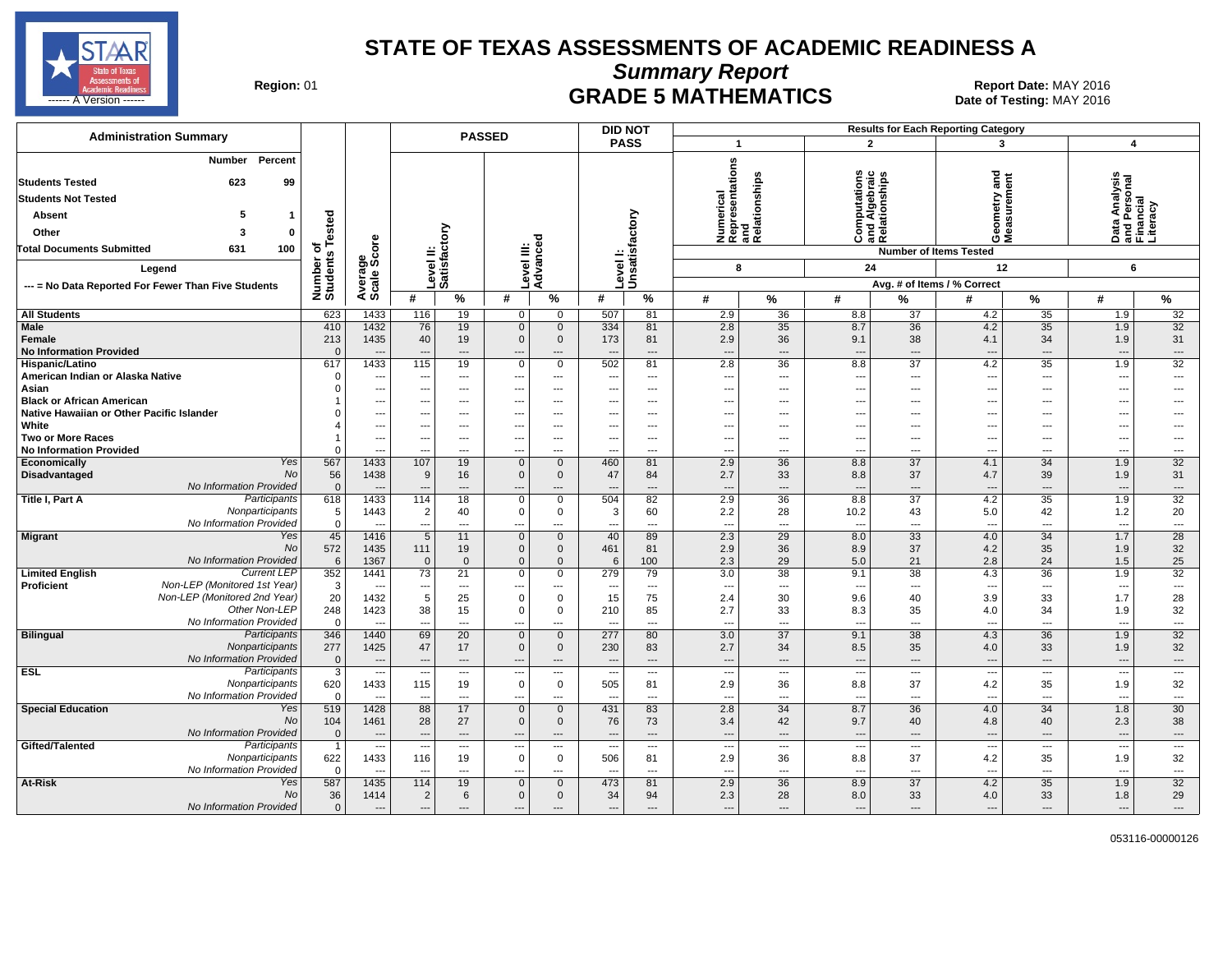

**Summary Report**

Region: 01 **Region: 01 Report Date: MAY 2016**<br>Bate of Testing: MAY 2016

| <b>Administration Summary</b>                                                                                                                                                                       |                                                               |                                                              |                                                   |                                                                | <b>PASSED</b>                                |                                                                      | <b>DID NOT</b>           |                                                                          |                                                                                      |                                       |                                                                |                                                  | <b>Results for Each Reporting Category</b>                            |                                                                                           |                                                                  |                                                        |
|-----------------------------------------------------------------------------------------------------------------------------------------------------------------------------------------------------|---------------------------------------------------------------|--------------------------------------------------------------|---------------------------------------------------|----------------------------------------------------------------|----------------------------------------------|----------------------------------------------------------------------|--------------------------|--------------------------------------------------------------------------|--------------------------------------------------------------------------------------|---------------------------------------|----------------------------------------------------------------|--------------------------------------------------|-----------------------------------------------------------------------|-------------------------------------------------------------------------------------------|------------------------------------------------------------------|--------------------------------------------------------|
|                                                                                                                                                                                                     |                                                               |                                                              |                                                   |                                                                |                                              |                                                                      | <b>PASS</b>              |                                                                          | $\overline{1}$                                                                       |                                       | $\mathbf{2}$                                                   |                                                  | 3                                                                     |                                                                                           | $\overline{\bf{4}}$                                              |                                                        |
| Percent<br>Number<br><b>Students Tested</b><br>623<br>99<br><b>Students Not Tested</b><br>5<br>Absent<br>1<br>Other<br>3<br>$\mathbf 0$<br><b>Total Documents Submitted</b><br>631<br>100<br>Legend | sted<br>ة<br>৳<br>$\boldsymbol{\omega}$<br>Number<br>Students | ge<br>Score                                                  | Level II:<br>Satisfactory                         |                                                                | Level III:<br>Advanced                       |                                                                      | <b>Level!</b>            | Unsatisfactory                                                           | Numerical<br>Representations<br>and<br>Relationships<br>8                            |                                       | ٤<br>Computations<br>and Algebraic<br>Relationships<br>ن<br>24 |                                                  | and<br>etry<br>e<br>Sas<br>ŏέ<br><b>Number of Items Tested</b><br>12  |                                                                                           | Data Analysis<br>and Personal<br>Financial<br>Literacy<br>6      |                                                        |
| --- = No Data Reported For Fewer Than Five Students                                                                                                                                                 |                                                               | Average                                                      |                                                   |                                                                |                                              |                                                                      |                          |                                                                          |                                                                                      |                                       |                                                                |                                                  | Avg. # of Items / % Correct                                           |                                                                                           |                                                                  |                                                        |
|                                                                                                                                                                                                     |                                                               |                                                              | #                                                 | %                                                              | #                                            | $\%$                                                                 | #                        | %                                                                        | #                                                                                    | %                                     | #                                                              | %                                                | #                                                                     | %                                                                                         | #                                                                | %                                                      |
| <b>All Students</b>                                                                                                                                                                                 | 623                                                           | 1433                                                         | 116                                               | 19                                                             | $\overline{0}$                               | $\mathbf{0}$                                                         | 507                      | 81                                                                       | 2.9                                                                                  | 36                                    | 8.8                                                            | 37                                               | 4.2                                                                   | 35                                                                                        | 1.9                                                              | 32                                                     |
| <b>Male</b><br>Female<br><b>No Information Provided</b>                                                                                                                                             | 410<br>213<br>$\Omega$                                        | 1432<br>1435<br>$\overline{\phantom{a}}$                     | 76<br>40<br>$\overline{\phantom{a}}$              | 19<br>19<br>$\cdots$                                           | $\mathbf 0$<br>$\mathbf{0}$<br>---           | $\mathbf 0$<br>$\mathbf 0$<br>$\cdots$                               | 334<br>173               | 81<br>81<br>$\hspace{0.05cm} \ldots$                                     | 2.8<br>2.9<br>---                                                                    | 35<br>36<br>---                       | 8.7<br>9.1<br>$\overline{\phantom{a}}$                         | 36<br>38<br>---                                  | 4.2<br>4.1<br>$\overline{\phantom{a}}$                                | 35<br>34<br>$\hspace{0.05cm} \cdots$                                                      | 1.9<br>1.9<br>---                                                | 32<br>31<br>---                                        |
| Hispanic/Latino<br>American Indian or Alaska Native<br>Asian<br><b>Black or African American</b><br>Native Hawaiian or Other Pacific Islander                                                       | 617<br>$\Omega$                                               | 1433<br>---<br>$\overline{\phantom{a}}$<br>$\sim$<br>---     | 115<br>---<br>---                                 | 19<br>---<br>$\qquad \qquad \cdots$<br>$---$<br>$\overline{a}$ | $\Omega$<br>---<br>---                       | $\mathbf 0$<br>$\overline{\phantom{a}}$<br>---<br>$---$<br>$---$     | 502<br>---               | 81<br>$\overline{\phantom{a}}$<br>$\scriptstyle\cdots$<br>$---$<br>$---$ | 2.8<br>$\overline{\phantom{a}}$<br>$\overline{\phantom{a}}$<br>$\overline{a}$<br>--- | 36<br>---<br>---<br>$---$<br>---      | 8.8<br>$\overline{\phantom{a}}$<br>---<br>$---$<br>---         | 37<br>---<br>---<br>$---$<br>$---$               | 4.2<br>$\overline{\phantom{a}}$<br>$\overline{\phantom{a}}$<br>$\sim$ | $\overline{35}$<br>$\overline{\phantom{a}}$<br>$\overline{\phantom{a}}$<br>$--$<br>$\sim$ | 1.9<br>$\overline{a}$<br>---<br>$\overline{a}$<br>$\overline{a}$ | $\overline{32}$<br>---<br>---<br>---<br>---            |
| White<br><b>Two or More Races</b><br><b>No Information Provided</b>                                                                                                                                 | $\Omega$                                                      | ---<br>$\overline{\phantom{a}}$<br>---                       | ---<br>---                                        | ---<br>---<br>$\overline{a}$                                   | ---<br>---                                   | ---<br>$---$<br>$\overline{a}$                                       | $\overline{\phantom{a}}$ | $\overline{\phantom{a}}$<br>$\hspace{0.05cm} \ldots$<br>$\overline{a}$   | ---<br>---<br>---                                                                    | ⊷<br>---<br>---                       | ---<br>$---$<br>$\overline{a}$                                 | ---<br>$\cdots$<br>$\overline{a}$                | $\overline{\phantom{a}}$<br>---<br>$\sim$                             | ---<br>$\overline{\phantom{a}}$<br>$\overline{a}$                                         | ---<br>---<br>---                                                | ---<br>---                                             |
| Yes<br>Economically<br><b>No</b><br>Disadvantaged<br>No Information Provided                                                                                                                        | 567<br>56<br>$\mathbf 0$                                      | 1433<br>1438                                                 | 107<br>9                                          | 19<br>16<br>---                                                | $\Omega$<br>0                                | $\mathbf{0}$<br>$\mathbf{0}$                                         | 460<br>47                | 81<br>84<br>---                                                          | 2.9<br>2.7<br>---                                                                    | 36<br>33<br>---                       | 8.8<br>8.8<br>$\overline{\phantom{a}}$                         | 37<br>37<br>---                                  | 4.1<br>4.7                                                            | $\overline{34}$<br>39<br>---                                                              | 1.9<br>1.9<br>---                                                | 32<br>31<br>---                                        |
| Participants<br>Title I, Part A<br>Nonparticipants<br>No Information Provided                                                                                                                       | 618<br>5<br>$\mathbf 0$                                       | 1433<br>1443                                                 | 114<br>$\overline{c}$<br>---                      | 18<br>40<br>$\overline{\phantom{a}}$                           | $\Omega$<br>0                                | $\overline{0}$<br>$\mathbf 0$<br>---                                 | 504<br>3                 | 82<br>60<br>$\overline{\phantom{a}}$                                     | 2.9<br>2.2<br>$\overline{\phantom{a}}$                                               | 36<br>28<br>---                       | 8.8<br>10.2<br>$\overline{\phantom{a}}$                        | 37<br>43<br>---                                  | 4.2<br>5.0<br>$\overline{\phantom{a}}$                                | 35<br>42<br>$\overline{\phantom{a}}$                                                      | 1.9<br>1.2<br>---                                                | 32<br>20<br>---                                        |
| Migrant<br>Yes<br><b>No</b><br>No Information Provided                                                                                                                                              | 45<br>572<br>6                                                | 1416<br>1435<br>1367                                         | 5<br>111<br>$\mathbf 0$                           | 11<br>19<br>$\mathbf{0}$                                       | $\Omega$<br>$\mathbf 0$<br>$\Omega$          | $\mathbf{0}$<br>$\mathbf 0$<br>$\mathbf{0}$                          | 40<br>461<br>6           | 89<br>81<br>100                                                          | 2.3<br>2.9<br>2.3                                                                    | 29<br>36<br>29                        | 8.0<br>8.9<br>5.0                                              | $\overline{33}$<br>37<br>21                      | 4.0<br>4.2<br>2.8                                                     | $\overline{34}$<br>35<br>24                                                               | 1.7<br>1.9<br>1.5                                                | $\overline{28}$<br>32<br>25                            |
| <b>Current LEP</b><br><b>Limited English</b><br>Non-LEP (Monitored 1st Year)<br><b>Proficient</b><br>Non-LEP (Monitored 2nd Year)<br>Other Non-LEP<br>No Information Provided                       | 352<br>3<br>20<br>248<br>$\mathbf 0$                          | 1441<br>$\overline{\phantom{a}}$<br>1432<br>1423<br>$\sim$   | 73<br>$-$<br>5<br>38<br>$\overline{\phantom{a}}$  | 21<br>$---$<br>25<br>15<br>$---$                               | 0<br>$\Omega$<br>$\Omega$<br>---             | $\mathbf 0$<br>$\overline{a}$<br>$\mathbf 0$<br>$\mathbf 0$<br>$---$ | 279<br>15<br>210         | 79<br>$---$<br>75<br>85<br>$---$                                         | 3.0<br>$\overline{a}$<br>2.4<br>2.7<br>---                                           | 38<br>---<br>30<br>33<br>---          | 9.1<br>$\overline{a}$<br>9.6<br>8.3<br>$\overline{a}$          | 38<br>$\sim$<br>40<br>35<br>$---$                | 4.3<br>$\overline{\phantom{a}}$<br>3.9<br>4.0<br>---                  | 36<br>$\sim$<br>33<br>34<br>$\sim$                                                        | 1.9<br>$\overline{\phantom{a}}$<br>1.7<br>1.9<br>$\overline{a}$  | 32<br>$\overline{\phantom{a}}$<br>28<br>32<br>$\ldots$ |
| <b>Bilingual</b><br>Participants<br>Nonparticipants<br>No Information Provided                                                                                                                      | 346<br>277<br>$\mathbf{0}$                                    | 1440<br>1425<br>$---$                                        | 69<br>47<br>$\overline{\phantom{a}}$              | 20<br>17<br>$---$                                              | $\Omega$<br>$\Omega$<br>$---$                | $\mathbf{0}$<br>$\mathbf 0$<br>$---$                                 | 277<br>230<br>---        | 80<br>83<br>$---$                                                        | 3.0<br>2.7<br>$\overline{\phantom{a}}$                                               | 37<br>34<br>$---$                     | 9.1<br>8.5<br>$---$                                            | 38<br>35<br>$---$                                | 4.3<br>4.0<br>$\overline{\phantom{a}}$                                | $\overline{36}$<br>33<br>$---$                                                            | 1.9<br>1.9<br>$\overline{a}$                                     | 32<br>32<br>$\cdots$                                   |
| <b>ESL</b><br>Participants<br>Nonparticipants<br>No Information Provided                                                                                                                            | 3<br>620<br>$\mathbf 0$                                       | $\sim$<br>1433<br>$\overline{\phantom{a}}$                   | $\overline{\phantom{a}}$<br>115                   | $\cdots$<br>19<br>$---$                                        | ---<br>$\Omega$<br>--                        | $\scriptstyle\cdots$<br>$\mathbf 0$<br>$---$                         | ---<br>505               | $\scriptstyle\cdots$<br>81<br>$---$                                      | ---<br>2.9<br>---                                                                    | $\cdots$<br>36<br>---                 | ---<br>8.8<br>---                                              | $\hspace{0.05cm} \ldots$<br>37<br>$\overline{a}$ | $\hspace{0.05cm} \cdots$<br>4.2<br>$\overline{\phantom{a}}$           | $\hspace{0.05cm} \ldots$<br>35<br>$\sim$                                                  | $\overline{\phantom{a}}$<br>1.9<br>---                           | $\ldots$<br>32<br>---                                  |
| <b>Special Education</b><br>Yes<br><b>No</b><br>No Information Provided                                                                                                                             | 519<br>104<br>$\mathbf{0}$                                    | 1428<br>1461<br>$\overline{\phantom{a}}$                     | 88<br>28<br>$\overline{\phantom{a}}$              | 17<br>27<br>$---$                                              | $\overline{0}$<br>$\Omega$<br>$\overline{a}$ | $\mathbf 0$<br>$\mathbf 0$<br>$---$                                  | 431<br>76<br>--          | 83<br>73<br>$---$                                                        | 2.8<br>3.4<br>---                                                                    | 34<br>42<br>$\overline{a}$            | 8.7<br>9.7<br>$\overline{\phantom{a}}$                         | 36<br>40<br>$---$                                | 4.0<br>4.8<br>---                                                     | 34<br>40<br>$---$                                                                         | 1.8<br>2.3<br>$\overline{a}$                                     | 30<br>38<br>---                                        |
| Gifted/Talented<br>Participants<br>Nonparticipants<br>No Information Provided                                                                                                                       | $\overline{1}$<br>622<br>$\Omega$                             | $\overline{\phantom{a}}$<br>1433<br>$\overline{\phantom{a}}$ | $\overline{\phantom{a}}$<br>116<br>--             | $\overline{\phantom{a}}$<br>19<br>$\overline{\phantom{a}}$     | ---<br>0<br>$- - -$                          | $\overline{\phantom{a}}$<br>$\mathbf 0$<br>$\overline{a}$            | 506                      | $\overline{\phantom{a}}$<br>81<br>$\overline{a}$                         | <br>2.9<br>$\overline{a}$                                                            | ---<br>36<br>$\overline{\phantom{a}}$ | ---<br>8.8<br>$\overline{a}$                                   | ---<br>37<br>$\overline{a}$                      | $\overline{\phantom{a}}$<br>4.2<br>$\overline{\phantom{a}}$           | $\overline{\phantom{a}}$<br>35<br>$\overline{\phantom{a}}$                                | $\overline{a}$<br>1.9<br>$\overline{a}$                          | <br>32<br>$\cdots$                                     |
| At-Risk<br>Yes<br>No<br>No Information Provided                                                                                                                                                     | 587<br>36<br>$\mathbf{0}$                                     | 1435<br>1414<br>$\overline{\phantom{a}}$                     | 114<br>$\overline{2}$<br>$\hspace{0.05cm} \ldots$ | 19<br>6<br>---                                                 | $\Omega$<br>0<br>---                         | $\Omega$<br>$\mathbf 0$<br>$---$                                     | 473<br>34<br>---         | 81<br>94<br>$---$                                                        | 2.9<br>2.3<br>---                                                                    | 36<br>28<br>---                       | 8.9<br>8.0<br>$\overline{\phantom{a}}$                         | 37<br>33<br>---                                  | 4.2<br>4.0<br>$\overline{\phantom{a}}$                                | 35<br>33<br>$\cdots$                                                                      | 1.9<br>1.8<br>---                                                | 32<br>29<br>---                                        |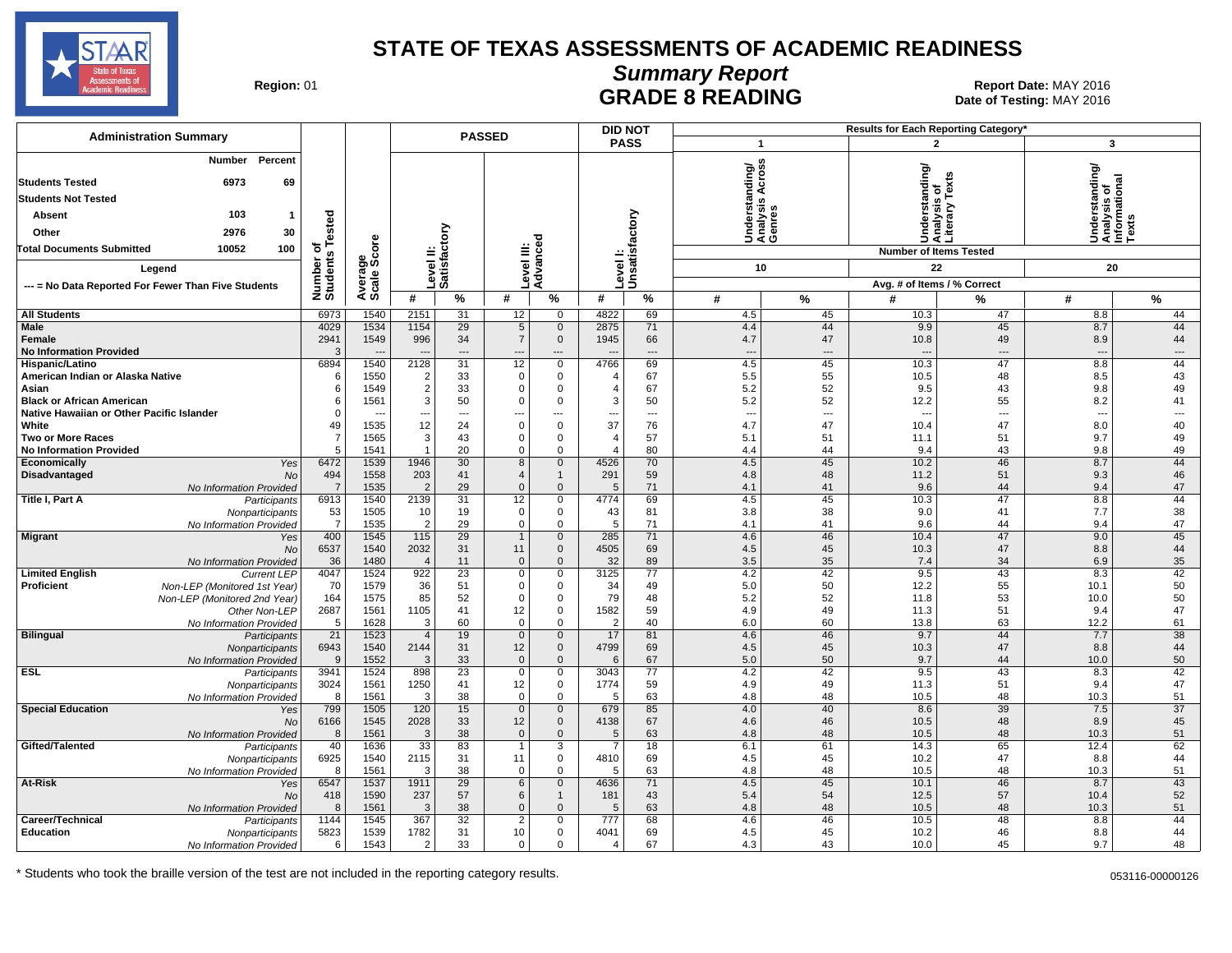

┱

**DID NOT**

# **Summary Report**

Region: 01 **Region: 01 Report Date: MAY 2016**<br>**GRADE 8 READING** Date of Testing: MAY 2016 Date of Testing: MAY 2016

| <b>Administration Summary</b>                              |                       |                        |                                |                                | <b>PASSED</b>              |                               |                        | <b>DID NOT</b>                 |                                 |                                      |                | <b>Results for Each Reporting Category</b> |                                                                                 |                      |
|------------------------------------------------------------|-----------------------|------------------------|--------------------------------|--------------------------------|----------------------------|-------------------------------|------------------------|--------------------------------|---------------------------------|--------------------------------------|----------------|--------------------------------------------|---------------------------------------------------------------------------------|----------------------|
|                                                            |                       |                        |                                |                                |                            |                               |                        | <b>PASS</b>                    | $\overline{1}$                  |                                      |                | $\mathbf{2}$                               | 3                                                                               |                      |
| Percent<br>Number                                          |                       |                        |                                |                                |                            |                               |                        |                                |                                 |                                      |                |                                            |                                                                                 |                      |
| <b>Students Tested</b><br>6973<br>69                       |                       |                        |                                |                                |                            |                               |                        |                                | nding/                          | ဠ                                    | nderstanding/  | is of<br>v Texts                           | rstanding/<br>ysis of<br>Understanding<br>Analysis of<br>Informational<br>Texts |                      |
| <b>Students Not Tested</b>                                 |                       |                        |                                |                                |                            |                               |                        |                                |                                 | ⋖                                    |                |                                            |                                                                                 |                      |
| 103<br>-1                                                  |                       |                        |                                |                                |                            |                               |                        |                                |                                 | S,<br>Understa<br>Analysis<br>Genres |                | Analysis<br>Literary                       |                                                                                 |                      |
| Absent                                                     |                       |                        |                                |                                |                            |                               |                        |                                |                                 |                                      |                |                                            |                                                                                 |                      |
| Other<br>2976<br>30                                        | Tested                |                        |                                |                                |                            |                               |                        |                                |                                 |                                      | 5              |                                            |                                                                                 |                      |
| 10052<br>100<br><b>Total Documents Submitted</b>           | ৳                     |                        |                                |                                |                            |                               |                        |                                |                                 |                                      |                | <b>Number of Items Tested</b>              |                                                                                 |                      |
| Legend                                                     | Number o<br>Students  | Average<br>Scale Score |                                | Level II:<br>Satisfactory      | Level III:<br>Advanced     |                               |                        | Level I:<br>Unsatisfactory     |                                 | 10                                   |                | 22                                         | 20                                                                              |                      |
| --- = No Data Reported For Fewer Than Five Students        |                       |                        |                                |                                |                            |                               |                        |                                |                                 |                                      |                | Avg. # of Items / % Correct                |                                                                                 |                      |
|                                                            |                       |                        | #                              | %                              | #                          | %                             | #                      | %                              | #                               | $\frac{9}{6}$                        | #              | %                                          | #                                                                               | %                    |
| <b>All Students</b>                                        | 6973                  | 1540                   | 2151                           | 31                             | 12                         | $\mathbf 0$                   | 4822                   | 69                             | 4.5                             | 45                                   | 10.3           | 47                                         | 8.8                                                                             | 44                   |
| Male                                                       | 4029                  | 1534                   | 1154                           | 29                             | $\sqrt{5}$                 | $\mathbf 0$                   | 2875                   | 71                             | 4.4                             | 44                                   | 9.9            | 45                                         | 8.7                                                                             | 44                   |
| Female<br><b>No Information Provided</b>                   | 2941<br>3             | 1549                   | 996                            | 34<br>$\overline{\phantom{a}}$ | $\overline{7}$<br>---      | $\mathbf 0$<br>$---$          | 1945                   | 66<br>$---$                    | 4.7<br>$\overline{\phantom{a}}$ | 47<br>$\overline{a}$                 | 10.8           | 49<br>$\overline{a}$                       | 8.9<br>$\overline{\phantom{a}}$                                                 | 44<br>---            |
| Hispanic/Latino                                            | 6894                  | 1540                   | 2128                           | 31                             | 12                         | $\mathsf 0$                   | 4766                   | 69                             | 4.5                             | 45                                   | 10.3           | 47                                         | 8.8                                                                             | 44                   |
| American Indian or Alaska Native                           | 6                     | 1550                   | $\overline{\mathbf{c}}$        | 33                             | $\Omega$                   | $\mathbf 0$                   | $\overline{4}$         | 67                             | 5.5                             | 55                                   | 10.5           | 48                                         | 8.5                                                                             | 43                   |
| Asian                                                      | 6                     | 1549                   | $\sqrt{2}$                     | 33                             | $\mathbf 0$                | 0                             | $\overline{4}$         | 67                             | 5.2                             | 52                                   | 9.5            | 43                                         | 9.8                                                                             | 49                   |
| <b>Black or African American</b>                           | 6                     | 1561                   | 3                              | 50                             | $\Omega$                   | $\mathbf 0$                   | 3                      | 50                             | 5.2                             | 52                                   | 12.2           | 55                                         | 8.2                                                                             | 41                   |
| Native Hawaiian or Other Pacific Islander<br>White         | $\Omega$<br>49        | 1535                   | $\overline{\phantom{a}}$<br>12 | $\overline{a}$<br>24           | ---<br>$\Omega$            | $\overline{a}$<br>$\mathbf 0$ | $\overline{a}$<br>37   | $\overline{\phantom{a}}$<br>76 | $\overline{\phantom{a}}$<br>4.7 | $\overline{a}$<br>47                 | $\sim$<br>10.4 | ---<br>47                                  | ---<br>8.0                                                                      | $\overline{a}$<br>40 |
| Two or More Races                                          | $\overline{7}$        | 1565                   | $\mathsf 3$                    | 43                             | $\mathbf 0$                | $\mathbf 0$                   | $\overline{4}$         | 57                             | 5.1                             | 51                                   | 11.1           | 51                                         | 9.7                                                                             | 49                   |
| <b>No Information Provided</b>                             | .5                    | 1541                   | $\overline{1}$                 | 20                             | $\Omega$                   | $\Omega$                      | $\overline{4}$         | 80                             | 4.4                             | 44                                   | 9.4            | 43                                         | 9.8                                                                             | 49                   |
| Economically<br>Yes                                        | 6472                  | 1539                   | 1946                           | 30                             | 8                          | $\mathbf 0$                   | 4526                   | 70                             | 4.5                             | 45                                   | 10.2           | 46                                         | 8.7                                                                             | 44                   |
| Disadvantaged<br><b>No</b>                                 | 494<br>$\overline{7}$ | 1558<br>1535           | 203<br>$\overline{2}$          | 41<br>29                       | $\overline{4}$<br>$\Omega$ | $\mathbf{1}$<br>$\Omega$      | 291<br>5               | 59<br>71                       | 4.8<br>4.1                      | 48<br>41                             | 11.2<br>9.6    | 51<br>44                                   | 9.3<br>9.4                                                                      | 46<br>47             |
| No Information Provided<br>Title I, Part A<br>Participants | 6913                  | 1540                   | 2139                           | 31                             | 12                         | 0                             | 4774                   | 69                             | 4.5                             | 45                                   | 10.3           | 47                                         | 8.8                                                                             | 44                   |
| Nonparticipants                                            | 53                    | 1505                   | 10                             | 19                             | $\mathbf 0$                | $\mathbf 0$                   | 43                     | 81                             | 3.8                             | 38                                   | 9.0            | 41                                         | 7.7                                                                             | 38                   |
| No Information Provided                                    | $\overline{7}$        | 1535                   | $\overline{2}$                 | 29                             | $\mathbf 0$                | $\mathbf 0$                   | 5                      | 71                             | 4.1                             | 41                                   | 9.6            | 44                                         | 9.4                                                                             | 47                   |
| Migrant<br>Yes<br><b>No</b>                                | 400<br>6537           | 1545<br>1540           | $\overline{115}$<br>2032       | $\overline{29}$<br>31          | $\mathbf{1}$<br>11         | $\mathbf 0$<br>$\mathbf 0$    | 285<br>4505            | 71<br>69                       | 4.6<br>4.5                      | 46<br>45                             | 10.4<br>10.3   | 47<br>47                                   | 9.0<br>8.8                                                                      | 45<br>44             |
| No Information Provided                                    | 36                    | 1480                   | $\overline{4}$                 | 11                             | $\mathbf 0$                | $\mathbf{0}$                  | 32                     | 89                             | 3.5                             | 35                                   | 7.4            | 34                                         | 6.9                                                                             | 35                   |
| <b>Limited English</b><br><b>Current LEP</b>               | 4047                  | 1524                   | 922                            | 23                             | $\mathsf 0$                | 0                             | 3125                   | 77                             | 4.2                             | 42                                   | 9.5            | 43                                         | 8.3                                                                             | 42                   |
| Proficient<br>Non-LEP (Monitored 1st Year)                 | 70                    | 1579                   | 36                             | 51                             | 0                          | $\mathbf 0$                   | 34                     | 49                             | 5.0                             | 50                                   | 12.2           | 55                                         | 10.1                                                                            | 50                   |
| Non-LEP (Monitored 2nd Year)                               | 164                   | 1575                   | 85                             | 52                             | $\mathsf 0$                | 0                             | 79                     | 48                             | 5.2                             | 52                                   | 11.8           | 53                                         | 10.0                                                                            | 50                   |
| Other Non-LEP<br>No Information Provided                   | 2687<br>5             | 1561<br>1628           | 1105<br>3                      | 41<br>60                       | 12<br>$\mathbf 0$          | $\mathsf 0$<br>$\mathbf 0$    | 1582<br>$\overline{2}$ | 59<br>40                       | 4.9<br>6.0                      | 49<br>60                             | 11.3<br>13.8   | 51<br>63                                   | 9.4<br>12.2                                                                     | 47<br>61             |
| <b>Bilingual</b><br>Participants                           | $\overline{21}$       | 1523                   | $\overline{4}$                 | 19                             | $\mathsf{O}\xspace$        | $\mathbf{0}$                  | 17                     | 81                             | 4.6                             | 46                                   | 9.7            | 44                                         | 7.7                                                                             | 38                   |
| Nonparticipants                                            | 6943                  | 1540                   | 2144                           | 31                             | 12                         | $\mathbf 0$                   | 4799                   | 69                             | 4.5                             | 45                                   | 10.3           | 47                                         | 8.8                                                                             | 44                   |
| No Information Provided                                    | -9                    | 1552                   | 3                              | 33                             | $\mathbf{0}$               | $\mathbf{0}$                  | 6                      | 67                             | 5.0                             | 50                                   | 9.7            | 44                                         | 10.0                                                                            | 50                   |
| <b>ESL</b><br>Participants                                 | 3941                  | 1524                   | 898                            | 23<br>41                       | $\mathsf 0$<br>12          | $\mathsf 0$<br>0              | 3043<br>1774           | $\overline{77}$<br>59          | 4.2<br>4.9                      | 42<br>49                             | 9.5<br>11.3    | 43<br>51                                   | 8.3<br>9.4                                                                      | 42<br>47             |
| Nonparticipants<br>No Information Provided                 | 3024<br>8             | 1561<br>1561           | 1250<br>3                      | 38                             | $\mathbf 0$                | $\mathbf 0$                   | 5                      | 63                             | 4.8                             | 48                                   | 10.5           | 48                                         | 10.3                                                                            | 51                   |
| <b>Special Education</b><br>Yes                            | 799                   | 1505                   | 120                            | 15                             | $\overline{0}$             | $\mathbf 0$                   | 679                    | 85                             | 4.0                             | 40                                   | 8.6            | 39                                         | 7.5                                                                             | 37                   |
| <b>No</b>                                                  | 6166                  | 1545                   | 2028                           | 33                             | 12                         | $\mathbf 0$                   | 4138                   | 67                             | 4.6                             | 46                                   | 10.5           | 48                                         | 8.9                                                                             | 45                   |
| No Information Provided                                    | 8                     | 1561                   | 3                              | 38                             | $\mathbf 0$                | $\mathbf{0}$                  | 5                      | 63                             | 4.8                             | 48                                   | 10.5           | 48                                         | 10.3                                                                            | 51                   |
| Gifted/Talented<br>Participants                            | 40<br>6925            | 1636<br>1540           | 33<br>2115                     | 83<br>31                       | 11                         | 3<br>$\mathbf 0$              | 7<br>4810              | 18<br>69                       | 6.1<br>4.5                      | 61<br>45                             | 14.3<br>10.2   | 65<br>47                                   | 12.4<br>8.8                                                                     | 62<br>44             |
| Nonparticipants<br>No Information Provided                 | 8                     | 1561                   | 3                              | 38                             | $\mathbf 0$                | $\Omega$                      | 5                      | 63                             | 4.8                             | 48                                   | 10.5           | 48                                         | 10.3                                                                            | 51                   |
| At-Risk<br>Yes                                             | 6547                  | 1537                   | 1911                           | 29                             | 6                          | $\mathbf{0}$                  | 4636                   | 71                             | 4.5                             | 45                                   | 10.1           | 46                                         | 8.7                                                                             | 43                   |
| <b>No</b>                                                  | 418                   | 1590                   | 237                            | 57                             | 6                          | $\mathbf{1}$                  | 181                    | 43                             | 5.4                             | 54                                   | 12.5           | 57                                         | 10.4                                                                            | 52                   |
| No Information Provided                                    | 8                     | 1561                   | 3                              | 38                             | $\overline{0}$             | $\Omega$                      | 5                      | 63                             | 4.8                             | 48                                   | 10.5           | 48                                         | 10.3                                                                            | 51                   |
| Career/Technical<br>Participants<br><b>Education</b>       | 1144<br>5823          | 1545<br>1539           | 367<br>1782                    | 32<br>31                       | $\overline{2}$<br>10       | $\overline{0}$<br>$\mathbf 0$ | 777<br>4041            | 68<br>69                       | 4.6<br>4.5                      | 46<br>45                             | 10.5<br>10.2   | 48<br>46                                   | 8.8<br>8.8                                                                      | 44<br>44             |
| Nonparticipants<br>No Information Provided                 | 6                     | 1543                   | 2                              | 33                             | $\Omega$                   | $\Omega$                      | $\overline{4}$         | 67                             | 4.3                             | 43                                   | 10.0           | 45                                         | 9.7                                                                             | 48                   |
|                                                            |                       |                        |                                |                                |                            |                               |                        |                                |                                 |                                      |                |                                            |                                                                                 |                      |

\* Students who took the braille version of the test are not included in the reporting category results. 053116-00000126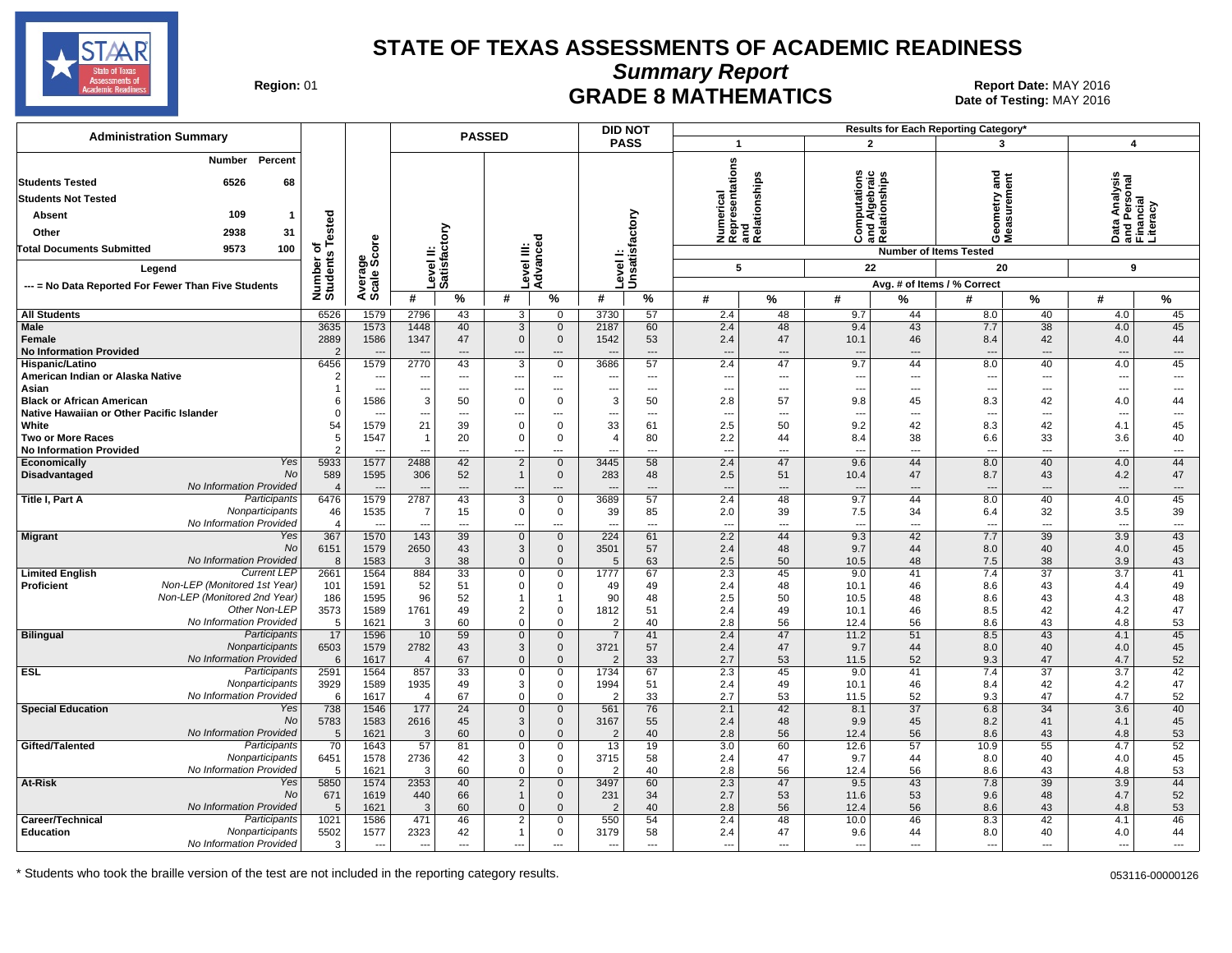

**Summary Report**

Region: 01 **Region: 01 CRADE 8 MATHEMATICS Report Date: MAY 2016 Report Date: MAY 2016** Date of Testing: MAY 2016

| <b>Administration Summary</b>                                               |                               |                                  | <b>DID NOT</b><br><b>PASSED</b> |                                |                                |                                         |                                                      |                                      | Results for Each Reporting Category'   |                       |                                         |                              |                                        |                                      |                                                        |                 |
|-----------------------------------------------------------------------------|-------------------------------|----------------------------------|---------------------------------|--------------------------------|--------------------------------|-----------------------------------------|------------------------------------------------------|--------------------------------------|----------------------------------------|-----------------------|-----------------------------------------|------------------------------|----------------------------------------|--------------------------------------|--------------------------------------------------------|-----------------|
|                                                                             |                               |                                  |                                 |                                |                                |                                         |                                                      | <b>PASS</b>                          | $\mathbf{1}$                           |                       | $\overline{2}$                          |                              | 3                                      |                                      | $\overline{4}$                                         |                 |
| Percent<br>Number<br><b>Students Tested</b><br>6526<br>68                   |                               |                                  |                                 |                                |                                |                                         |                                                      |                                      | epresentations<br>nd                   |                       |                                         |                              | gue                                    |                                      | Data Analysis<br>and Personal<br>Financial<br>Literacy |                 |
| <b>Students Not Tested</b>                                                  |                               |                                  |                                 |                                |                                |                                         |                                                      |                                      |                                        |                       | ation                                   |                              |                                        |                                      |                                                        |                 |
| 109<br><b>Absent</b>                                                        |                               |                                  |                                 |                                |                                |                                         |                                                      |                                      | umerical                               | elationships          | 팊                                       | nd Algebraio<br>elationships |                                        |                                      |                                                        |                 |
| Other<br>2938<br>31                                                         |                               |                                  |                                 |                                |                                |                                         |                                                      |                                      |                                        |                       | 틍                                       |                              |                                        |                                      |                                                        |                 |
| 9573<br>100<br><b>Total Documents Submitted</b>                             | Tested<br>৳                   |                                  |                                 |                                |                                |                                         |                                                      |                                      | 5 \$ \$ \$                             |                       | Õ                                       | ಹ ∩∠                         | ÓΣ                                     |                                      |                                                        |                 |
|                                                                             | w                             | ge<br>Score                      |                                 |                                |                                |                                         |                                                      |                                      |                                        |                       |                                         |                              | <b>Number of Items Tested</b>          |                                      |                                                        |                 |
| Legend                                                                      | Number<br>Student:            |                                  | Level II:<br>Satisfactory       |                                | evel III:                      | Advanced                                |                                                      | Level I:<br>Unsatisfactory           | 5                                      |                       | 22                                      |                              | 20                                     |                                      | 9                                                      |                 |
| --- = No Data Reported For Fewer Than Five Students                         |                               | Avera<br>Scale                   |                                 |                                |                                |                                         |                                                      |                                      |                                        |                       |                                         |                              | Avg. # of Items / % Correct            |                                      |                                                        |                 |
|                                                                             |                               |                                  | #                               | %                              | #                              | %                                       | #                                                    | %                                    | #                                      | %                     | #                                       | %                            | #                                      | %                                    | #                                                      | $\%$            |
| <b>All Students</b>                                                         | 6526                          | 1579                             | 2796                            | 43                             | 3                              | 0                                       | 3730                                                 | 57                                   | 2.4                                    | 48                    | 9.7                                     | 44                           | 8.0                                    | 40                                   | 4.0                                                    | 45              |
| <b>Male</b><br>Female<br><b>No Information Provided</b>                     | 3635<br>2889<br>$\mathcal{P}$ | 1573<br>1586                     | 1448<br>1347                    | 40<br>47<br>$\overline{a}$     | 3<br>$\mathbf 0$               | $\mathbf{0}$<br>$\mathbf 0$             | 2187<br>1542                                         | 60<br>53<br>$\overline{\phantom{a}}$ | 2.4<br>2.4<br>$\overline{\phantom{a}}$ | 48<br>47<br>---       | 9.4<br>10.1<br>$\overline{\phantom{a}}$ | 43<br>46<br>---              | 7.7<br>8.4<br>$\overline{\phantom{a}}$ | 38<br>42<br>$\overline{\phantom{a}}$ | 4.0<br>4.0<br>$\overline{\phantom{a}}$                 | 45<br>44<br>--- |
| <b>Hispanic/Latino</b>                                                      | 6456                          | 1579                             | 2770                            | 43                             | 3                              | $\mathsf 0$                             | 3686                                                 | 57                                   | 2.4                                    | 47                    | 9.7                                     | 44                           | 8.0                                    | 40                                   | 4.0                                                    | 45              |
| American Indian or Alaska Native<br>Asian                                   |                               | ---                              | $\overline{a}$                  | $\cdots$                       |                                | $\hspace{0.05cm} \ldots$                | $\overline{\phantom{a}}$<br>$\overline{\phantom{a}}$ | $\scriptstyle\cdots$                 | ---                                    | $\overline{a}$<br>--- | ---<br>$\overline{a}$                   | ---<br>$\overline{a}$        | $\overline{\phantom{a}}$<br>$\sim$     | $\hspace{0.05cm} \ldots$             | $\overline{\phantom{a}}$                               | ---<br>---      |
| <b>Black or African American</b>                                            |                               | $\overline{\phantom{a}}$<br>1586 | 3                               | $\overline{\phantom{a}}$<br>50 | ---<br>$\Omega$                | $\overline{\phantom{a}}$<br>$\mathbf 0$ | 3                                                    | $\overline{\phantom{a}}$<br>50       | ---<br>2.8                             | 57                    | 9.8                                     | 45                           | 8.3                                    | $\overline{\phantom{a}}$<br>42       | $\overline{\phantom{a}}$<br>4.0                        | 44              |
| Native Hawaiian or Other Pacific Islander                                   |                               |                                  |                                 | $\ddotsc$                      |                                | $\overline{\phantom{a}}$                |                                                      | $\overline{a}$                       | ---                                    | ---                   | $\overline{a}$                          | ---                          | $\overline{\phantom{a}}$               | ---                                  | $\overline{\phantom{a}}$                               | ---             |
| White                                                                       | 54                            | 1579                             | 21                              | 39                             | $\mathbf 0$                    | $\mathbf 0$                             | 33                                                   | 61                                   | 2.5                                    | 50                    | 9.2                                     | 42                           | 8.3                                    | 42                                   | 4.1                                                    | 45              |
| <b>Two or More Races</b><br><b>No Information Provided</b>                  | 5                             | 1547<br>$\sim$                   | $\overline{a}$                  | 20<br>$\overline{\phantom{a}}$ | $\Omega$<br>---                | $\mathbf 0$<br>$\overline{\phantom{a}}$ | ---                                                  | 80<br>$\overline{a}$                 | 2.2<br>$\overline{\phantom{a}}$        | 44<br>---             | 8.4<br>$\overline{\phantom{a}}$         | 38<br>---                    | 6.6<br>$\overline{\phantom{a}}$        | 33<br>$\overline{\phantom{a}}$       | 3.6<br>$\overline{a}$                                  | 40<br>---       |
| Yes<br>Economically                                                         | 5933                          | 1577                             | 2488                            | 42                             | $\overline{2}$                 | $\mathbf 0$                             | 3445                                                 | 58                                   | 2.4                                    | 47                    | 9.6                                     | 44                           | 8.0                                    | 40                                   | 4.0                                                    | 44              |
| <b>No</b><br>Disadvantaged                                                  | 589                           | 1595                             | 306                             | 52                             | $\mathbf{1}$                   | $\overline{0}$                          | 283                                                  | 48                                   | 2.5                                    | 51                    | 10.4                                    | 47                           | 8.7                                    | 43                                   | 4.2                                                    | 47              |
| No Information Provided                                                     | $\overline{4}$                |                                  |                                 | $\overline{\phantom{a}}$       |                                |                                         |                                                      | $\overline{\phantom{a}}$             | $\overline{\phantom{a}}$               |                       |                                         |                              |                                        | $---$                                | $\overline{\phantom{a}}$                               | ---             |
| Participants<br><b>Title I, Part A</b><br>Nonparticipants                   | 6476                          | 1579                             | 2787                            | 43                             | 3<br>$\mathbf 0$               | $\overline{0}$                          | 3689                                                 | 57<br>85                             | 2.4<br>2.0                             | 48                    | 9.7<br>7.5                              | 44<br>34                     | 8.0                                    | 40<br>32                             | 4.0<br>3.5                                             | 45              |
| No Information Provided                                                     | 46<br>$\overline{4}$          | 1535<br>$\overline{\phantom{a}}$ | 7<br>$\overline{\phantom{a}}$   | 15<br>$\overline{\phantom{a}}$ | ---                            | $\mathbf 0$<br>$\cdots$                 | 39<br>$\overline{\phantom{a}}$                       | $\scriptstyle\cdots$                 | ---                                    | 39<br>---             | $\overline{\phantom{a}}$                | ---                          | 6.4<br>$\overline{\phantom{a}}$        | $\hspace{0.05cm} \ldots$             | $\overline{a}$                                         | 39<br>---       |
| <b>Migrant</b><br>Yes                                                       | 367                           | 1570                             | 143                             | 39                             | $\Omega$                       | $\mathbf 0$                             | 224                                                  | 61                                   | 2.2                                    | 44                    | 9.3                                     | 42                           | 7.7                                    | 39                                   | 3.9                                                    | 43              |
| <b>No</b>                                                                   | 6151                          | 1579                             | 2650                            | 43                             | 3                              | $\mathbf{0}$                            | 3501                                                 | 57                                   | 2.4                                    | 48                    | 9.7                                     | 44                           | 8.0                                    | 40                                   | 4.0                                                    | 45              |
| No Information Provided<br><b>Current LEP</b>                               | 8                             | 1583                             | 3                               | 38                             | $\Omega$                       | $\mathbf{0}$                            |                                                      | 63                                   | 2.5                                    | 50                    | 10.5                                    | 48                           | 7.5                                    | 38                                   | 3.9                                                    | 43              |
| <b>Limited English</b><br>Non-LEP (Monitored 1st Year)<br><b>Proficient</b> | 2661<br>101                   | 1564<br>1591                     | 884<br>52                       | 33<br>51                       | 0<br>0                         | $\mathbf 0$<br>$\mathbf 0$              | 1777<br>49                                           | 67<br>49                             | 2.3<br>2.4                             | 45<br>48              | 9.0<br>10.1                             | 41<br>46                     | 7.4<br>8.6                             | $\overline{37}$<br>43                | 3.7<br>4.4                                             | 41<br>49        |
| Non-LEP (Monitored 2nd Year)                                                | 186                           | 1595                             | 96                              | 52                             | $\mathbf{1}$                   | $\mathbf{1}$                            | 90                                                   | 48                                   | 2.5                                    | 50                    | 10.5                                    | 48                           | 8.6                                    | 43                                   | 4.3                                                    | 48              |
| Other Non-LEP                                                               | 3573                          | 1589                             | 1761                            | 49                             | $\overline{2}$                 | $\Omega$                                | 1812                                                 | 51                                   | 2.4                                    | 49                    | 10.1                                    | 46                           | 8.5                                    | 42                                   | 4.2                                                    | 47              |
| No Information Provided                                                     | 5                             | 1621                             | 3                               | 60                             | 0                              | $\mathbf 0$                             |                                                      | 40                                   | 2.8                                    | 56                    | 12.4                                    | 56                           | 8.6                                    | 43                                   | 4.8                                                    | 53              |
| <b>Bilingual</b><br>Participants<br>Nonparticipants                         | 17<br>6503                    | 1596<br>1579                     | 10<br>2782                      | 59<br>43                       | $\mathbf 0$<br>3               | $\mathbf 0$<br>$\mathbf 0$              | 3721                                                 | 41<br>57                             | 2.4<br>2.4                             | 47<br>47              | 11.2<br>9.7                             | 51<br>44                     | 8.5<br>8.0                             | 43<br>40                             | 4.1<br>4.0                                             | 45<br>45        |
| No Information Provided                                                     | 6                             | 1617                             | $\overline{4}$                  | 67                             | $\Omega$                       | $\mathbf{0}$                            |                                                      | 33                                   | 2.7                                    | 53                    | 11.5                                    | 52                           | 9.3                                    | 47                                   | 4.7                                                    | 52              |
| <b>ESL</b><br>Participants                                                  | 2591                          | 1564                             | 857                             | 33                             | $\mathbf 0$                    | $\mathbf 0$                             | 1734                                                 | 67                                   | 2.3                                    | 45                    | 9.0                                     | 41                           | 7.4                                    | 37                                   | 3.7                                                    | 42              |
| Nonparticipants                                                             | 3929                          | 1589                             | 1935                            | 49                             | 3                              | $\mathbf 0$                             | 1994                                                 | 51                                   | 2.4                                    | 49                    | 10.1                                    | 46                           | 8.4                                    | 42                                   | 4.2                                                    | 47              |
| No Information Provided<br><b>Special Education</b><br>Yes                  | 6<br>738                      | 1617<br>1546                     | $\overline{4}$<br>177           | 67<br>24                       | $\mathbf 0$<br>$\mathbf{0}$    | $\mathbf 0$<br>$\mathbf 0$              | 561                                                  | 33<br>76                             | 2.7<br>2.1                             | 53<br>42              | 11.5<br>8.1                             | 52<br>37                     | 9.3<br>6.8                             | 47<br>34                             | 4.7<br>3.6                                             | 52<br>40        |
| No                                                                          | 5783                          | 1583                             | 2616                            | 45                             | $\mathbf{3}$                   | $\mathbf 0$                             | 3167                                                 | 55                                   | 2.4                                    | 48                    | 9.9                                     | 45                           | 8.2                                    | 41                                   | 4.1                                                    | 45              |
| No Information Provided                                                     | 5                             | 1621                             | 3                               | 60                             | $\mathbf 0$                    | $\mathbf{0}$                            |                                                      | 40                                   | 2.8                                    | 56                    | 12.4                                    | 56                           | 8.6                                    | 43                                   | 4.8                                                    | 53              |
| Participants<br>Gifted/Talented                                             | 70                            | 1643                             | 57                              | 81                             | $\overline{0}$                 | $\mathbf 0$                             | 13                                                   | 19                                   | 3.0                                    | 60                    | 12.6                                    | 57                           | 10.9                                   | 55                                   | 4.7                                                    | 52              |
| Nonparticipants<br>No Information Provided                                  | 6451<br>-5                    | 1578<br>1621                     | 2736<br>3                       | 42<br>60                       | 3<br>$\mathbf 0$               | 0<br>$\mathbf{0}$                       | 3715                                                 | 58<br>40                             | 2.4<br>2.8                             | 47<br>56              | 9.7<br>12.4                             | 44<br>56                     | 8.0<br>8.6                             | 40<br>43                             | 4.0<br>4.8                                             | 45<br>53        |
| At-Risk<br>Yes                                                              | 5850                          | 1574                             | 2353                            | 40                             | $\overline{2}$                 | $\mathbf 0$                             | 3497                                                 | 60                                   | 2.3                                    | 47                    | 9.5                                     | 43                           | 7.8                                    | 39                                   | 3.9                                                    | 44              |
| <b>No</b>                                                                   | 671                           | 1619                             | 440                             | 66                             | $\mathbf{1}$                   | $\mathbf 0$                             | 231                                                  | 34                                   | 2.7                                    | 53                    | 11.6                                    | 53                           | 9.6                                    | 48                                   | 4.7                                                    | 52              |
| No Information Provided                                                     | 5                             | 1621                             | 3                               | 60                             | $\overline{0}$                 | $\Omega$                                |                                                      | 40                                   | 2.8                                    | 56                    | 12.4                                    | 56                           | 8.6                                    | 43                                   | 4.8                                                    | 53              |
| Participants<br>Career/Technical                                            | 1021                          | 1586                             | 471                             | 46                             | 2                              | 0                                       | 550                                                  | 54                                   | 2.4                                    | 48                    | 10.0                                    | 46                           | 8.3                                    | 42                                   | 4.1                                                    | 46              |
| Education<br>Nonparticipants<br>No Information Provided                     | 5502<br>3                     | 1577<br>$\overline{\phantom{a}}$ | 2323<br>$\overline{a}$          | 42<br>$\overline{\phantom{a}}$ | $\mathbf{1}$<br>$\overline{a}$ | $\mathbf 0$<br>$\overline{a}$           | 3179<br>$\overline{\phantom{a}}$                     | 58<br>$\overline{a}$                 | 2.4<br>$\overline{a}$                  | 47<br>$\overline{a}$  | 9.6<br>$\overline{a}$                   | 44<br>$\overline{a}$         | 8.0<br>$\overline{\phantom{a}}$        | 40<br>$\overline{\phantom{a}}$       | 4.0<br>$\overline{a}$                                  | 44<br>---       |
|                                                                             |                               |                                  |                                 |                                |                                |                                         |                                                      |                                      |                                        |                       |                                         |                              |                                        |                                      |                                                        |                 |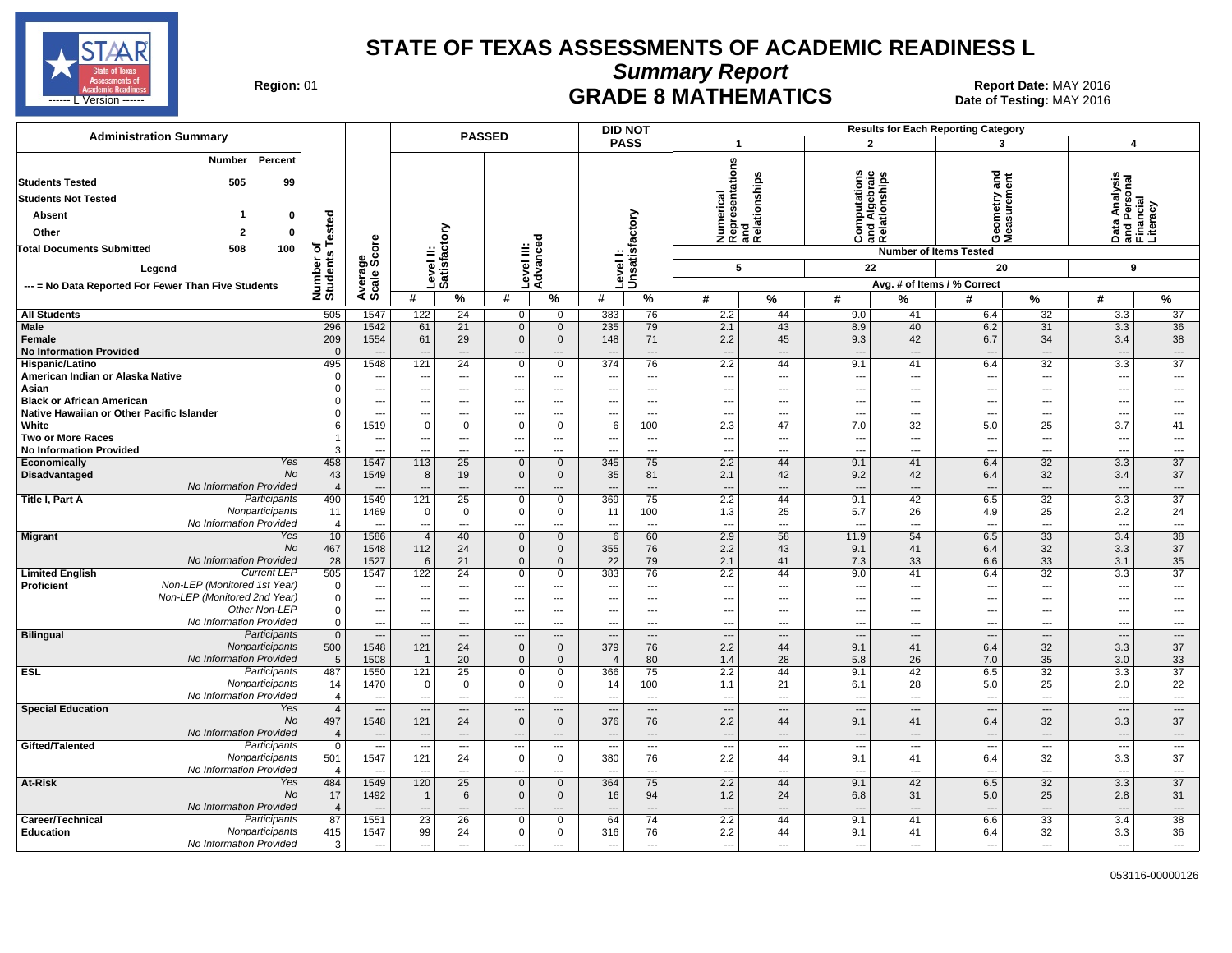

**Summary Report**

Region: 01 **Region: 01 CRADE 8 MATHEMATICS Report Date: MAY 2016 Report Date: MAY 2016** <u>------ L'Version ------- Nate</u> of Testing: MAY 2016 **SERVICE ON INTERNATILE OF A SERVICE ON A SERVICE ON A SERVICE ON A SERVICE ON A SERVICE ON A SERVICE ON A SERVICE ON A SERVICE ON A SERVICE ON A SERVICE ON A SERVICE O** 

| <b>Administration Summary</b>                                                          |                          | <b>DID NOT</b><br><b>Results for Each Reporting Category</b><br><b>PASSED</b> |                                  |                                         |                            |                                   |                               |                                      |                                                      |                            |                                                                          |                                  |                                                      |                                      |                                                        |                                |
|----------------------------------------------------------------------------------------|--------------------------|-------------------------------------------------------------------------------|----------------------------------|-----------------------------------------|----------------------------|-----------------------------------|-------------------------------|--------------------------------------|------------------------------------------------------|----------------------------|--------------------------------------------------------------------------|----------------------------------|------------------------------------------------------|--------------------------------------|--------------------------------------------------------|--------------------------------|
|                                                                                        |                          |                                                                               |                                  |                                         |                            |                                   |                               | <b>PASS</b>                          | $\mathbf{1}$                                         |                            | $\overline{2}$                                                           |                                  | 3                                                    |                                      | $\overline{\mathbf{4}}$                                |                                |
| Percent<br>Number<br><b>Students Tested</b><br>505<br>99<br><b>Students Not Tested</b> |                          |                                                                               |                                  |                                         |                            |                                   |                               |                                      | Numerical<br>Representations<br>and<br>Relationships |                            | ations<br>$\mathbf{c}$<br>Computations<br>and Algebraic<br>Relationships |                                  | gue                                                  |                                      | Data Analysis<br>and Personal<br>Financial<br>Literacy |                                |
| 0                                                                                      |                          |                                                                               |                                  |                                         |                            |                                   |                               |                                      |                                                      |                            |                                                                          |                                  | etry                                                 |                                      |                                                        |                                |
| Absent                                                                                 | Tested                   |                                                                               |                                  |                                         |                            |                                   |                               |                                      |                                                      |                            |                                                                          |                                  | ន្ត<br>ទី                                            |                                      |                                                        |                                |
| Other<br>0                                                                             |                          |                                                                               |                                  |                                         |                            |                                   |                               |                                      |                                                      |                            | ن                                                                        | 高应                               | ⊙ ⋝                                                  |                                      |                                                        |                                |
| 508<br><b>Total Documents Submitted</b><br>100                                         | ৳                        |                                                                               |                                  |                                         | Level III:                 | Advanced                          |                               | Unsatisfactory                       |                                                      |                            |                                                                          |                                  | <b>Number of Items Tested</b>                        |                                      |                                                        |                                |
| Legend                                                                                 |                          |                                                                               |                                  |                                         |                            |                                   | evel I:                       |                                      | 5                                                    |                            | 22                                                                       |                                  | 20                                                   |                                      | $\mathbf{9}$                                           |                                |
| --- = No Data Reported For Fewer Than Five Students                                    | Number of<br>Students    | Average<br>Scale Score                                                        |                                  | Level II:<br>Satisfactory               |                            |                                   |                               |                                      |                                                      |                            |                                                                          |                                  | Avg. # of Items / % Correct                          |                                      |                                                        |                                |
|                                                                                        |                          |                                                                               | #                                | %                                       | #                          | %                                 | #                             | $\%$                                 | #                                                    | %                          | #                                                                        | %                                | #                                                    | %                                    | #                                                      | %                              |
| <b>All Students</b>                                                                    | 505                      | 1547                                                                          | 122                              | 24                                      | 0                          | $\Omega$                          | 383                           | 76                                   | 2.2                                                  | 44                         | 9.0                                                                      | 41                               | 6.4                                                  | $\overline{32}$                      | 3.3                                                    | $\overline{37}$                |
| <b>Male</b><br>Female<br><b>No Information Provided</b>                                | 296<br>209<br>$\Omega$   | 1542<br>1554                                                                  | 61<br>61                         | $\overline{21}$<br>29<br>$\overline{a}$ | $\mathbf 0$<br>$\mathbf 0$ | $\mathbf 0$<br>$\mathbf 0$<br>--- | 235<br>148                    | 79<br>71<br>$\overline{\phantom{a}}$ | 2.1<br>2.2<br>$\overline{\phantom{a}}$               | 43<br>45<br>$\overline{a}$ | 8.9<br>9.3<br>$\overline{a}$                                             | 40<br>42<br>$\overline{a}$       | 6.2<br>6.7<br>$\sim$                                 | 31<br>34<br>$\overline{\phantom{a}}$ | 3.3<br>3.4<br>                                         | 36<br>38<br>---                |
| Hispanic/Latino                                                                        | 495                      | 1548                                                                          | 121                              | 24                                      | 0                          | $\mathbf 0$                       | 374                           | 76                                   | 2.2                                                  | 44                         | 9.1                                                                      | 41                               | 6.4                                                  | 32                                   | 3.3                                                    | 37                             |
| American Indian or Alaska Native                                                       | $\Omega$                 | ---                                                                           | ---                              | ---                                     | ---                        | $\cdots$                          | ---                           | $---$                                | ---                                                  | ---                        | ---                                                                      | ---                              | $\overline{\phantom{a}}$                             | $\overline{\phantom{a}}$             | $\overline{\phantom{a}}$                               | ---                            |
| Asian<br><b>Black or African American</b>                                              | $\Omega$                 | ---<br>---                                                                    | $\overline{a}$                   | $\overline{\phantom{a}}$<br>---         | ---                        | $---$<br>$---$                    |                               | $---$<br>$---$                       | $\overline{\phantom{a}}$<br>---                      | ---<br>---                 | ---<br>---                                                               | $\overline{a}$<br>$\overline{a}$ | $\overline{\phantom{a}}$<br>$\overline{\phantom{a}}$ | $---$<br>$\overline{\phantom{a}}$    | $\overline{\phantom{a}}$<br>---                        | ---<br>---                     |
| Native Hawaiian or Other Pacific Islander                                              |                          | ---                                                                           | $\overline{a}$                   | $---$                                   | ---                        | $\overline{a}$                    |                               | $-$                                  | ---                                                  | $\overline{a}$             | $\sim$                                                                   | $\overline{a}$                   | $\overline{\phantom{a}}$                             | $---$                                | $\overline{a}$                                         | ---                            |
| White                                                                                  | 6                        | 1519                                                                          | $\mathbf 0$                      | 0                                       | 0                          | $\mathbf 0$                       | 6                             | 100                                  | 2.3                                                  | 47                         | 7.0                                                                      | 32                               | 5.0                                                  | 25                                   | 3.7                                                    | 41                             |
| <b>Two or More Races</b>                                                               |                          | ---                                                                           | $\hspace{0.05cm} \ldots$         | ---                                     | ---                        | $\overline{\phantom{a}}$          |                               | $\overline{\phantom{a}}$             | $\overline{\phantom{a}}$                             | ---                        | $\overline{a}$                                                           | $\overline{a}$                   | $\overline{\phantom{a}}$                             | $\overline{\phantom{a}}$             | $\overline{\phantom{a}}$                               | ---                            |
| <b>No Information Provided</b><br>Yes                                                  | 3                        | $\sim$                                                                        |                                  | ---                                     |                            | $---$<br>$\mathbf{0}$             |                               | $\overline{a}$                       | ---                                                  | ---<br>44                  | $\sim$                                                                   | $\overline{a}$<br>41             | $\sim$                                               | $\overline{\phantom{a}}$             | ---                                                    | $\overline{a}$<br>37           |
| Economically<br>No<br>Disadvantaged                                                    | 458<br>43                | 1547<br>1549                                                                  | 113<br>8                         | 25<br>19                                | $\mathbf 0$<br>$\mathbf 0$ | $\mathbf 0$                       | 345<br>35                     | 75<br>81                             | 2.2<br>2.1                                           | 42                         | 9.1<br>9.2                                                               | 42                               | 6.4<br>6.4                                           | 32<br>32                             | 3.3<br>3.4                                             | 37                             |
| No Information Provided                                                                | $\overline{4}$           |                                                                               |                                  | $\overline{\phantom{a}}$                | ---                        | ---                               |                               | $\overline{\phantom{a}}$             | $\overline{\phantom{a}}$                             | $\overline{a}$             | $\overline{a}$                                                           | $\overline{a}$                   | $\overline{\phantom{a}}$                             | $\overline{\phantom{a}}$             | $\overline{a}$                                         | ---                            |
| Participants<br>Title I, Part A                                                        | 490                      | 1549                                                                          | $\overline{121}$                 | 25                                      | $\mathbf 0$                | $\overline{0}$                    | 369                           | 75                                   | 2.2                                                  | 44                         | 9.1                                                                      | 42                               | 6.5                                                  | 32                                   | 3.3                                                    | 37                             |
| Nonparticipants                                                                        | 11                       | 1469                                                                          | $\mathbf 0$                      | $\mathbf{0}$                            | 0                          | $\mathbf 0$                       | 11                            | 100                                  | 1.3                                                  | 25                         | 5.7                                                                      | 26                               | 4.9                                                  | 25                                   | 2.2                                                    | 24                             |
| No Information Provided<br><b>Migrant</b><br>Yes                                       | $\overline{4}$<br>10     | ÷.,<br>1586                                                                   | $\overline{a}$<br>$\overline{4}$ | ---<br>40                               | ---<br>$\mathbf 0$         | ---<br>$\mathbf{0}$               | $\overline{\phantom{a}}$<br>6 | $\overline{a}$<br>60                 | ---<br>2.9                                           | ---<br>58                  | $\overline{a}$<br>11.9                                                   | ---<br>54                        | $\overline{\phantom{a}}$<br>6.5                      | $\overline{\phantom{a}}$<br>33       | $\overline{a}$<br>3.4                                  | ---<br>$\overline{38}$         |
| No                                                                                     | 467                      | 1548                                                                          | 112                              | 24                                      | $\mathbf 0$                | $\mathbf 0$                       | 355                           | 76                                   | 2.2                                                  | 43                         | 9.1                                                                      | 41                               | 6.4                                                  | 32                                   | 3.3                                                    | 37                             |
| No Information Provided                                                                | 28                       | 1527                                                                          | 6                                | 21                                      | $\mathbf 0$                | $\mathbf 0$                       | 22                            | 79                                   | 2.1                                                  | 41                         | 7.3                                                                      | 33                               | 6.6                                                  | 33                                   | 3.1                                                    | 35                             |
| <b>Current LEP</b><br><b>Limited English</b>                                           | 505                      | 1547                                                                          | 122                              | 24                                      | 0                          | $\mathbf 0$                       | 383                           | 76                                   | 2.2                                                  | 44                         | 9.0                                                                      | 41                               | 6.4                                                  | 32                                   | 3.3                                                    | 37                             |
| Non-LEP (Monitored 1st Year)<br>Proficient<br>Non-LEP (Monitored 2nd Year)             | $\Omega$                 | ---                                                                           | ---                              | $---$                                   | ---                        | $---$                             |                               | $---$                                | ---                                                  | $\overline{a}$             | $\overline{\phantom{a}}$                                                 | $\overline{a}$                   | $\overline{\phantom{a}}$                             | $\sim$                               | $\overline{a}$                                         | ---                            |
| Other Non-LEP                                                                          | $\Omega$<br>$\mathbf 0$  | ---<br>---                                                                    | $---$<br>$---$                   | $---$<br>$---$                          | ---<br>---                 | $---$<br>$---$                    | ---<br>---                    | $---$<br>$---$                       | ---<br>---                                           | $\overline{a}$<br>---      | $---$<br>$\overline{a}$                                                  | $---$<br>$---$                   | $\sim$<br>$\sim$                                     | $\sim$<br>$\sim$                     | ---<br>---                                             | ---<br>---                     |
| No Information Provided                                                                | $\mathbf 0$              | $\overline{\phantom{a}}$                                                      | $\sim$                           | $---$                                   | ---                        | $---$                             | $\sim$                        | $---$                                | ---                                                  | $---$                      | ---                                                                      | $---$                            | $\sim$                                               | $\overline{\phantom{a}}$             | $\cdots$                                               | ---                            |
| <b>Bilingual</b><br>Participants                                                       | $\mathbf{0}$             | $\overline{\phantom{a}}$                                                      | $\sim$                           | $\overline{\phantom{a}}$                |                            | $\overline{\phantom{a}}$          |                               | $---$                                | ---                                                  | $\overline{a}$             | $\overline{\phantom{a}}$                                                 | $\overline{a}$                   | $\overline{\phantom{a}}$                             | $\overline{\phantom{a}}$             | $\overline{\phantom{a}}$                               | $\overline{\phantom{a}}$       |
| Nonparticipants                                                                        | 500                      | 1548                                                                          | 121                              | 24                                      | $\mathbf 0$                | $\mathbf{0}$                      | 379                           | 76                                   | 2.2                                                  | 44                         | 9.1                                                                      | 41                               | 6.4                                                  | 32                                   | 3.3                                                    | 37                             |
| No Information Provided                                                                | 5                        | 1508                                                                          | $\overline{1}$                   | 20                                      | $\mathbf 0$                | $\mathbf 0$                       | $\overline{4}$                | 80                                   | 1.4                                                  | 28                         | 5.8                                                                      | 26                               | 7.0                                                  | 35                                   | 3.0                                                    | 33                             |
| Participants<br><b>ESL</b><br>Nonparticipants                                          | 487<br>14                | 1550<br>1470                                                                  | 121<br>$\mathbf 0$               | 25<br>$\mathbf 0$                       | 0<br>0                     | $\mathbf 0$<br>$\mathbf 0$        | 366<br>14                     | 75<br>100                            | 2.2<br>1.1                                           | 44<br>21                   | 9.1<br>6.1                                                               | 42<br>28                         | 6.5<br>5.0                                           | 32<br>25                             | 3.3<br>2.0                                             | $\overline{37}$<br>22          |
| No Information Provided                                                                | $\overline{4}$           | ---                                                                           | $\overline{a}$                   | ---                                     | ---                        | ---                               |                               | $\overline{\phantom{a}}$             | −−                                                   | ---                        | ---                                                                      | $\cdots$                         | $\sim$                                               | $\overline{\phantom{a}}$             | $\overline{a}$                                         | ---                            |
| <b>Special Education</b><br>Yes                                                        | $\overline{4}$           | $\overline{\phantom{a}}$                                                      | $\overline{\phantom{a}}$         | $\overline{\phantom{a}}$                |                            | $\overline{\phantom{a}}$          |                               | $\qquad \qquad \cdots$               |                                                      | ---                        | $\overline{\phantom{a}}$                                                 | $---$                            | $\sim$                                               | $\overline{\phantom{a}}$             | ---                                                    | $\hspace{0.05cm} \ldots$       |
| No                                                                                     | 497                      | 1548                                                                          | 121                              | 24                                      | $\mathbf 0$                | $\mathbf 0$                       | 376                           | 76                                   | 2.2                                                  | 44                         | 9.1                                                                      | 41                               | 6.4                                                  | 32                                   | 3.3                                                    | 37                             |
| No Information Provided                                                                | $\overline{4}$           | $\overline{\phantom{a}}$                                                      | $\overline{\phantom{a}}$         | ---                                     |                            | $\cdots$                          |                               | $\overline{\phantom{a}}$             | ---                                                  | ---                        | $\overline{\phantom{a}}$                                                 | ---                              | $\overline{\phantom{a}}$                             | $\cdots$                             | ---                                                    | ---                            |
| Gifted/Talented<br>Participants<br>Nonparticipants                                     | $\mathbf 0$<br>501       | $\overline{\phantom{a}}$<br>1547                                              | $\overline{\phantom{a}}$<br>121  | ---<br>24                               | ---<br>$\mathbf 0$         | $---$<br>$\mathbf{0}$             | 380                           | $\overline{\phantom{a}}$<br>76       | ---<br>2.2                                           | ---<br>44                  | $\overline{\phantom{a}}$<br>9.1                                          | ---<br>41                        | $\overline{\phantom{a}}$<br>6.4                      | $\overline{\phantom{a}}$<br>32       | $\overline{\phantom{a}}$<br>3.3                        | $\overline{\phantom{a}}$<br>37 |
| No Information Provided                                                                | $\overline{\mathcal{A}}$ | $\overline{\phantom{a}}$                                                      | $\overline{\phantom{a}}$         | ---                                     | ---                        | $\overline{\phantom{a}}$          |                               | $\overline{\phantom{a}}$             | ---                                                  | ---                        | $\overline{a}$                                                           | ---                              | $\overline{\phantom{a}}$                             | $\overline{\phantom{a}}$             | ---                                                    | ---                            |
| Yes<br>At-Risk                                                                         | 484                      | 1549                                                                          | 120                              | 25                                      | $\mathbf{0}$               | $\mathbf{0}$                      | 364                           | 75                                   | 2.2                                                  | 44                         | 9.1                                                                      | 42                               | 6.5                                                  | 32                                   | 3.3                                                    | $\overline{37}$                |
| No                                                                                     | 17                       | 1492                                                                          | $\mathbf{1}$                     | 6                                       | $\mathbf 0$                | $\mathbf 0$                       | 16                            | 94                                   | 1.2                                                  | 24                         | 6.8                                                                      | 31                               | 5.0                                                  | 25                                   | 2.8                                                    | 31                             |
| <b>No Information Provided</b>                                                         | $\overline{\mathcal{A}}$ | ---                                                                           | $\overline{\phantom{a}}$         | ---                                     |                            | $---$                             |                               | $---$                                | ---                                                  | ---                        | $\overline{\phantom{a}}$                                                 | $---$                            | $\overline{\phantom{a}}$                             | $\overline{\phantom{a}}$             | ---                                                    | ---                            |
| Participants<br>Career/Technical                                                       | 87                       | 1551                                                                          | 23                               | 26                                      | 0                          | $\mathbf 0$                       | 64                            | 74                                   | 2.2                                                  | 44<br>44                   | 9.1                                                                      | 41<br>41                         | 6.6                                                  | 33                                   | 3.4                                                    | 38                             |
| Education<br>Nonparticipants<br>No Information Provided                                | 415<br>3                 | 1547<br>---                                                                   | 99<br>---                        | 24<br>$\overline{\phantom{a}}$          | 0<br>---                   | $\mathbf 0$<br>---                | 316<br>$\overline{a}$         | 76<br>$\overline{a}$                 | 2.2<br>---                                           | ---                        | 9.1<br>---                                                               | $\overline{a}$                   | 6.4<br>$\overline{\phantom{a}}$                      | 32<br>---                            | 3.3<br>$\overline{a}$                                  | 36<br>---                      |
|                                                                                        |                          |                                                                               |                                  |                                         |                            |                                   |                               |                                      |                                                      |                            |                                                                          |                                  |                                                      |                                      |                                                        |                                |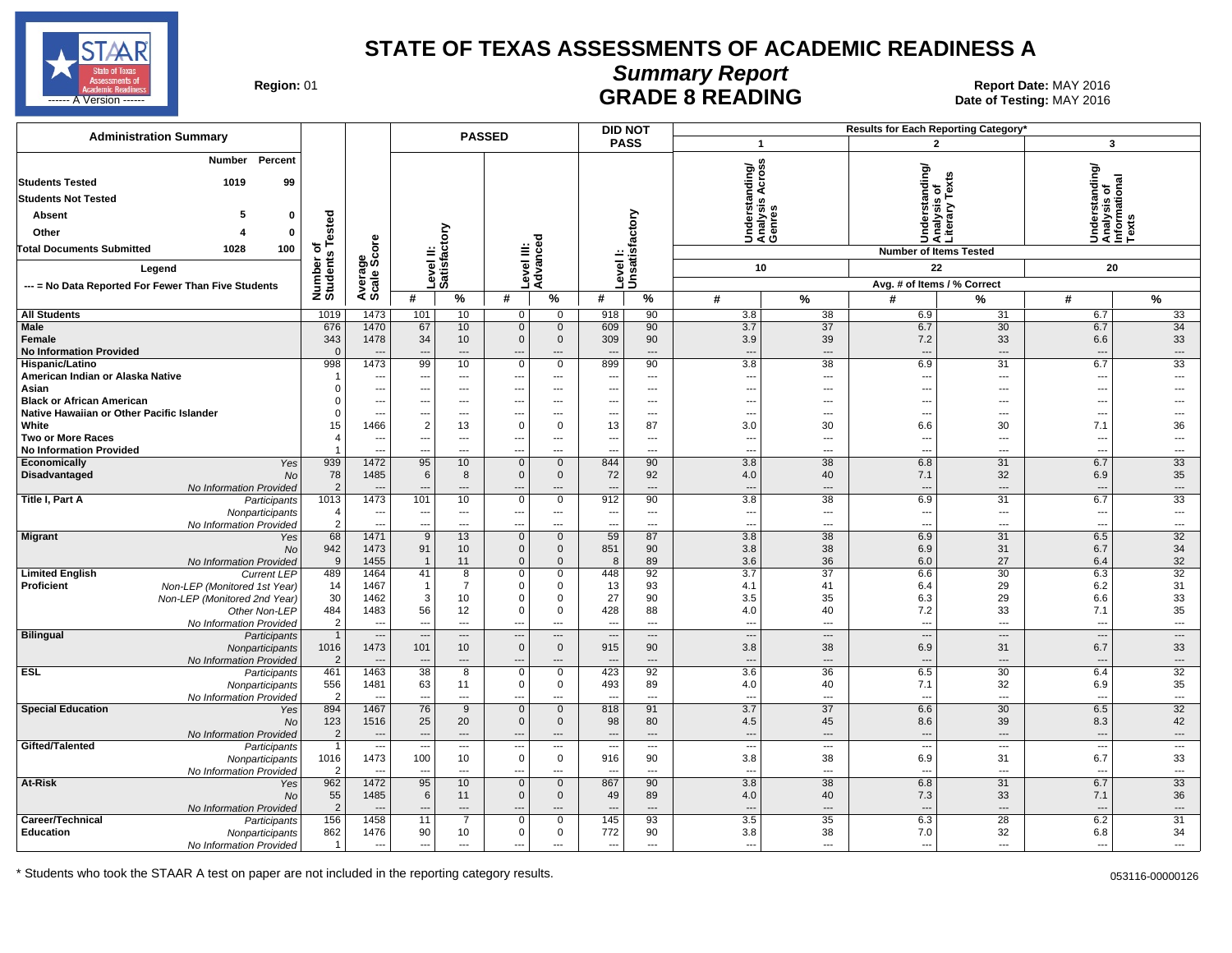

## **Summary Report**

Region: 01 **Region: 01 Report Date: MAY 2016**<br>**GRADE 8 READING** Date of Testing: MAY 2016 ------ A Version ------ MAY 2016

| <b>Administration Summary</b>                                                              | <b>PASSED</b>          |                                  |                                 |                                |                                         |                                  | <b>DID NOT</b>                  | Results for Each Reporting Category' |                                 |                                             |                                 |                               |                                                        |                                |  |  |
|--------------------------------------------------------------------------------------------|------------------------|----------------------------------|---------------------------------|--------------------------------|-----------------------------------------|----------------------------------|---------------------------------|--------------------------------------|---------------------------------|---------------------------------------------|---------------------------------|-------------------------------|--------------------------------------------------------|--------------------------------|--|--|
|                                                                                            |                        |                                  |                                 |                                |                                         |                                  |                                 | <b>PASS</b>                          |                                 | $\overline{1}$                              |                                 | $\overline{2}$                |                                                        | $\overline{\mathbf{3}}$        |  |  |
| Percent<br><b>Number</b>                                                                   |                        |                                  |                                 |                                |                                         |                                  |                                 |                                      |                                 | Understanding/<br>Analysis Across<br>Genres |                                 |                               |                                                        |                                |  |  |
| <b>Students Tested</b><br>1019<br>99                                                       |                        |                                  |                                 |                                |                                         |                                  |                                 |                                      |                                 |                                             |                                 |                               | anding                                                 |                                |  |  |
| <b>Students Not Tested</b>                                                                 |                        |                                  |                                 |                                |                                         |                                  |                                 |                                      |                                 |                                             | Understanding/                  | is of<br>/ Texts              |                                                        |                                |  |  |
| 5<br>$\mathbf 0$<br><b>Absent</b>                                                          |                        |                                  |                                 |                                |                                         |                                  |                                 |                                      |                                 |                                             |                                 | Analysis<br>Literary          |                                                        |                                |  |  |
| Other<br>$\mathbf 0$                                                                       |                        |                                  |                                 |                                |                                         |                                  |                                 |                                      |                                 |                                             |                                 |                               | Understanding<br>Analysis of<br>Informational<br>Texts |                                |  |  |
|                                                                                            | Tested<br>৳            |                                  |                                 | ctory                          |                                         |                                  |                                 |                                      |                                 |                                             |                                 |                               |                                                        |                                |  |  |
| 100<br><b>Total Documents Submitted</b><br>1028                                            |                        |                                  |                                 |                                |                                         |                                  |                                 |                                      |                                 |                                             |                                 | <b>Number of Items Tested</b> |                                                        |                                |  |  |
| Legend                                                                                     | Number o<br>Students   | Average<br>Scale Score           |                                 | Level II:<br>Satisfact         |                                         | Level III:<br>Advanced           |                                 | Level I:<br> Unsatisfactory          |                                 | 10                                          |                                 | 22                            |                                                        | 20                             |  |  |
| --- = No Data Reported For Fewer Than Five Students                                        |                        |                                  |                                 |                                |                                         |                                  |                                 |                                      |                                 |                                             |                                 | Avg. # of Items / % Correct   |                                                        |                                |  |  |
|                                                                                            |                        |                                  | #                               | %                              | #                                       | $\%$                             | #                               | %                                    | #                               | $\frac{9}{6}$                               | #                               | %                             | #                                                      | $\frac{9}{6}$                  |  |  |
| <b>All Students</b>                                                                        | 1019                   | 1473                             | 101                             | 10                             | 0                                       | 0                                | 918                             | 90                                   | 3.8                             | 38                                          | 6.9                             | 31                            | 6.7                                                    | 33                             |  |  |
| <b>Male</b>                                                                                | 676                    | 1470                             | 67                              | 10                             | $\overline{0}$                          | $\mathbf 0$                      | 609                             | 90                                   | 3.7                             | $\overline{37}$                             | 6.7                             | 30                            | 6.7                                                    | 34                             |  |  |
| Female<br><b>No Information Provided</b>                                                   | 343<br>$\mathbf{0}$    | 1478<br>$\overline{\phantom{a}}$ | 34<br>$\overline{a}$            | 10<br>$\overline{\phantom{a}}$ | $\mathbf 0$<br>$\overline{\phantom{a}}$ | $\mathbf 0$<br>$\overline{a}$    | 309<br>$\overline{\phantom{a}}$ | 90<br>$---$                          | 3.9<br>$\overline{\phantom{a}}$ | 39<br>$\overline{a}$                        | 7.2<br>$\sim$                   | 33<br>---                     | 6.6<br>$\overline{\phantom{a}}$                        | 33<br>$\hspace{0.05cm} \ldots$ |  |  |
| Hispanic/Latino                                                                            | 998                    | 1473                             | 99                              | 10                             | $\mathbf 0$                             | $\mathbf 0$                      | 899                             | 90                                   | 3.8                             | 38                                          | 6.9                             | 31                            | 6.7                                                    | 33                             |  |  |
| American Indian or Alaska Native                                                           | -1                     | $\overline{\phantom{a}}$         | ---                             | $---$                          | ---                                     | $\overline{\phantom{a}}$         | ---                             | $\overline{a}$                       | ---                             | ---                                         | $\overline{\phantom{a}}$        | ---                           | ---                                                    | ---                            |  |  |
| Asian                                                                                      | 0                      | $\overline{\phantom{a}}$         | ---                             | $\overline{\phantom{a}}$       | ---                                     | $\overline{\phantom{a}}$         | ---                             | $\overline{a}$                       | --                              | ---                                         | $\sim$                          | ---                           | ---                                                    | ---                            |  |  |
| <b>Black or African American</b>                                                           | 0                      | $\overline{\phantom{a}}$         | ---                             | $\overline{\phantom{a}}$       | ---                                     | $\overline{\phantom{a}}$         | $\overline{\phantom{a}}$        | $\cdots$                             | $\overline{\phantom{a}}$        | ---                                         | $\sim$                          | ---                           | ---                                                    | ---                            |  |  |
| Native Hawaiian or Other Pacific Islander<br>White                                         | 0<br>15                | $\overline{\phantom{a}}$<br>1466 | ---<br>$\overline{c}$           | $\sim$<br>13                   | $\overline{a}$<br>$\mathbf 0$           | $---$<br>$\mathbf 0$             | $\overline{a}$<br>13            | $---$<br>87                          | $\overline{a}$<br>3.0           | $---$<br>30                                 | $\sim$<br>6.6                   | ---<br>30                     | ---<br>7.1                                             | $\overline{a}$<br>36           |  |  |
| <b>Two or More Races</b>                                                                   | $\overline{4}$         | $\overline{\phantom{a}}$         | ---                             | $\overline{\phantom{a}}$       | $\hspace{0.05cm} \ldots$                | $\overline{\phantom{a}}$         | $\hspace{0.05cm} \ldots$        | $---$                                | ---                             | $---$                                       | $\sim$                          | $---$                         | ---                                                    | $\overline{\phantom{a}}$       |  |  |
| <b>No Information Provided</b>                                                             | $\overline{1}$         | $\overline{\phantom{a}}$         | ---                             | $\overline{a}$                 | ---                                     | $---$                            | $\overline{a}$                  | $---$                                | $\overline{a}$                  | $---$                                       | $\sim$                          | $\overline{a}$                | $\overline{a}$                                         | $---$                          |  |  |
| Economically<br>Yes                                                                        | 939                    | 1472                             | 95                              | 10                             | $\mathbf 0$                             | $\mathbf{0}$                     | 844                             | 90                                   | 3.8                             | 38                                          | 6.8                             | 31                            | 6.7                                                    | 33                             |  |  |
| <b>Disadvantaged</b><br><b>No</b>                                                          | 78                     | 1485                             | 6                               | 8                              | $\mathbf 0$                             | $\mathbf{0}$                     | 72                              | 92                                   | 4.0                             | 40                                          | 7.1                             | 32                            | 6.9                                                    | 35                             |  |  |
| No Information Provided<br>Title I, Part A                                                 | 2<br>1013              | 1473                             | 101                             | ---<br>10                      | ---<br>$\overline{0}$                   | $\overline{a}$<br>$\overline{0}$ | 912                             | $\overline{\phantom{a}}$<br>90       | $\overline{\phantom{a}}$<br>3.8 | $\overline{a}$<br>38                        | $\overline{\phantom{a}}$<br>6.9 | ---<br>31                     | $\overline{\phantom{a}}$<br>6.7                        | $\cdots$<br>33                 |  |  |
| Participants<br>Nonparticipants                                                            | 4                      | $\overline{\phantom{a}}$         | $\overline{\phantom{a}}$        | $\sim$                         | ---                                     | ---                              | $\cdots$                        | $\cdots$                             | $\overline{\phantom{a}}$        | $\hspace{0.05cm} \ldots$                    | $\overline{\phantom{a}}$        | ---                           | $\overline{\phantom{a}}$                               | $\sim$                         |  |  |
| No Information Provided                                                                    | $\overline{2}$         | $\overline{\phantom{a}}$         |                                 | $\overline{a}$                 | ---                                     | $\overline{a}$                   |                                 | $\overline{a}$                       | $\overline{a}$                  | $\overline{a}$                              |                                 | ---                           | $\overline{a}$                                         |                                |  |  |
| <b>Migrant</b><br>Yes                                                                      | 68                     | 1471                             | 9                               | 13                             | $\mathbf 0$                             | $\mathbf{0}$                     | 59                              | 87                                   | 3.8                             | $\overline{38}$                             | 6.9                             | 31                            | 6.5                                                    | 32                             |  |  |
| <b>No</b>                                                                                  | 942                    | 1473                             | 91                              | 10                             | $\mathbf 0$                             | $\mathbf 0$                      | 851                             | 90                                   | 3.8                             | 38                                          | 6.9                             | 31                            | 6.7                                                    | 34                             |  |  |
| No Information Provided                                                                    | 9                      | 1455<br>1464                     |                                 | 11                             | $\mathbf 0$<br>$\mathbf 0$              | $\mathbf 0$<br>$\mathbf 0$       | 8                               | 89                                   | 3.6                             | 36<br>37                                    | 6.0<br>6.6                      | 27                            | 6.4                                                    | 32<br>$\overline{32}$          |  |  |
| <b>Limited English</b><br><b>Current LEP</b><br>Proficient<br>Non-LEP (Monitored 1st Year) | 489<br>14              | 1467                             | 41<br>$\overline{1}$            | 8<br>$\overline{7}$            | $\mathbf 0$                             | $\mathbf 0$                      | 448<br>13                       | 92<br>93                             | 3.7<br>4.1                      | 41                                          | 6.4                             | 30<br>29                      | 6.3<br>6.2                                             | 31                             |  |  |
| Non-LEP (Monitored 2nd Year)                                                               | 30                     | 1462                             | 3                               | 10                             | $\mathbf 0$                             | $\mathbf 0$                      | 27                              | 90                                   | 3.5                             | 35                                          | 6.3                             | 29                            | 6.6                                                    | 33                             |  |  |
| Other Non-LEP                                                                              | 484                    | 1483                             | 56                              | 12                             | $\mathbf 0$                             | $\mathbf 0$                      | 428                             | 88                                   | 4.0                             | 40                                          | 7.2                             | 33                            | 7.1                                                    | 35                             |  |  |
| No Information Provided                                                                    | $\overline{2}$         | $\overline{\phantom{a}}$         | ---                             | $\overline{a}$                 | ---                                     | $---$                            | ---                             | $---$                                | $\overline{\phantom{a}}$        | $\overline{a}$                              | $\sim$                          | ---                           | ---                                                    | $\overline{\phantom{a}}$       |  |  |
| Bilingual<br>Participants                                                                  | $\overline{1}$<br>1016 | $\overline{\phantom{a}}$<br>1473 | $\overline{\phantom{a}}$<br>101 | $\cdots$<br>10                 | $\hspace{0.05cm} \ldots$<br>$\mathbf 0$ | $\cdots$<br>$\mathbf 0$          | $\hspace{0.05cm} \ldots$<br>915 | $\hspace{0.05cm}\ldots$<br>90        | $\overline{\phantom{a}}$        | $\hspace{0.05cm} \ldots$<br>38              | $\overline{\phantom{a}}$<br>6.9 | $\cdots$<br>31                | ---<br>6.7                                             | $\hspace{0.05cm} \ldots$<br>33 |  |  |
| Nonparticipants<br>No Information Provided                                                 | $\overline{2}$         | $\overline{\phantom{a}}$         |                                 | $\overline{\phantom{a}}$       | $\overline{a}$                          | $\qquad \qquad \cdots$           |                                 | $\cdots$                             | 3.8<br>$\overline{\phantom{a}}$ | $\overline{a}$                              | $\overline{\phantom{a}}$        | ---                           | $\overline{a}$                                         | $\hspace{0.05cm} \ldots$       |  |  |
| <b>ESL</b><br>Participants                                                                 | 461                    | 1463                             | 38                              | 8                              | $\mathbf 0$                             | $\mathbf 0$                      | 423                             | 92                                   | 3.6                             | 36                                          | 6.5                             | 30                            | 6.4                                                    | 32                             |  |  |
| Nonparticipants                                                                            | 556                    | 1481                             | 63                              | 11                             | $\mathbf 0$                             | $\mathbf 0$                      | 493                             | 89                                   | 4.0                             | 40                                          | 7.1                             | 32                            | 6.9                                                    | 35                             |  |  |
| No Information Provided                                                                    | $\overline{2}$         | $\overline{\phantom{a}}$         | $\overline{\phantom{a}}$        | $\overline{a}$                 | $\overline{a}$                          | $\overline{a}$                   | $\overline{\phantom{a}}$        | $\overline{a}$                       | $\overline{\phantom{a}}$        | $\overline{a}$                              | $\overline{\phantom{a}}$        | $\overline{\phantom{a}}$      | $\overline{\phantom{a}}$                               | $\overline{\phantom{a}}$       |  |  |
| <b>Special Education</b><br>Yes                                                            | 894                    | 1467                             | 76                              | 9                              | $\mathbf 0$<br>$\mathbf{0}$             | $\mathbf{0}$                     | 818                             | 91                                   | 3.7                             | 37                                          | 6.6                             | 30                            | 6.5                                                    | $\overline{32}$                |  |  |
| <b>No</b><br>No Information Provided                                                       | 123<br>$\overline{2}$  | 1516<br>$\overline{\phantom{a}}$ | 25<br>$\overline{a}$            | 20<br>$---$                    | $\overline{a}$                          | $\mathbf{0}$<br>$---$            | 98<br>$\overline{\phantom{a}}$  | 80<br>$---$                          | 4.5<br>$\overline{\phantom{a}}$ | 45<br>$\overline{a}$                        | 8.6<br>$\overline{\phantom{a}}$ | 39<br>$\overline{a}$          | 8.3<br>$\overline{a}$                                  | 42<br>$---$                    |  |  |
| Gifted/Talented<br>Participants                                                            | $\mathbf{1}$           | $\overline{\phantom{a}}$         | $\ddotsc$                       | $\overline{\phantom{a}}$       | ---                                     | $\cdots$                         | ---                             | $\hspace{0.05cm} \ldots$             | $\overline{\phantom{a}}$        | $\overline{\phantom{a}}$                    | $\sim$                          | ---                           | $\overline{\phantom{a}}$                               | $\cdots$                       |  |  |
| Nonparticipants                                                                            | 1016                   | 1473                             | 100                             | 10                             | $\mathbf 0$                             | $\mathbf 0$                      | 916                             | 90                                   | 3.8                             | 38                                          | 6.9                             | 31                            | 6.7                                                    | 33                             |  |  |
| No Information Provided                                                                    | $\overline{2}$         | $\overline{a}$                   | $\sim$                          | $\overline{a}$                 | $\overline{a}$                          | $\overline{a}$                   |                                 | $\overline{a}$                       | $\overline{a}$                  | $\overline{a}$                              | $\sim$                          | $\overline{a}$                | $\sim$                                                 | $\sim$                         |  |  |
| At-Risk<br>Yes                                                                             | 962                    | 1472                             | 95                              | 10                             | $\mathbf{0}$                            | $\mathbf{0}$                     | 867                             | 90                                   | 3.8                             | 38                                          | 6.8                             | 31                            | 6.7                                                    | 33                             |  |  |
| <b>No</b>                                                                                  | 55<br>$\overline{2}$   | 1485<br>$\overline{\phantom{a}}$ | 6<br>---                        | 11<br>$\overline{\phantom{a}}$ | $\mathbf 0$<br>---                      | $\mathbf 0$<br>$\cdots$          | 49<br>---                       | 89<br>$---$                          | 4.0                             | 40<br>---                                   | 7.3                             | 33<br>$\overline{a}$          | 7.1<br>$\overline{\phantom{a}}$                        | 36<br>$\overline{\phantom{a}}$ |  |  |
| No Information Provided<br>Career/Technical<br>Participants                                | 156                    | 1458                             | 11                              | $\overline{7}$                 | $\mathbf 0$                             | $\mathbf 0$                      | 145                             | 93                                   | $\overline{\phantom{a}}$<br>3.5 | 35                                          | 6.3                             | 28                            | 6.2                                                    | 31                             |  |  |
| Education<br>Nonparticipants                                                               | 862                    | 1476                             | 90                              | 10                             | $\mathbf 0$                             | 0                                | 772                             | 90                                   | 3.8                             | 38                                          | 7.0                             | 32                            | 6.8                                                    | 34                             |  |  |
| No Information Provided                                                                    | $\overline{1}$         | $\overline{\phantom{a}}$         | ---                             | $\overline{a}$                 | $\overline{a}$                          | $\overline{a}$                   | $\overline{\phantom{a}}$        | ---                                  | $\overline{a}$                  | ---                                         | $\sim$                          | $\overline{a}$                | $\overline{a}$                                         | $\overline{a}$                 |  |  |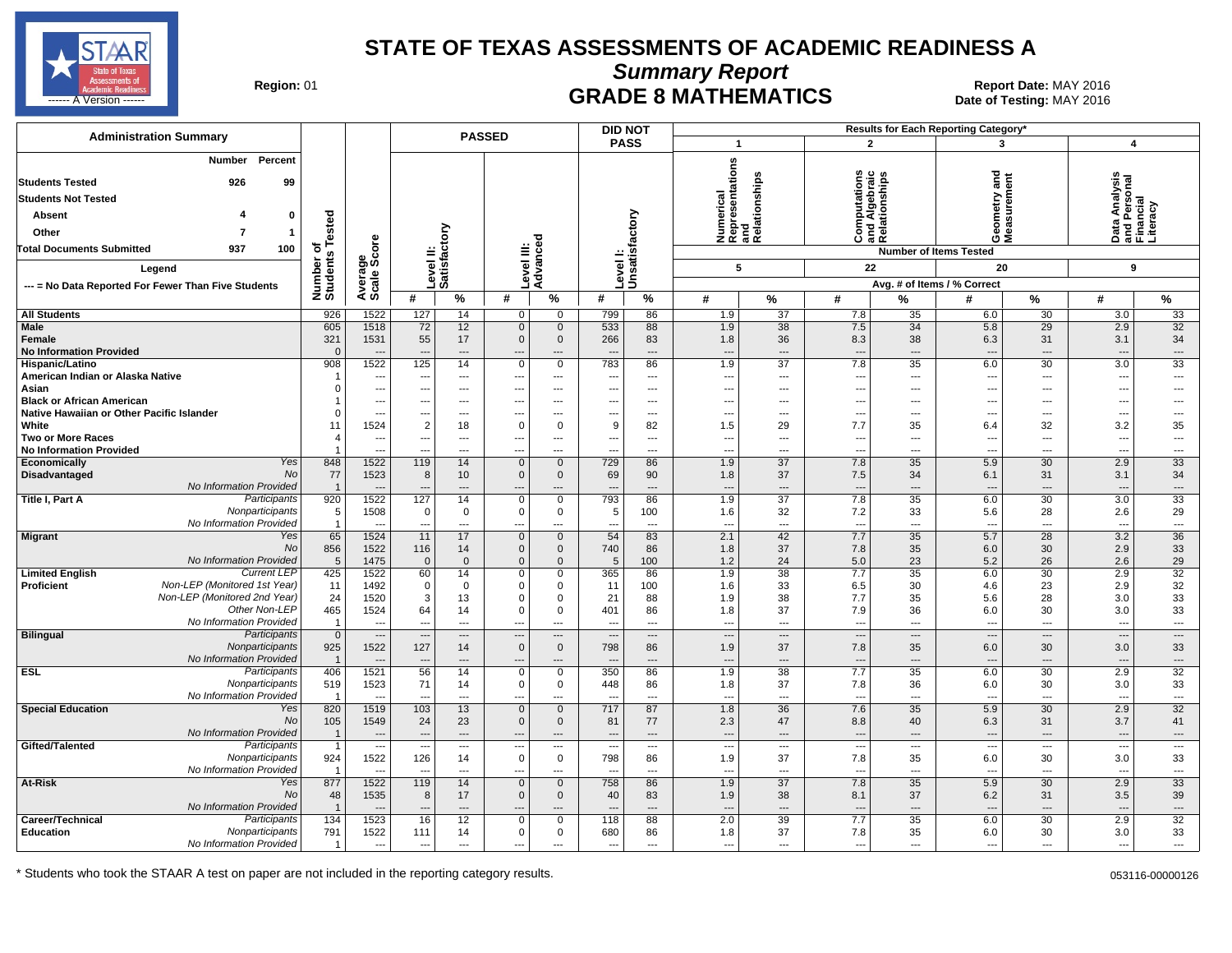

**Summary Report**

Region: 01 **Region: 01 CRADE 8 MATHEMATICS Report Date: MAY 2016 Report Date: MAY 2016** د المستقال المستقل المستقل المستقل المستقل المستقل المستقل المستقل المستقل المستقل المستقل المستقل المستقل المستقل المستقل المستقل المستقل المستقل المستقل المستقل المستقل المستقل المستقل المستقل المستقل المستقل المستقل ال

| <b>Administration Summary</b>                                                              |                         | <b>DID NOT</b><br>Results for Each Reporting Category'<br><b>PASSED</b> |                          |                                      |                            |                               |                                                      |                                                      |                                        |                                                     |                                        |                                       |                                                      |                                                   |                                            |                                                        |
|--------------------------------------------------------------------------------------------|-------------------------|-------------------------------------------------------------------------|--------------------------|--------------------------------------|----------------------------|-------------------------------|------------------------------------------------------|------------------------------------------------------|----------------------------------------|-----------------------------------------------------|----------------------------------------|---------------------------------------|------------------------------------------------------|---------------------------------------------------|--------------------------------------------|--------------------------------------------------------|
|                                                                                            |                         |                                                                         |                          |                                      |                            |                               | <b>PASS</b>                                          |                                                      | $\mathbf{1}$                           |                                                     | $\overline{2}$                         |                                       | 3                                                    |                                                   | $\overline{\mathbf{4}}$                    |                                                        |
| Percent<br>Number<br><b>Students Tested</b><br>926<br>99<br><b>Students Not Tested</b>     |                         |                                                                         |                          |                                      |                            |                               |                                                      |                                                      | epresentations<br>nd                   | Numerical<br>Representatior<br>and<br>Relationships | ations                                 | <b>ind Algebraid</b><br>Relationships | and                                                  |                                                   |                                            | Data Analysis<br>and Personal<br>Financial<br>Literacy |
| Absent<br>$\mathbf 0$                                                                      |                         |                                                                         |                          |                                      |                            |                               |                                                      |                                                      |                                        |                                                     | 료훈                                     |                                       |                                                      |                                                   |                                            |                                                        |
| Other<br>-1                                                                                | ested                   |                                                                         |                          |                                      |                            |                               |                                                      |                                                      |                                        |                                                     | 틍                                      |                                       |                                                      |                                                   |                                            |                                                        |
| 937                                                                                        | ৳                       |                                                                         |                          |                                      |                            |                               |                                                      |                                                      |                                        |                                                     | Ö                                      |                                       | פֿ⊙                                                  |                                                   |                                            |                                                        |
| <b>Total Documents Submitted</b><br>100                                                    | ents                    | ge<br>Score                                                             |                          | Level II:<br>Satisfactory            | evel III:                  | Advanced                      | Level I:<br>Unsatisfactory                           |                                                      |                                        |                                                     |                                        |                                       | <b>Number of Items Tested</b>                        |                                                   |                                            |                                                        |
| Legend                                                                                     |                         |                                                                         |                          |                                      |                            |                               |                                                      |                                                      | 5                                      |                                                     | 22                                     |                                       | 20                                                   |                                                   | 9                                          |                                                        |
| --- = No Data Reported For Fewer Than Five Students                                        | Number<br>Students      | Average                                                                 |                          |                                      |                            |                               |                                                      |                                                      |                                        |                                                     |                                        |                                       | Avg. # of Items / % Correct                          |                                                   |                                            |                                                        |
|                                                                                            |                         |                                                                         | #                        | %                                    | #                          | %                             | #                                                    | $\%$                                                 | #                                      | %                                                   | #                                      | %                                     | #                                                    | %                                                 | #                                          | $\%$                                                   |
| <b>All Students</b>                                                                        | 926                     | 1522                                                                    | 127                      | 14                                   | $\mathbf 0$                | 0                             | 799                                                  | 86                                                   | 1.9                                    | 37                                                  | 7.8                                    | 35                                    | 6.0                                                  | 30                                                | 3.0                                        | 33                                                     |
| <b>Male</b><br>Female<br><b>No Information Provided</b>                                    | 605<br>321<br>$\Omega$  | 1518<br>1531<br>$\overline{\phantom{a}}$                                | 72<br>55                 | 12<br>17<br>$\overline{\phantom{a}}$ | $\mathbf 0$<br>$\mathbf 0$ | $\mathbf 0$<br>$\mathbf 0$    | 533<br>266                                           | 88<br>83<br>$\qquad \qquad \cdots$                   | 1.9<br>1.8<br>$\overline{\phantom{a}}$ | $\overline{38}$<br>36<br>---                        | 7.5<br>8.3<br>$\overline{\phantom{a}}$ | 34<br>38<br>---                       | 5.8<br>6.3<br>$\overline{\phantom{a}}$               | $\overline{29}$<br>31<br>$\overline{\phantom{a}}$ | 2.9<br>3.1<br>$\overline{a}$               | 32<br>34<br>---                                        |
| Hispanic/Latino                                                                            | 908                     | 1522                                                                    | 125                      | 14                                   | $\mathbf 0$                | $\mathbf 0$                   | 783                                                  | 86                                                   | 1.9                                    | 37                                                  | 7.8                                    | 35                                    | 6.0                                                  | 30                                                | 3.0                                        | 33                                                     |
| American Indian or Alaska Native                                                           | r.<br>$\Omega$          | ---<br>$\overline{\phantom{a}}$                                         | ---                      | $\overline{\phantom{a}}$             | $---$                      | $\cdots$                      | ---                                                  | $\cdots$                                             | ---<br>---                             | ---                                                 | ---                                    | ---                                   | $\overline{\phantom{a}}$                             | $\overline{\phantom{a}}$                          | $\overline{\phantom{a}}$<br>---            | ---                                                    |
| Asian<br><b>Black or African American</b>                                                  |                         | $\overline{\phantom{a}}$                                                | ---<br>---               | ---<br>$\hspace{0.05cm} \ldots$      | ---                        | $\cdots$<br>$\cdots$          | $\overline{\phantom{a}}$                             | $\overline{\phantom{a}}$<br>$\overline{\phantom{a}}$ | ---                                    | ---<br>---                                          | ---<br>---                             | $\overline{a}$<br>$\cdots$            | $\overline{\phantom{a}}$<br>$\overline{\phantom{a}}$ | ---<br>$\overline{\phantom{a}}$                   | ---                                        | ---<br>---                                             |
| Native Hawaiian or Other Pacific Islander                                                  |                         | $\overline{\phantom{a}}$                                                | ---                      | $---$                                |                            | $\overline{a}$                |                                                      | $---$                                                | ---                                    | ---                                                 | ---                                    | $---$                                 | ---                                                  | $\overline{\phantom{a}}$                          | $\overline{a}$                             | ---                                                    |
| White                                                                                      | 11                      | 1524                                                                    | $\overline{2}$           | 18                                   | $\Omega$                   | $\mathbf 0$                   | 9                                                    | 82                                                   | 1.5                                    | 29                                                  | 7.7                                    | 35                                    | 6.4                                                  | 32                                                | 3.2                                        | 35                                                     |
| <b>Two or More Races</b><br><b>No Information Provided</b>                                 |                         | $\overline{\phantom{a}}$<br>---                                         | ---<br>---               | $---$<br>$\overline{a}$              | ---<br>$\overline{a}$      | $\sim$ $\sim$<br>$---$        | $\overline{\phantom{a}}$<br>$\overline{\phantom{a}}$ | $---$<br>$---$                                       | ---<br>$\overline{a}$                  | ---<br>$---$                                        | ---<br>$\overline{a}$                  | $---$<br>$---$                        | $\overline{\phantom{a}}$<br>$\overline{\phantom{a}}$ | $\sim$<br>$\sim$                                  | $\overline{\phantom{a}}$<br>$\overline{a}$ | ---<br>$\overline{a}$                                  |
| Yes<br>Economically                                                                        | 848                     | 1522                                                                    | 119                      | 14                                   | $\mathbf 0$                | $\mathbf 0$                   | 729                                                  | 86                                                   | 1.9                                    | $\overline{37}$                                     | 7.8                                    | 35                                    | 5.9                                                  | 30                                                | 2.9                                        | 33                                                     |
| <b>No</b><br>Disadvantaged                                                                 | 77                      | 1523                                                                    | 8                        | 10                                   | $\overline{0}$             | $\mathbf{0}$                  | 69                                                   | 90                                                   | 1.8                                    | 37                                                  | 7.5                                    | 34                                    | 6.1                                                  | 31                                                | 3.1                                        | 34                                                     |
| No Information Provided                                                                    | $\overline{\mathbf{1}}$ |                                                                         |                          | ---                                  |                            |                               |                                                      | $\overline{a}$                                       | ---                                    | ---                                                 | $\overline{\phantom{a}}$               | $---$                                 |                                                      | $\overline{\phantom{a}}$                          | $\overline{a}$                             | ---                                                    |
| Participants<br>Title I, Part A                                                            | 920                     | 1522                                                                    | 127                      | 14                                   | $\mathbf 0$                | $\overline{0}$                | 793                                                  | 86                                                   | 1.9                                    | $\overline{37}$                                     | 7.8                                    | 35                                    | 6.0                                                  | 30                                                | 3.0                                        | 33                                                     |
| Nonparticipants<br>No Information Provided                                                 | 5<br>$\overline{1}$     | 1508                                                                    | $\mathbf 0$              | $\mathbf 0$<br>---                   | 0                          | $\mathbf 0$<br>$\overline{a}$ | 5                                                    | 100<br>$\overline{a}$                                | 1.6<br>$\overline{a}$                  | 32<br>---                                           | 7.2<br>$\overline{a}$                  | 33<br>$\overline{a}$                  | 5.6<br>$\sim$                                        | 28<br>$\overline{\phantom{a}}$                    | 2.6                                        | 29<br>---                                              |
| <b>Migrant</b><br>Yes                                                                      | 65                      | 1524                                                                    | 11                       | 17                                   | $\mathbf 0$                | $\mathbf{0}$                  | 54                                                   | 83                                                   | 2.1                                    | 42                                                  | 7.7                                    | 35                                    | 5.7                                                  | $\overline{28}$                                   | 3.2                                        | 36                                                     |
| <b>No</b>                                                                                  | 856                     | 1522                                                                    | 116                      | 14                                   | $\mathbf 0$                | $\mathbf{0}$                  | 740                                                  | 86                                                   | 1.8                                    | 37                                                  | 7.8                                    | 35                                    | 6.0                                                  | 30                                                | 2.9                                        | 33                                                     |
| No Information Provided                                                                    | 5                       | 1475                                                                    | $\Omega$                 | $\mathbf{0}$                         | $\mathbf 0$                | $\mathbf{0}$                  | 5                                                    | 100                                                  | 1.2                                    | 24                                                  | 5.0                                    | 23                                    | 5.2                                                  | 26                                                | 2.6                                        | 29                                                     |
| <b>Current LEP</b><br><b>Limited English</b><br>Non-LEP (Monitored 1st Year)<br>Proficient | 425<br>11               | 1522<br>1492                                                            | 60<br>$\mathbf 0$        | 14<br>$\mathbf 0$                    | $\mathbf 0$<br>$\mathbf 0$ | $\mathbf 0$<br>$\mathbf 0$    | 365<br>11                                            | 86<br>100                                            | 1.9<br>1.6                             | 38<br>33                                            | 7.7<br>6.5                             | 35<br>30                              | 6.0<br>4.6                                           | 30<br>23                                          | 2.9<br>2.9                                 | 32<br>32                                               |
| Non-LEP (Monitored 2nd Year)                                                               | 24                      | 1520                                                                    | 3                        | 13                                   | $\mathbf 0$                | $\mathbf 0$                   | 21                                                   | 88                                                   | 1.9                                    | 38                                                  | 7.7                                    | 35                                    | 5.6                                                  | 28                                                | 3.0                                        | 33                                                     |
| Other Non-LEP                                                                              | 465                     | 1524                                                                    | 64                       | 14                                   | $\mathbf 0$                | $\mathbf 0$                   | 401                                                  | 86                                                   | 1.8                                    | 37                                                  | 7.9                                    | 36                                    | 6.0                                                  | 30                                                | 3.0                                        | 33                                                     |
| No Information Provided                                                                    | $\overline{1}$          | $\overline{\phantom{a}}$                                                | ---                      | $\overline{a}$                       |                            | $\overline{a}$                | $\overline{\phantom{a}}$                             | $---$                                                | $\overline{\phantom{a}}$               | ---                                                 | $\overline{\phantom{a}}$               | $---$                                 | $\overline{\phantom{a}}$                             | $---$                                             | ---                                        | $\overline{\phantom{a}}$                               |
| Bilingual<br>Participants                                                                  | $\overline{0}$          | $\overline{\phantom{a}}$                                                | $\overline{a}$           | $\hspace{0.05cm} \cdots$             |                            | $\hspace{0.05cm} \cdots$      | $\overline{\phantom{a}}$                             | $\cdots$                                             | ---                                    | $\hspace{0.05cm} \ldots$                            | $\overline{\phantom{a}}$               | $\cdots$                              | $\overline{\phantom{a}}$                             | $\cdots$                                          | $\overline{\phantom{a}}$                   | $\overline{\phantom{a}}$                               |
| Nonparticipants<br>No Information Provided                                                 | 925<br>$\overline{1}$   | 1522<br>---                                                             | 127                      | 14<br>$---$                          | $\mathbf 0$                | $\mathbf 0$<br>$\overline{a}$ | 798                                                  | 86<br>$\qquad \qquad \cdots$                         | 1.9<br>---                             | 37<br>$\overline{\phantom{a}}$                      | 7.8<br>$\overline{\phantom{a}}$        | 35<br>$---$                           | 6.0<br>$\sim$                                        | 30<br>$\cdots$                                    | 3.0<br>$\overline{\phantom{a}}$            | 33<br>$\qquad \qquad \cdots$                           |
| <b>ESL</b><br>Participants                                                                 | 406                     | 1521                                                                    | 56                       | 14                                   | $\mathbf 0$                | $\mathbf 0$                   | 350                                                  | 86                                                   | 1.9                                    | 38                                                  | 7.7                                    | 35                                    | 6.0                                                  | 30                                                | 2.9                                        | 32                                                     |
| Nonparticipants                                                                            | 519                     | 1523                                                                    | 71                       | 14                                   | $\mathbf 0$                | $\mathbf{0}$                  | 448                                                  | 86                                                   | 1.8                                    | 37                                                  | 7.8                                    | 36                                    | 6.0                                                  | 30                                                | 3.0                                        | 33                                                     |
| No Information Provided                                                                    | $\overline{1}$          | $\overline{\phantom{a}}$                                                | $\sim$                   | $\overline{\phantom{a}}$             | ---                        | $\overline{a}$                | $\overline{\phantom{a}}$                             | $\overline{a}$                                       | ---                                    | $\overline{\phantom{a}}$                            | $\overline{a}$                         | $\overline{a}$                        | $\overline{\phantom{a}}$                             | $\overline{\phantom{a}}$                          | $\overline{a}$                             | $\overline{\phantom{a}}$                               |
| Yes<br><b>Special Education</b><br><b>No</b>                                               | 820                     | 1519                                                                    | 103                      | 13                                   | $\mathbf{0}$               | $\mathbf 0$                   | 717                                                  | 87                                                   | 1.8                                    | 36                                                  | 7.6                                    | 35                                    | 5.9                                                  | 30                                                | 2.9                                        | 32                                                     |
| No Information Provided                                                                    | 105<br>$\overline{1}$   | 1549<br>$\overline{\phantom{a}}$                                        | 24<br>$\overline{a}$     | 23<br>$\overline{\phantom{a}}$       | $\Omega$                   | $\mathbf{0}$<br>$---$         | 81<br>$\sim$                                         | 77<br>$---$                                          | 2.3<br>$\overline{a}$                  | 47<br>---                                           | 8.8<br>$\overline{a}$                  | 40<br>$\overline{a}$                  | 6.3<br>$\sim$                                        | 31<br>$\overline{\phantom{a}}$                    | 3.7<br>$---$                               | 41<br>$\overline{\phantom{a}}$                         |
| Participants<br>Gifted/Talented                                                            | $\mathbf{1}$            | $\overline{\phantom{a}}$                                                | ---                      | $\overline{\phantom{a}}$             | ---                        | $\qquad \qquad -$             | --                                                   | $\overline{\phantom{a}}$                             | ---                                    | $\overline{\phantom{a}}$                            | $\overline{\phantom{a}}$               | $\cdots$                              | $\overline{\phantom{a}}$                             | $\hspace{0.05cm} \cdots$                          | $\sim$                                     | $\overline{\phantom{a}}$                               |
| Nonparticipants                                                                            | 924                     | 1522                                                                    | 126                      | 14                                   | $\mathbf 0$                | $\mathbf 0$                   | 798                                                  | 86                                                   | 1.9                                    | 37                                                  | 7.8                                    | 35                                    | 6.0                                                  | 30                                                | 3.0                                        | 33                                                     |
| No Information Provided                                                                    | $\overline{1}$          |                                                                         | $\overline{a}$           | $\overline{a}$                       |                            | $\overline{a}$                |                                                      | $\overline{a}$                                       | ---                                    | $\overline{a}$                                      | $\overline{a}$                         | $\overline{a}$                        | $\overline{\phantom{a}}$                             | $\overline{\phantom{a}}$                          | $\overline{a}$                             | $\overline{\phantom{a}}$                               |
| Yes<br>At-Risk                                                                             | 877                     | 1522                                                                    | 119                      | 14                                   | $\Omega$                   | $\mathbf{0}$                  | 758                                                  | 86                                                   | 1.9                                    | 37                                                  | 7.8                                    | 35                                    | 5.9                                                  | 30                                                | 2.9                                        | 33                                                     |
| No<br>No Information Provided                                                              | 48<br>$\overline{1}$    | 1535<br>$\overline{\phantom{a}}$                                        | 8                        | 17<br>$\overline{\phantom{a}}$       | $\Omega$                   | $\mathbf{0}$                  | 40                                                   | 83<br>$\overline{\phantom{a}}$                       | 1.9<br>$\overline{\phantom{a}}$        | 38<br>---                                           | 8.1<br>$\overline{a}$                  | 37<br>$\overline{a}$                  | 6.2                                                  | 31<br>$\overline{\phantom{a}}$                    | 3.5<br>$\overline{\phantom{a}}$            | 39<br>---                                              |
| Participants<br>Career/Technical                                                           | 134                     | 1523                                                                    | 16                       | 12                                   | $\mathbf 0$                | $\mathbf 0$                   | 118                                                  | 88                                                   | 2.0                                    | 39                                                  | 7.7                                    | 35                                    | 6.0                                                  | 30                                                | 2.9                                        | 32                                                     |
| Education<br>Nonparticipants                                                               | 791                     | 1522                                                                    | 111                      | 14                                   | $\mathbf 0$                | 0                             | 680                                                  | 86                                                   | 1.8                                    | 37                                                  | 7.8                                    | 35                                    | 6.0                                                  | 30                                                | 3.0                                        | 33                                                     |
| No Information Provided                                                                    | $\overline{1}$          | $\overline{\phantom{a}}$                                                | $\overline{\phantom{a}}$ | ---                                  | ---                        | $\overline{a}$                |                                                      | $\overline{a}$                                       | ---                                    | ---                                                 | $\overline{a}$                         | $\overline{a}$                        | $\overline{\phantom{a}}$                             | $\overline{a}$                                    | ---                                        | ---                                                    |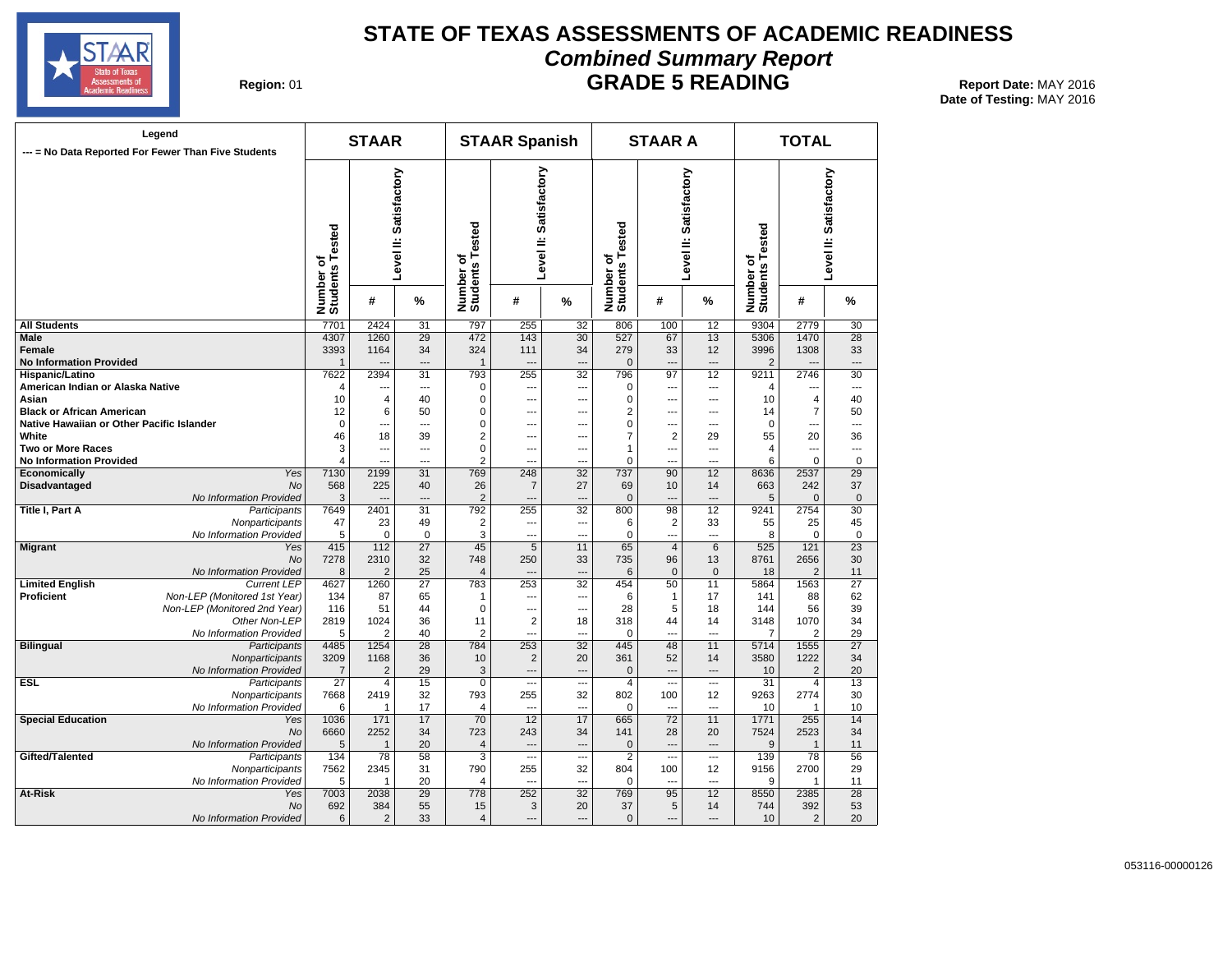

#### **STATE OF TEXAS ASSESSMENTS OF ACADEMIC READINESS Combined Summary Report GRADE 5 READING** Report Date: MAY 2016

**Date of Testing:**  MAY 2016

**Region: 01** 

| Legend<br>--- = No Data Reported For Fewer Than Five Students |                                 |                              | <b>STAAR</b>           |                        |                              | <b>STAAR Spanish</b>     |                          |                              | <b>STAAR A</b> |                          | <b>TOTAL</b>                 |                        |                        |  |
|---------------------------------------------------------------|---------------------------------|------------------------------|------------------------|------------------------|------------------------------|--------------------------|--------------------------|------------------------------|----------------|--------------------------|------------------------------|------------------------|------------------------|--|
|                                                               |                                 |                              |                        | Level II: Satisfactory | Number of<br>Students Tested | Level II: Satisfactory   |                          | Number of<br>Students Tested |                | Level II: Satisfactory   | Number of<br>Students Tested |                        | Level II: Satisfactory |  |
|                                                               |                                 | Number of<br>Students Tested | #                      | %                      |                              | #                        | %                        |                              | #              | %                        |                              | #                      | %                      |  |
| <b>All Students</b>                                           |                                 | 7701                         | 2424                   | 31                     | 797                          | 255                      | 32                       | 806                          | 100            | 12                       | 9304                         | 2779                   | 30                     |  |
| <b>Male</b>                                                   |                                 | 4307                         | 1260                   | 29                     | 472                          | 143                      | 30                       | 527                          | 67             | 13                       | 5306                         | 1470                   | 28                     |  |
| <b>Female</b>                                                 |                                 | 3393                         | 1164                   | 34                     | 324                          | 111                      | 34                       | 279                          | 33             | 12                       | 3996                         | 1308                   | 33                     |  |
| <b>No Information Provided</b>                                |                                 | 1                            | $\overline{a}$         | $---$                  | $\mathbf{1}$                 | $\overline{a}$           | ---                      | $\mathbf 0$                  |                | $\overline{\phantom{a}}$ | $\overline{2}$               |                        | $\overline{a}$         |  |
| Hispanic/Latino                                               |                                 | 7622                         | 2394                   | 31                     | 793                          | 255                      | 32<br>---                | 796                          | 97<br>         | 12<br>---                | 9211                         | 2746                   | 30<br>---              |  |
| American Indian or Alaska Native<br>Asian                     |                                 | 4<br>10                      | ---<br>$\overline{4}$  | ---<br>40              | 0<br>0                       | ---<br>---               | ---                      | 0<br>0                       | ---            | ---                      | 4<br>10                      | $\overline{4}$         | 40                     |  |
| <b>Black or African American</b>                              |                                 | 12                           | 6                      | 50                     | 0                            | ---                      |                          | $\overline{\mathbf{c}}$      | ---            | ---                      | 14                           | $\overline{7}$         | 50                     |  |
| Native Hawaiian or Other Pacific Islander                     |                                 | $\mathbf 0$                  | ---                    | $\overline{a}$         | 0                            | ---                      | ---                      | 0                            | ---            | ---                      | 0                            | ---                    | ---                    |  |
| White                                                         |                                 | 46                           | 18                     | 39                     | 2                            | $\overline{a}$           | ---                      | 7                            | $\overline{2}$ | 29                       | 55                           | 20                     | 36                     |  |
| <b>Two or More Races</b>                                      |                                 | 3                            | $\sim$                 | $\overline{a}$         | 0                            | ---                      | ---                      | 1                            | ---            | ---                      | $\overline{4}$               | ---                    | ---                    |  |
| <b>No Information Provided</b>                                |                                 | 4                            |                        | ---                    | $\overline{2}$               | ---                      |                          | 0                            |                | ---                      | 6                            | $\mathbf 0$            | $\mathbf 0$            |  |
| Economically                                                  | Yes                             | 7130                         | 2199                   | 31                     | 769                          | 248                      | 32                       | 737                          | 90             | 12                       | 8636                         | 2537                   | 29                     |  |
| <b>Disadvantaged</b>                                          | No                              | 568                          | 225                    | 40                     | 26                           | $\overline{7}$           | 27                       | 69                           | 10             | 14                       | 663                          | 242                    | 37                     |  |
|                                                               | No Information Provided         | 3                            |                        | $\overline{a}$         | $\overline{2}$               | $-$                      | ---                      | $\pmb{0}$                    | ---            | $\overline{a}$           | 5                            | $\mathbf 0$            | $\mathbf 0$            |  |
| Title I, Part A                                               | Participants                    | 7649                         | 2401                   | 31                     | 792                          | 255                      | 32                       | 800                          | 98             | 12                       | 9241                         | 2754                   | 30                     |  |
|                                                               | Nonparticipants                 | 47                           | 23                     | 49                     | $\overline{2}$               | $\overline{\phantom{a}}$ | ---                      | 6                            | $\overline{2}$ | 33                       | 55                           | 25                     | 45                     |  |
|                                                               | No Information Provided         | 5                            | $\mathbf 0$            | $\mathbf 0$            | 3                            | $\overline{a}$           | …                        | 0                            | ---            | ---                      | 8                            | $\mathbf 0$            | $\mathbf 0$            |  |
| <b>Migrant</b>                                                | Yes                             | 415                          | 112                    | $\overline{27}$        | 45                           | $\overline{5}$           | 11                       | 65                           | $\overline{4}$ | 6                        | 525                          | 121                    | $\overline{23}$        |  |
|                                                               | <b>No</b>                       | 7278                         | 2310                   | 32                     | 748                          | 250                      | 33                       | 735                          | 96             | 13                       | 8761                         | 2656                   | 30                     |  |
|                                                               | No Information Provided         | 8                            | $\overline{2}$         | 25                     | $\overline{4}$               | $\overline{a}$           | $\overline{a}$           | 6                            | $\mathbf{0}$   | $\mathbf{0}$             | 18                           | $\overline{2}$         | 11                     |  |
| <b>Limited English</b>                                        | <b>Current LEP</b>              | 4627                         | 1260                   | $\overline{27}$        | 783                          | 253                      | 32                       | 454                          | 50             | 11                       | 5864                         | 1563                   | $\overline{27}$        |  |
| <b>Proficient</b>                                             | Non-LEP (Monitored 1st Year)    | 134                          | 87                     | 65                     | 1                            | ---                      | ---                      | 6                            | $\mathbf{1}$   | 17                       | 141                          | 88                     | 62                     |  |
|                                                               | Non-LEP (Monitored 2nd Year)    | 116                          | 51                     | 44                     | $\mathbf 0$                  | $\overline{a}$           | ---                      | 28                           | 5              | 18                       | 144                          | 56                     | 39                     |  |
|                                                               | Other Non-LEP                   | 2819                         | 1024                   | 36                     | 11                           | $\overline{2}$           | 18                       | 318                          | 44             | 14                       | 3148                         | 1070                   | 34                     |  |
|                                                               | No Information Provided         | 5                            | $\overline{2}$<br>1254 | 40<br>28               | 2<br>784                     | ---                      | ---<br>$\overline{32}$   | 0<br>445                     | ---            | ---<br>11                | 7<br>5714                    | $\overline{2}$<br>1555 | 29<br>$\overline{27}$  |  |
| <b>Bilingual</b>                                              | Participants<br>Nonparticipants | 4485<br>3209                 | 1168                   | 36                     | 10                           | 253<br>$\overline{2}$    | 20                       | 361                          | 48<br>52       | 14                       | 3580                         | 1222                   | 34                     |  |
|                                                               | No Information Provided         | $\overline{7}$               | 2                      | 29                     | 3                            | $\overline{a}$           | $\overline{\phantom{a}}$ | 0                            | $\overline{a}$ | ---                      | 10                           | $\overline{2}$         | 20                     |  |
| <b>ESL</b>                                                    | Participants                    | 27                           | 4                      | 15                     | 0                            | ---                      | $\overline{\phantom{a}}$ | 4                            | …              | ---                      | 31                           | $\overline{4}$         | 13                     |  |
|                                                               | Nonparticipants                 | 7668                         | 2419                   | 32                     | 793                          | 255                      | 32                       | 802                          | 100            | 12                       | 9263                         | 2774                   | 30                     |  |
|                                                               | No Information Provided         | 6                            | $\mathbf{1}$           | 17                     | 4                            | ---                      | ---                      | 0                            | $\overline{a}$ | ---                      | 10                           | -1                     | 10                     |  |
| <b>Special Education</b>                                      | Yes                             | 1036                         | 171                    | 17                     | 70                           | 12                       | 17                       | 665                          | 72             | 11                       | 1771                         | 255                    | 14                     |  |
|                                                               | No                              | 6660                         | 2252                   | 34                     | 723                          | 243                      | 34                       | 141                          | 28             | 20                       | 7524                         | 2523                   | 34                     |  |
|                                                               | No Information Provided         | 5                            | $\overline{1}$         | 20                     | $\overline{\mathbf{4}}$      | $\sim$                   | $\overline{a}$           | 0                            |                | $\sim$                   | 9                            | $\overline{1}$         | 11                     |  |
| Gifted/Talented                                               | Participants                    | 134                          | 78                     | 58                     | 3                            | ---                      | $\overline{a}$           | $\overline{2}$               | $\overline{a}$ | ---                      | 139                          | 78                     | 56                     |  |
|                                                               | Nonparticipants                 | 7562                         | 2345                   | 31                     | 790                          | 255                      | 32                       | 804                          | 100            | 12                       | 9156                         | 2700                   | 29                     |  |
|                                                               | No Information Provided         | 5                            | $\overline{1}$         | 20                     | 4                            | $\sim$                   | ---                      | 0                            | ---            | $\sim$                   | 9                            | $\overline{1}$         | 11                     |  |
| At-Risk                                                       | Yes                             | 7003                         | 2038                   | 29                     | 778                          | 252                      | 32                       | 769                          | 95             | 12                       | 8550                         | 2385                   | 28                     |  |
|                                                               | <b>No</b>                       | 692                          | 384                    | 55                     | 15                           | 3                        | 20                       | 37                           | 5              | 14                       | 744                          | 392                    | 53                     |  |
|                                                               | No Information Provided         | 6                            | $\overline{2}$         | 33                     | $\overline{4}$               | ---                      | $\overline{a}$           | $\mathbf{0}$                 | ---            | $\overline{a}$           | 10                           | 2                      | 20                     |  |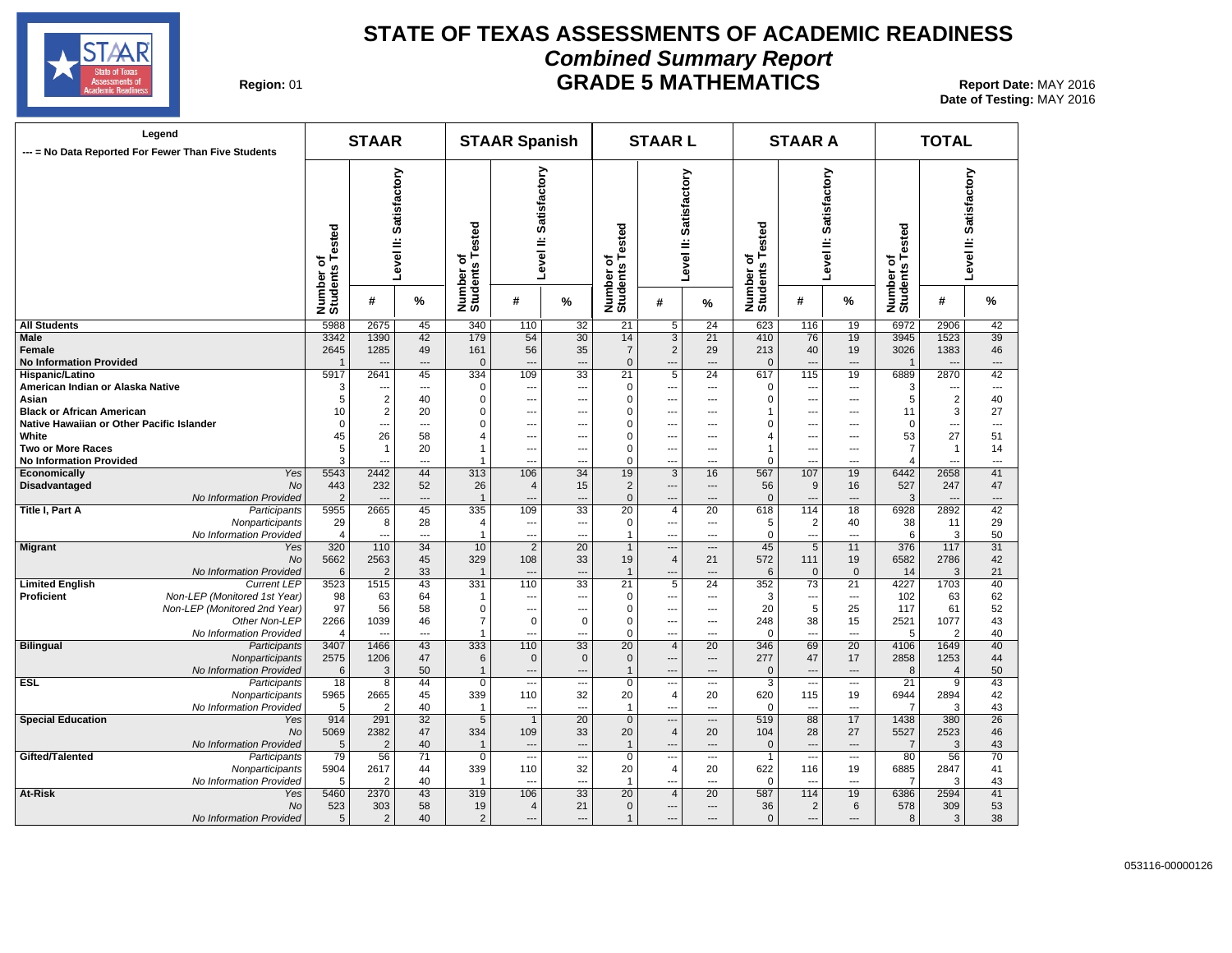

#### **STATE OF TEXAS ASSESSMENTS OF ACADEMIC READINESS Combined Summary Report GRADE 5 MATHEMATICS** Report Date: MAY 2016

**Date of Testing:**  MAY 2016

| Region: 01 |  |
|------------|--|
|------------|--|

| Legend<br>--- = No Data Reported For Fewer Than Five Students | <b>STAAR</b>                 |                |                          |                              | <b>STAAR Spanish</b>      |                          |                              | <b>STAARL</b>            |                          |                          | <b>STAAR A</b>           |                | <b>TOTAL</b>                            |                |                           |  |
|---------------------------------------------------------------|------------------------------|----------------|--------------------------|------------------------------|---------------------------|--------------------------|------------------------------|--------------------------|--------------------------|--------------------------|--------------------------|----------------|-----------------------------------------|----------------|---------------------------|--|
|                                                               | Number of<br>Students Tested |                | Level II: Satisfactory   | Number of<br>Students Tested | Satisfactory<br>Level II: |                          | Number of<br>Students Tested | Level II: Satisfactory   |                          | <b>Tested</b><br>৳<br>ဖာ | Level II: Satisfactory   |                | of<br>s Tested<br>Number of<br>Students |                | Satisfactory<br>Level II: |  |
|                                                               |                              | #              | %                        |                              | #                         | %                        |                              | #                        | %                        | Number<br>Students       | #                        | %              |                                         | #              | ℅                         |  |
| <b>All Students</b>                                           | 5988                         | 2675           | 45                       | 340                          | 110                       | 32                       | 21                           | $5\overline{}$           | 24                       | 623                      | 116                      | 19             | 6972                                    | 2906           | 42                        |  |
| Male                                                          | 3342                         | 1390           | 42                       | 179                          | 54                        | $\overline{30}$          | 14                           | $\overline{3}$           | 21                       | 410                      | 76                       | 19             | 3945                                    | 1523           | 39                        |  |
| Female                                                        | 2645                         | 1285           | 49                       | 161                          | 56                        | 35                       | $\overline{7}$               | $\overline{2}$           | 29                       | 213                      | 40                       | 19             | 3026                                    | 1383           | 46                        |  |
| <b>No Information Provided</b>                                | $\overline{1}$               | $\overline{a}$ | $\overline{a}$           | $\mathbf 0$                  | $\overline{a}$            | ---                      | $\mathbf{0}$                 | $\overline{a}$           | $---$                    | $\mathbf{0}$             | $\overline{a}$           | $\overline{a}$ | $\overline{1}$                          |                | ---                       |  |
| Hispanic/Latino                                               | 5917                         | 2641           | 45                       | 334                          | 109                       | 33                       | 21                           | $\overline{5}$           | 24                       | 617                      | 115                      | 19             | 6889                                    | 2870           | 42                        |  |
| American Indian or Alaska Native                              | 3                            | ---            | $\qquad \qquad \cdots$   | $\mathbf 0$                  | ---                       | $\overline{\phantom{a}}$ | $\Omega$                     | $\overline{\phantom{a}}$ | $\overline{\phantom{a}}$ | $\mathbf 0$              | $\cdots$                 | ---            | 3                                       | ---            | ---                       |  |
| Asian                                                         | 5                            | 2              | 40                       | 0                            | $\overline{\phantom{a}}$  | ---                      | 0                            | $\qquad \qquad \cdots$   | $\overline{\phantom{a}}$ | 0                        |                          | ---            | 5                                       | $\sqrt{2}$     | 40                        |  |
| <b>Black or African American</b>                              | 10                           | 2              | 20                       | $\mathbf 0$                  | $\overline{a}$            | ---                      | 0                            | $---$                    | $\overline{\phantom{a}}$ | -1                       | ---                      | ---            | 11                                      | $\mathsf 3$    | 27                        |  |
| Native Hawaiian or Other Pacific Islander                     | $\mathbf 0$                  | $\overline{a}$ | $\overline{a}$           | $\mathbf 0$                  | $\overline{a}$            | ---                      | $\mathbf 0$                  | $\sim$                   | $---$                    | $\mathbf 0$              | $\overline{a}$           | $\overline{a}$ | $\mathbf 0$                             | ---            | $\overline{a}$            |  |
| White                                                         | 45                           | 26             | 58                       | $\overline{4}$               | $\overline{a}$            | $\overline{\phantom{a}}$ | $\mathbf 0$                  | $\overline{a}$           | $\overline{a}$           | $\overline{4}$           | $\overline{a}$           | $\overline{a}$ | 53                                      | 27             | 51                        |  |
| Two or More Races                                             | 5                            | $\mathbf{1}$   | 20                       | $\overline{1}$               | $\overline{\phantom{a}}$  | ---                      | $\mathbf 0$                  | $\qquad \qquad \cdots$   | $\overline{\phantom{a}}$ | $\mathbf{1}$             | $\overline{\phantom{a}}$ | ---            | $\overline{7}$                          | $\mathbf{1}$   | 14                        |  |
| <b>No Information Provided</b>                                | 3                            | $\overline{a}$ | $\overline{a}$           | $\overline{1}$               | $\overline{a}$            | ---                      | 0                            | $\overline{a}$           | $\overline{a}$           | $\mathbf 0$              | $\overline{a}$           | $\overline{a}$ | 4                                       | ---            | $\overline{a}$            |  |
| Yes<br>Economically                                           | 5543                         | 2442           | 44                       | 313                          | 106                       | 34                       | 19                           | $\mathbf{3}$             | 16                       | 567                      | 107                      | 19             | 6442                                    | 2658           | 41                        |  |
| <b>Disadvantaged</b><br>No                                    | 443                          | 232            | 52                       | 26                           | $\overline{4}$            | 15                       | $\overline{2}$               | $\hspace{1.5cm} \cdots$  | $---$                    | 56                       | 9                        | 16             | 527                                     | 247            | 47                        |  |
| No Information Provided                                       | $\overline{2}$               | $\overline{a}$ | $\overline{\phantom{a}}$ | $\overline{1}$               | $\overline{\phantom{a}}$  | $\overline{\phantom{a}}$ | $\mathbf 0$                  | $\overline{a}$           | $\overline{a}$           | $\mathbf 0$              | $\overline{\phantom{a}}$ | $\overline{a}$ | 3                                       | $\sim$         | $\overline{\phantom{a}}$  |  |
| Title I, Part A<br>Participants                               | 5955                         | 2665           | 45                       | 335                          | 109                       | 33                       | 20                           | 4                        | 20                       | 618                      | 114                      | 18             | 6928                                    | 2892           | 42                        |  |
| Nonparticipants                                               | 29                           | 8              | 28                       | $\overline{4}$               | $\overline{a}$            | $\hspace{0.05cm} \ldots$ | $\mathbf 0$                  | $\overline{\phantom{a}}$ | $\overline{\phantom{a}}$ | 5                        | $\overline{2}$           | 40             | 38                                      | 11             | 29                        |  |
| No Information Provided                                       | 4                            | $\overline{a}$ | $\overline{a}$           | $\mathbf{1}$                 | ---                       | $\overline{\phantom{a}}$ | $\mathbf{1}$                 | $---$                    | $---$                    | $\mathbf 0$              | $\overline{\phantom{a}}$ | $\overline{a}$ | 6                                       | 3              | 50                        |  |
| <b>Migrant</b><br>Yes                                         | 320                          | 110            | 34                       | 10                           | $\overline{2}$            | $\overline{20}$          | $\mathbf{1}$                 | $\overline{\phantom{a}}$ | $\overline{\phantom{a}}$ | 45                       | 5                        | 11             | 376                                     | 117            | $\overline{31}$           |  |
|                                                               |                              |                |                          |                              |                           |                          |                              |                          |                          |                          |                          |                |                                         |                |                           |  |
| No                                                            | 5662                         | 2563           | 45                       | 329                          | 108                       | 33                       | 19                           | $\overline{4}$           | 21                       | 572                      | 111                      | 19             | 6582                                    | 2786           | 42                        |  |
| No Information Provided                                       | 6                            | $\overline{2}$ | 33                       | $\overline{1}$               | $\overline{a}$            | $\cdots$                 | $\mathbf{1}$                 | $\overline{\phantom{a}}$ | $---$                    | 6                        | $\mathbf{0}$             | $\mathbf{0}$   | 14                                      | 3              | 21                        |  |
| <b>Limited English</b><br><b>Current LEP</b>                  | 3523                         | 1515           | 43                       | 331                          | 110                       | 33                       | 21                           | 5                        | 24                       | 352<br>3                 | 73                       | 21             | 4227                                    | 1703           | 40                        |  |
| Non-LEP (Monitored 1st Year)<br>Proficient                    | 98                           | 63             | 64                       | $\mathbf 1$                  | ---                       | $\hspace{0.05cm} \ldots$ | $\mathbf 0$                  | $\overline{\phantom{a}}$ | $---$                    |                          | ---                      | ---            | 102                                     | 63             | 62                        |  |
| Non-LEP (Monitored 2nd Year)                                  | 97                           | 56             | 58                       | $\mathbf 0$                  | $\overline{\phantom{a}}$  | $\overline{\phantom{a}}$ | $\mathbf 0$                  | $\overline{\phantom{a}}$ | $\overline{a}$           | 20                       | $\overline{5}$           | 25             | 117                                     | 61             | 52                        |  |
| Other Non-LEP                                                 | 2266                         | 1039           | 46                       | $\overline{7}$               | 0                         | $\mathbf 0$              | $\mathbf 0$                  | $\qquad \qquad \cdots$   | $\overline{\phantom{a}}$ | 248                      | 38                       | 15             | 2521                                    | 1077           | 43                        |  |
| No Information Provided                                       | $\overline{4}$               | ---            | $\qquad \qquad \cdots$   | $\overline{1}$               | ---                       | ---                      | $\mathbf 0$                  | $\overline{\phantom{a}}$ | $---$                    | $\mathbf 0$              | $---$                    | ---            | 5                                       | $\overline{2}$ | 40                        |  |
| <b>Bilingual</b><br>Participants                              | 3407                         | 1466           | 43                       | 333                          | 110                       | $\overline{33}$          | $\overline{20}$              | $\overline{4}$           | 20                       | 346                      | 69                       | 20             | 4106                                    | 1649           | 40                        |  |
| Nonparticipants                                               | 2575                         | 1206           | 47                       | 6                            | $\mathbf{0}$              | $\mathbf{0}$             | $\mathbf{0}$                 | $\overline{\phantom{a}}$ | $\qquad \qquad \cdots$   | 277                      | 47                       | 17             | 2858                                    | 1253           | 44                        |  |
| No Information Provided                                       | 6                            | 3              | 50                       | $\overline{1}$               | ---                       | $\hspace{0.05cm} \ldots$ | $\mathbf{1}$                 | $\overline{\phantom{a}}$ | ---                      | $\mathbf 0$              |                          | ---            | 8                                       | $\overline{4}$ | 50                        |  |
| ESL<br>Participants                                           | 18                           | 8              | 44                       | $\mathbf 0$                  | ---                       | ---                      | $\mathbf 0$                  | $\overline{\phantom{a}}$ | $\overline{a}$           | 3                        | $---$                    | $---$          | 21                                      | 9              | 43                        |  |
| Nonparticipants                                               | 5965                         | 2665           | 45                       | 339                          | 110                       | 32                       | 20                           | 4                        | 20                       | 620                      | 115                      | 19             | 6944                                    | 2894           | 42                        |  |
| No Information Provided                                       | 5                            | $\overline{2}$ | 40                       | $\overline{1}$               | $\overline{a}$            | ---                      | $\mathbf{1}$                 | $\overline{a}$           | $---$                    | $\mathbf 0$              | $\sim$                   | $\overline{a}$ | $\overline{7}$                          | 3              | 43                        |  |
| <b>Special Education</b><br>Yes                               | 914                          | 291            | 32                       | $\overline{5}$               | $\overline{1}$            | $\overline{20}$          | $\overline{0}$               | $\cdots$                 | $\overline{\phantom{a}}$ | 519                      | 88                       | 17             | 1438                                    | 380            | 26                        |  |
| No                                                            | 5069                         | 2382           | 47                       | 334                          | 109                       | 33                       | 20                           | $\overline{4}$           | 20                       | 104                      | 28                       | 27             | 5527                                    | 2523           | 46                        |  |
| No Information Provided                                       | $\sqrt{5}$                   | $\overline{2}$ | 40                       | $\overline{1}$               | $\overline{a}$            | ---                      | $\mathbf{1}$                 | $\overline{a}$           | $\overline{a}$           | $\mathbf 0$              | $\overline{a}$           | $\sim$         | $\overline{7}$                          | 3              | 43                        |  |
| Gifted/Talented<br>Participants                               | 79                           | 56             | $\overline{71}$          | $\overline{0}$               | $\overline{\phantom{a}}$  |                          | $\overline{0}$               | $\overline{\phantom{a}}$ | $\overline{\phantom{a}}$ | $\mathbf{1}$             | $\cdots$                 | $---$          | 80                                      | 56             | $\overline{70}$           |  |
| Nonparticipants                                               | 5904                         | 2617           | 44                       | 339                          | 110                       | 32                       | 20                           | $\overline{4}$           | 20                       | 622                      | 116                      | 19             | 6885                                    | 2847           | 41                        |  |
| No Information Provided                                       | 5                            | 2              | 40                       | $\overline{1}$               | $\overline{a}$            | $\overline{\phantom{a}}$ | $\mathbf{1}$                 | $\overline{a}$           | $---$                    | $\mathbf 0$              | ---                      | ---            | -7                                      | 3              | 43                        |  |
| At-Risk<br>Yes                                                | 5460                         | 2370           | 43                       | 319                          | 106                       | 33                       | 20                           | $\overline{4}$           | 20                       | 587                      | 114                      | 19             | 6386                                    | 2594           | 41                        |  |
| No                                                            | 523                          | 303            | 58                       | 19                           | $\overline{4}$            | 21                       | $\mathbf{0}$                 | $---$                    | $---$                    | 36                       | $\overline{2}$           | 6              | 578                                     | 309            | 53                        |  |
| No Information Provided                                       | 5                            | 2              | 40                       | $\overline{2}$               | $\overline{a}$            | $\overline{\phantom{a}}$ | $\mathbf{1}$                 | $\overline{\phantom{a}}$ | $---$                    | $\mathbf{0}$             | $\overline{a}$           | $\overline{a}$ | 8                                       | 3              | 38                        |  |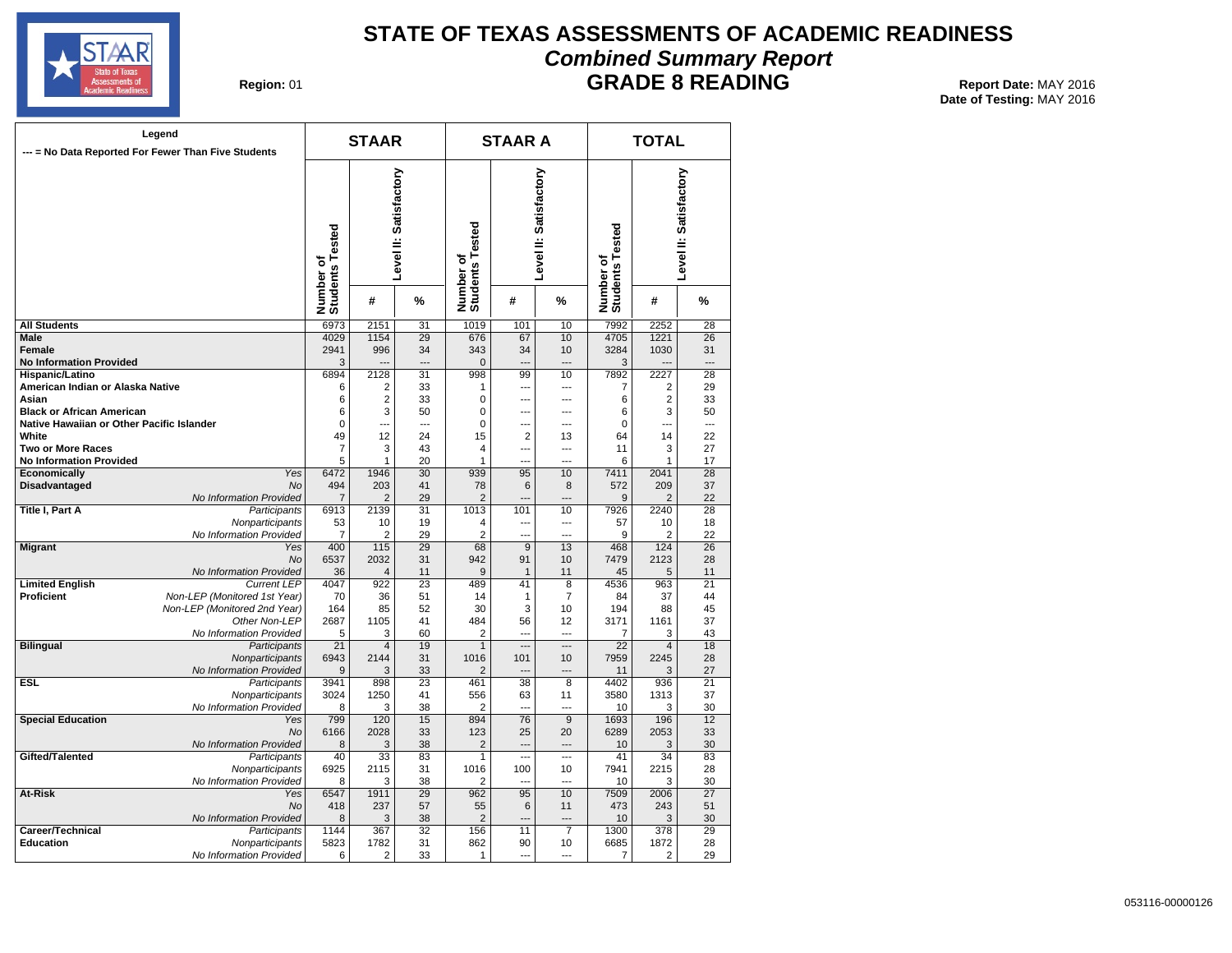

## **STATE OF TEXAS ASSESSMENTS OF ACADEMIC READINESS Combined Summary Report**

#### **GRADE 8 READING** Report Date: MAY 2016

**Date of Testing:**  MAY 2016

**Region: 01** 

| Legend<br>--- = No Data Reported For Fewer Than Five Students                 |                                                              | <b>STAAR</b>                 |                         |                        | <b>STAAR A</b>               |                  | <b>TOTAL</b>             |                              |                     |                        |
|-------------------------------------------------------------------------------|--------------------------------------------------------------|------------------------------|-------------------------|------------------------|------------------------------|------------------|--------------------------|------------------------------|---------------------|------------------------|
|                                                                               |                                                              | Number of<br>Students Tested |                         | Level II: Satisfactory | Number of<br>Students Tested |                  | Level II: Satisfactory   | Number of<br>Students Tested |                     | Level II: Satisfactory |
|                                                                               |                                                              |                              | #                       | %                      |                              | #                | %                        |                              | #                   | %                      |
| <b>All Students</b>                                                           |                                                              | 6973                         | 2151                    | 31                     | 1019                         | 101              | 10                       | 7992                         | 2252                | 28                     |
| <b>Male</b>                                                                   |                                                              | 4029                         | 1154                    | 29                     | 676                          | 67               | 10                       | 4705                         | 1221                | 26                     |
| <b>Female</b>                                                                 |                                                              | 2941                         | 996                     | 34                     | 343                          | 34               | 10                       | 3284                         | 1030                | 31                     |
| <b>No Information Provided</b>                                                |                                                              | 3                            |                         | $\overline{a}$         | 0                            | $\sim$           | $-$ --                   | 3                            |                     | $\overline{a}$         |
| Hispanic/Latino                                                               |                                                              | 6894                         | 2128                    | 31                     | 998                          | 99               | 10                       | 7892                         | 2227                | 28                     |
| American Indian or Alaska Native                                              |                                                              | 6                            | 2                       | 33                     | 1                            | ---              | $---$                    | 7                            | 2                   | 29                     |
| Asian                                                                         |                                                              | 6                            | $\overline{\mathbf{c}}$ | 33                     | 0                            | $\overline{a}$   | $\overline{a}$           | 6                            | 2                   | 33                     |
| <b>Black or African American</b><br>Native Hawaiian or Other Pacific Islander |                                                              | 6<br>0                       | 3<br>$\overline{a}$     | 50<br>$\sim$           | $\mathbf 0$<br>$\mathbf 0$   | ---<br>          | ---<br>$\overline{a}$    | 6<br>0                       | 3<br>$\overline{a}$ | 50<br>$\overline{a}$   |
| White                                                                         |                                                              | 49                           | 12                      | 24                     | 15                           | $\overline{2}$   | 13                       | 64                           | 14                  | 22                     |
| <b>Two or More Races</b>                                                      |                                                              | $\overline{7}$               | 3                       | 43                     | 4                            | ---              | $\overline{a}$           | 11                           | 3                   | 27                     |
| <b>No Information Provided</b>                                                |                                                              | 5                            | $\mathbf{1}$            | 20                     | 1                            |                  |                          | 6                            | 1                   | 17                     |
| Economically                                                                  | Yes                                                          | 6472                         | 1946                    | 30                     | 939                          | 95               | 10                       | 7411                         | 2041                | 28                     |
| Disadvantaged                                                                 | <b>No</b>                                                    | 494                          | 203                     | 41                     | 78                           | 6                | 8                        | 572                          | 209                 | 37                     |
|                                                                               | No Information Provided                                      | 7                            | 2                       | 29                     | $\overline{2}$               | ---              | $\overline{a}$           | 9                            | 2                   | 22                     |
| Title I, Part A                                                               | Participants                                                 | 6913                         | 2139                    | 31                     | 1013                         | 101              | 10                       | 7926                         | 2240                | 28                     |
|                                                                               | Nonparticipants                                              | 53                           | 10                      | 19                     | 4                            | ---              | ---                      | 57                           | 10                  | 18                     |
|                                                                               | No Information Provided                                      | $\overline{7}$               | 2                       | 29                     | $\overline{2}$               | $\overline{a}$   | $\overline{a}$           | 9                            | 2                   | 22                     |
| <b>Migrant</b>                                                                | Yes                                                          | 400                          | 115                     | 29                     | 68                           | $\overline{9}$   | 13                       | 468                          | 124                 | 26                     |
|                                                                               | No                                                           | 6537                         | 2032                    | 31                     | 942                          | 91               | 10                       | 7479                         | 2123                | 28                     |
|                                                                               | No Information Provided                                      | 36                           | 4                       | 11                     | 9                            | $\mathbf{1}$     | 11                       | 45                           | 5                   | 11                     |
| <b>Limited English</b><br>Proficient                                          | <b>Current LEP</b>                                           | 4047                         | 922                     | 23<br>51               | 489<br>14                    | 41               | 8<br>7                   | 4536<br>84                   | 963<br>37           | 21<br>44               |
|                                                                               | Non-LEP (Monitored 1st Year)<br>Non-LEP (Monitored 2nd Year) | 70<br>164                    | 36<br>85                | 52                     | 30                           | $\mathbf 1$<br>3 | 10                       | 194                          | 88                  | 45                     |
|                                                                               | Other Non-LEP                                                | 2687                         | 1105                    | 41                     | 484                          | 56               | 12                       | 3171                         | 1161                | 37                     |
|                                                                               | No Information Provided                                      | 5                            | 3                       | 60                     | $\overline{2}$               |                  | $-$                      | 7                            | 3                   | 43                     |
| <b>Bilingual</b>                                                              | Participants                                                 | 21                           | 4                       | 19                     | $\mathbf{1}$                 |                  | ---                      | $\overline{22}$              | $\overline{4}$      | 18                     |
|                                                                               | Nonparticipants                                              | 6943                         | 2144                    | 31                     | 1016                         | 101              | 10                       | 7959                         | 2245                | 28                     |
|                                                                               | No Information Provided                                      | 9                            | 3                       | 33                     | 2                            | ---              | $\overline{\phantom{a}}$ | 11                           | 3                   | 27                     |
| ESL                                                                           | Participants                                                 | 3941                         | 898                     | 23                     | 461                          | 38               | 8                        | 4402                         | 936                 | 21                     |
|                                                                               | Nonparticipants                                              | 3024                         | 1250                    | 41                     | 556                          | 63               | 11                       | 3580                         | 1313                | 37                     |
|                                                                               | No Information Provided                                      | 8                            | 3                       | 38                     | $\overline{2}$               |                  | $\sim$                   | 10                           | 3                   | 30                     |
| <b>Special Education</b>                                                      | Yes                                                          | 799                          | 120                     | 15                     | 894                          | 76               | 9                        | 1693                         | 196                 | 12                     |
|                                                                               | No                                                           | 6166                         | 2028                    | 33                     | 123                          | 25               | 20<br>$\overline{a}$     | 6289                         | 2053                | 33                     |
| Gifted/Talented                                                               | No Information Provided<br>Participants                      | 8<br>$\overline{40}$         | 3<br>33                 | 38<br>83               | $\overline{2}$<br>1          | <br>---          | $\overline{a}$           | 10<br>41                     | 3<br>34             | 30<br>83               |
|                                                                               | Nonparticipants                                              | 6925                         | 2115                    | 31                     | 1016                         | 100              | 10                       | 7941                         | 2215                | 28                     |
|                                                                               | No Information Provided                                      | 8                            | 3                       | 38                     | 2                            |                  |                          | 10                           | 3                   | 30                     |
| At-Risk                                                                       | Yes                                                          | 6547                         | 1911                    | 29                     | 962                          | 95               | 10                       | 7509                         | 2006                | 27                     |
|                                                                               | <b>No</b>                                                    | 418                          | 237                     | 57                     | 55                           | 6                | 11                       | 473                          | 243                 | 51                     |
|                                                                               | No Information Provided                                      | 8                            | 3                       | 38                     | $\overline{2}$               | ---              | $\overline{a}$           | 10                           | 3                   | 30                     |
| Career/Technical                                                              | Participants                                                 | 1144                         | 367                     | $\overline{32}$        | 156                          | 11               | 7                        | 1300                         | 378                 | 29                     |
| Education                                                                     | Nonparticipants                                              | 5823                         | 1782                    | 31                     | 862                          | 90               | 10                       | 6685                         | 1872                | 28                     |
|                                                                               | No Information Provided                                      | 6                            | 2                       | 33                     | 1                            | ---              | $\overline{a}$           | 7                            | 2                   | 29                     |